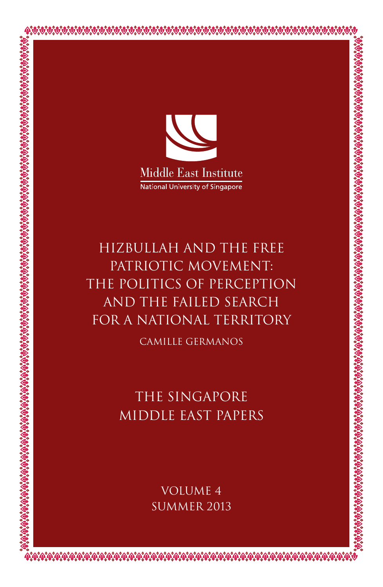

Hizbullah and the Free PATRIOTIC MOVEMENT: the Politics of Perception and the Failed Search for a National Territory

Camille Germanos

The Singapore Middle East Papers

> Volume 4 SUMMER 2013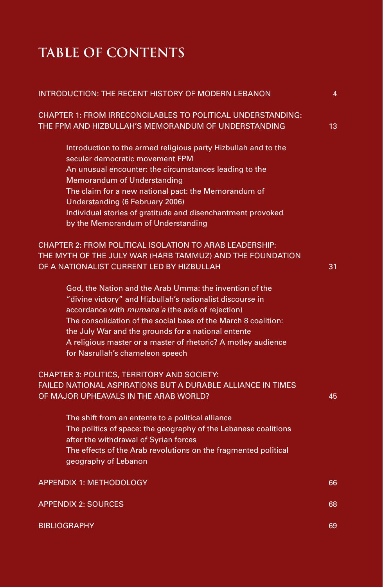# **Table of Contents**

| INTRODUCTION: THE RECENT HISTORY OF MODERN LEBANON                                                                 | 4  |
|--------------------------------------------------------------------------------------------------------------------|----|
| CHAPTER 1: FROM IRRECONCILABLES TO POLITICAL UNDERSTANDING:<br>THE FPM AND HIZBULLAH'S MEMORANDUM OF UNDERSTANDING | 13 |
| Introduction to the armed religious party Hizbullah and to the                                                     |    |
| secular democratic movement FPM                                                                                    |    |
| An unusual encounter: the circumstances leading to the<br>Memorandum of Understanding                              |    |
| The claim for a new national pact: the Memorandum of                                                               |    |
| Understanding (6 February 2006)                                                                                    |    |
| Individual stories of gratitude and disenchantment provoked                                                        |    |
| by the Memorandum of Understanding                                                                                 |    |
| CHAPTER 2: FROM POLITICAL ISOLATION TO ARAB LEADERSHIP:                                                            |    |
| THE MYTH OF THE JULY WAR (HARB TAMMUZ) AND THE FOUNDATION                                                          |    |
| OF A NATIONALIST CURRENT LED BY HIZBULLAH                                                                          | 31 |
| God, the Nation and the Arab Umma: the invention of the                                                            |    |
| "divine victory" and Hizbullah's nationalist discourse in                                                          |    |
| accordance with <i>mumana'a</i> (the axis of rejection)                                                            |    |
| The consolidation of the social base of the March 8 coalition:                                                     |    |
| the July War and the grounds for a national entente                                                                |    |
| A religious master or a master of rhetoric? A motley audience                                                      |    |
| for Nasrullah's chameleon speech                                                                                   |    |
| CHAPTER 3: POLITICS, TERRITORY AND SOCIETY:                                                                        |    |
| FAILED NATIONAL ASPIRATIONS BUT A DURABLE ALLIANCE IN TIMES                                                        |    |
| OF MAJOR UPHEAVALS IN THE ARAB WORLD?                                                                              | 45 |
| The shift from an entente to a political alliance                                                                  |    |
| The politics of space: the geography of the Lebanese coalitions                                                    |    |
| after the withdrawal of Syrian forces                                                                              |    |
| The effects of the Arab revolutions on the fragmented political                                                    |    |
| geography of Lebanon                                                                                               |    |
| <b>APPENDIX 1: METHODOLOGY</b>                                                                                     | 66 |
| <b>APPENDIX 2: SOURCES</b>                                                                                         | 68 |
| <b>BIBLIOGRAPHY</b>                                                                                                | 69 |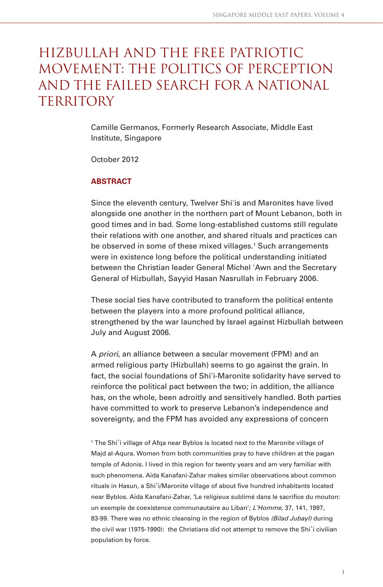## Hizbullah and the Free Patriotic Movement: the Politics of Perception and the Failed Search for a National TERRITORY

Camille Germanos, Formerly Research Associate, Middle East Institute, Singapore

October 2012

### **ABSTRACT**

Since the eleventh century, Twelver Shiʾis and Maronites have lived alongside one another in the northern part of Mount Lebanon, both in good times and in bad. Some long-established customs still regulate their relations with one another, and shared rituals and practices can be observed in some of these mixed villages.<sup>1</sup> Such arrangements were in existence long before the political understanding initiated between the Christian leader General Michel ʾAwn and the Secretary General of Hizbullah, Sayyid Hasan Nasrullah in February 2006.

These social ties have contributed to transform the political entente between the players into a more profound political alliance, strengthened by the war launched by Israel against Hizbullah between July and August 2006.

A priori, an alliance between a secular movement (FPM) and an armed religious party (Hizbullah) seems to go against the grain. In fact, the social foundations of Shi'i-Maronite solidarity have served to reinforce the political pact between the two; in addition, the alliance has, on the whole, been adroitly and sensitively handled. Both parties have committed to work to preserve Lebanon's independence and sovereignty, and the FPM has avoided any expressions of concern

<sup>1</sup> The Shi'i village of Afqa near Byblos is located next to the Maronite village of Majd al-Aqura. Women from both communities pray to have children at the pagan temple of Adonis. I lived in this region for twenty years and am very familiar with such phenomena. Aïda Kanafani-Zahar makes similar observations about common rituals in Hasun, a Shi`i/Maronite village of about five hundred inhabitants located near Byblos. Aïda Kanafani-Zahar, 'Le religieux sublimé dans le sacrifice du mouton: un exemple de coexistence communautaire au Liban'; L'Homme, 37, 141, 1997, 83-99. There was no ethnic cleansing in the region of Byblos (Bilad Jubayl) during the civil war (1975-1990): the Christians did not attempt to remove the Shiʾi civilian population by force.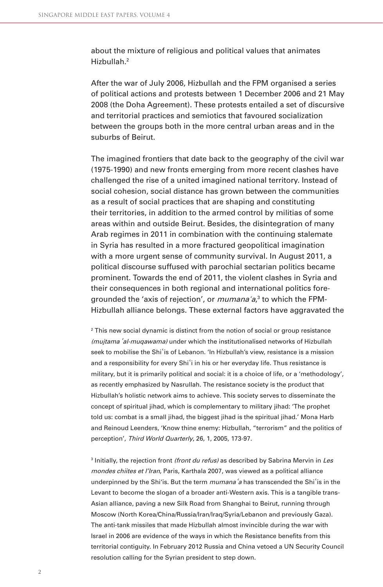about the mixture of religious and political values that animates Hizbullah.2

After the war of July 2006, Hizbullah and the FPM organised a series of political actions and protests between 1 December 2006 and 21 May 2008 (the Doha Agreement). These protests entailed a set of discursive and territorial practices and semiotics that favoured socialization between the groups both in the more central urban areas and in the suburbs of Beirut.

The imagined frontiers that date back to the geography of the civil war (1975-1990) and new fronts emerging from more recent clashes have challenged the rise of a united imagined national territory. Instead of social cohesion, social distance has grown between the communities as a result of social practices that are shaping and constituting their territories, in addition to the armed control by militias of some areas within and outside Beirut. Besides, the disintegration of many Arab regimes in 2011 in combination with the continuing stalemate in Syria has resulted in a more fractured geopolitical imagination with a more urgent sense of community survival. In August 2011, a political discourse suffused with parochial sectarian politics became prominent. Towards the end of 2011, the violent clashes in Syria and their consequences in both regional and international politics foregrounded the 'axis of rejection', or *mumanaʿa*,<sup>3</sup> to which the FPM-Hizbullah alliance belongs. These external factors have aggravated the

 $^{\rm 2}$  This new social dynamic is distinct from the notion of social or group resistance (mujtama 'al-muqawama) under which the institutionalised networks of Hizbullah seek to mobilise the Shiʾis of Lebanon. 'In Hizbullah's view, resistance is a mission and a responsibility for every Shi'i in his or her everyday life. Thus resistance is military, but it is primarily political and social: it is a choice of life, or a 'methodology', as recently emphasized by Nasrullah. The resistance society is the product that Hizbullah's holistic network aims to achieve. This society serves to disseminate the concept of spiritual jihad, which is complementary to military jihad: 'The prophet told us: combat is a small jihad, the biggest jihad is the spiritual jihad.' Mona Harb and Reinoud Leenders, 'Know thine enemy: Hizbullah, "terrorism" and the politics of perception', Third World Quarterly, 26, 1, 2005, 173-97.

<sup>3</sup> Initially, the rejection front *(front du refus)* as described by Sabrina Mervin in *Les* mondes chiites et l'Iran, Paris, Karthala 2007, was viewed as a political alliance underpinned by the Shi'is. But the term mumana'a has transcended the Shi'is in the Levant to become the slogan of a broader anti-Western axis. This is a tangible trans-Asian alliance, paving a new Silk Road from Shanghai to Beirut, running through Moscow (North Korea/China/Russia/Iran/Iraq/Syria/Lebanon and previously Gaza). The anti-tank missiles that made Hizbullah almost invincible during the war with Israel in 2006 are evidence of the ways in which the Resistance benefits from this territorial contiguity. In February 2012 Russia and China vetoed a UN Security Council resolution calling for the Syrian president to step down.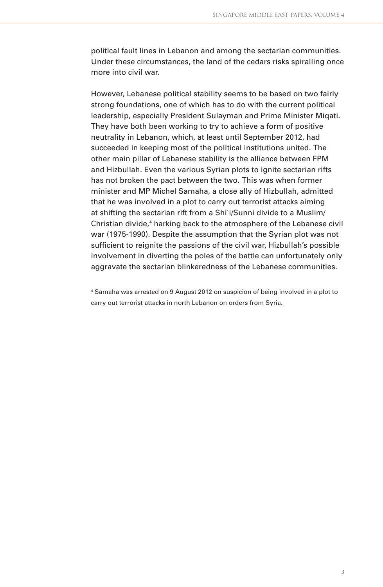political fault lines in Lebanon and among the sectarian communities. Under these circumstances, the land of the cedars risks spiralling once more into civil war.

However, Lebanese political stability seems to be based on two fairly strong foundations, one of which has to do with the current political leadership, especially President Sulayman and Prime Minister Miqati. They have both been working to try to achieve a form of positive neutrality in Lebanon, which, at least until September 2012, had succeeded in keeping most of the political institutions united. The other main pillar of Lebanese stability is the alliance between FPM and Hizbullah. Even the various Syrian plots to ignite sectarian rifts has not broken the pact between the two. This was when former minister and MP Michel Samaha, a close ally of Hizbullah, admitted that he was involved in a plot to carry out terrorist attacks aiming at shifting the sectarian rift from a Shiʾi/Sunni divide to a Muslim/ Christian divide,<sup>4</sup> harking back to the atmosphere of the Lebanese civil war (1975-1990). Despite the assumption that the Syrian plot was not sufficient to reignite the passions of the civil war, Hizbullah's possible involvement in diverting the poles of the battle can unfortunately only aggravate the sectarian blinkeredness of the Lebanese communities.

4 Samaha was arrested on 9 August 2012 on suspicion of being involved in a plot to carry out terrorist attacks in north Lebanon on orders from Syria.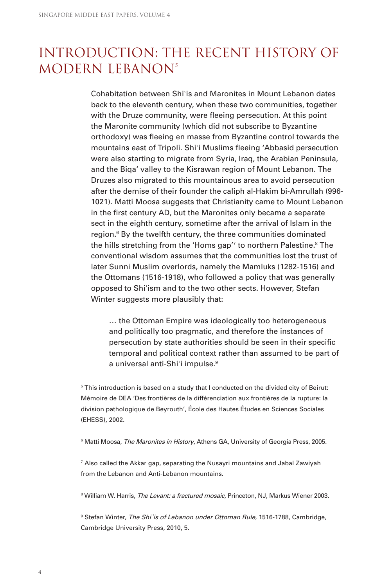## Introduction: The Recent History of MODERN LEBANON<sup>5</sup>

Cohabitation between Shiʾis and Maronites in Mount Lebanon dates back to the eleventh century, when these two communities, together with the Druze community, were fleeing persecution. At this point the Maronite community (which did not subscribe to Byzantine orthodoxy) was fleeing en masse from Byzantine control towards the mountains east of Tripoli. Shi'i Muslims fleeing 'Abbasid persecution were also starting to migrate from Syria, Iraq, the Arabian Peninsula, and the Biqa' valley to the Kisrawan region of Mount Lebanon. The Druzes also migrated to this mountainous area to avoid persecution after the demise of their founder the caliph al-Hakim bi-Amrullah (996- 1021). Matti Moosa suggests that Christianity came to Mount Lebanon in the first century AD, but the Maronites only became a separate sect in the eighth century, sometime after the arrival of Islam in the region.<sup>6</sup> By the twelfth century, the three communities dominated the hills stretching from the 'Homs gap'<sup>7</sup> to northern Palestine.<sup>8</sup> The conventional wisdom assumes that the communities lost the trust of later Sunni Muslim overlords, namely the Mamluks (1282-1516) and the Ottomans (1516-1918), who followed a policy that was generally opposed to Shiʾism and to the two other sects. However, Stefan Winter suggests more plausibly that:

… the Ottoman Empire was ideologically too heterogeneous and politically too pragmatic, and therefore the instances of persecution by state authorities should be seen in their specific temporal and political context rather than assumed to be part of a universal anti-Shi'i impulse.<sup>9</sup>

<sup>5</sup> This introduction is based on a study that I conducted on the divided city of Beirut: Mémoire de DEA 'Des frontières de la différenciation aux frontières de la rupture: la division pathologique de Beyrouth', École des Hautes Études en Sciences Sociales (EHESS), 2002.

 $^{\rm 6}$  Matti Moosa, *The Maronites in History*, Athens GA, University of Georgia Press, 2005.

7 Also called the Akkar gap, separating the Nusayri mountains and Jabal Zawiyah from the Lebanon and Anti-Lebanon mountains.

<sup>8</sup> William W. Harris*, The Levant: a fractured mosaic*, Princeton, NJ, Markus Wiener 2003.

<sup>9</sup> Stefan Winter, The Shi'is of Lebanon under Ottoman Rule, 1516-1788, Cambridge, Cambridge University Press, 2010, 5.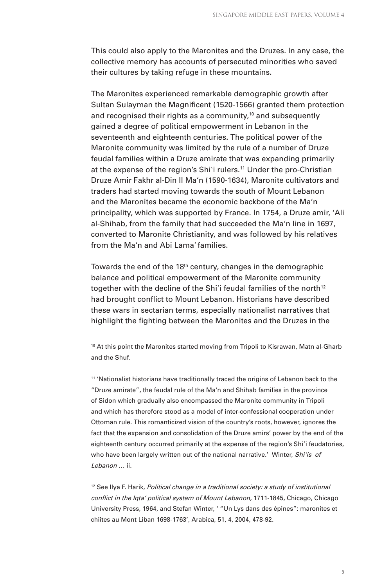This could also apply to the Maronites and the Druzes. In any case, the collective memory has accounts of persecuted minorities who saved their cultures by taking refuge in these mountains.

The Maronites experienced remarkable demographic growth after Sultan Sulayman the Magnificent (1520-1566) granted them protection and recognised their rights as a community,<sup>10</sup> and subsequently gained a degree of political empowerment in Lebanon in the seventeenth and eighteenth centuries. The political power of the Maronite community was limited by the rule of a number of Druze feudal families within a Druze amirate that was expanding primarily at the expense of the region's Shi'i rulers.<sup>11</sup> Under the pro-Christian Druze Amir Fakhr al-Din II Ma'n (1590-1634), Maronite cultivators and traders had started moving towards the south of Mount Lebanon and the Maronites became the economic backbone of the Ma'n principality, which was supported by France. In 1754, a Druze amir, 'Ali al-Shihab, from the family that had succeeded the Ma'n line in 1697, converted to Maronite Christianity, and was followed by his relatives from the Ma'n and Abi Lama' families

Towards the end of the 18th century, changes in the demographic balance and political empowerment of the Maronite community together with the decline of the Shi'i feudal families of the north<sup>12</sup> had brought conflict to Mount Lebanon. Historians have described these wars in sectarian terms, especially nationalist narratives that highlight the fighting between the Maronites and the Druzes in the

<sup>10</sup> At this point the Maronites started moving from Tripoli to Kisrawan, Matn al-Gharb and the Shuf.

11 'Nationalist historians have traditionally traced the origins of Lebanon back to the "Druze amirate", the feudal rule of the Ma'n and Shihab families in the province of Sidon which gradually also encompassed the Maronite community in Tripoli and which has therefore stood as a model of inter-confessional cooperation under Ottoman rule. This romanticized vision of the country's roots, however, ignores the fact that the expansion and consolidation of the Druze amirs' power by the end of the eighteenth century occurred primarily at the expense of the region's Shi'i feudatories, who have been largely written out of the national narrative.' Winter, Shi'is of Lebanon … ii.

 $12$  See Ilya F. Harik, Political change in a traditional society: a study of institutional conflict in the Iqta' political system of Mount Lebanon, 1711-1845, Chicago, Chicago University Press, 1964, and Stefan Winter, ' "Un Lys dans des épines": maronites et chiites au Mont Liban 1698-1763', Arabica, 51, 4, 2004, 478-92.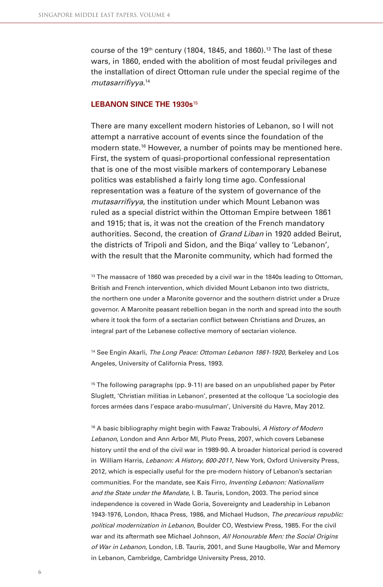course of the 19<sup>th</sup> century (1804, 1845, and 1860).<sup>13</sup> The last of these wars, in 1860, ended with the abolition of most feudal privileges and the installation of direct Ottoman rule under the special regime of the mutasarrifiyya.<sup>14</sup>

#### **LEBANON SINCE THE 1930s**<sup>15</sup>

There are many excellent modern histories of Lebanon, so I will not attempt a narrative account of events since the foundation of the modern state.16 However, a number of points may be mentioned here. First, the system of quasi-proportional confessional representation that is one of the most visible markers of contemporary Lebanese politics was established a fairly long time ago. Confessional representation was a feature of the system of governance of the mutasarrifiyya, the institution under which Mount Lebanon was ruled as a special district within the Ottoman Empire between 1861 and 1915; that is, it was not the creation of the French mandatory authorities. Second, the creation of Grand Liban in 1920 added Beirut, the districts of Tripoli and Sidon, and the Biqa' valley to 'Lebanon', with the result that the Maronite community, which had formed the

<sup>13</sup> The massacre of 1860 was preceded by a civil war in the 1840s leading to Ottoman, British and French intervention, which divided Mount Lebanon into two districts, the northern one under a Maronite governor and the southern district under a Druze governor. A Maronite peasant rebellion began in the north and spread into the south where it took the form of a sectarian conflict between Christians and Druzes, an integral part of the Lebanese collective memory of sectarian violence.

<sup>14</sup> See Engin Akarli, The Long Peace: Ottoman Lebanon 1861-1920, Berkeley and Los Angeles, University of California Press, 1993.

<sup>15</sup> The following paragraphs (pp. 9-11) are based on an unpublished paper by Peter Sluglett, 'Christian militias in Lebanon', presented at the colloque 'La sociologie des forces armées dans l'espace arabo-musulman', Université du Havre, May 2012.

<sup>16</sup> A basic bibliography might begin with Fawaz Traboulsi, A History of Modern Lebanon, London and Ann Arbor MI, Pluto Press, 2007, which covers Lebanese history until the end of the civil war in 1989-90. A broader historical period is covered in William Harris, Lebanon: A History, 600-2011, New York, Oxford University Press, 2012, which is especially useful for the pre-modern history of Lebanon's sectarian communities. For the mandate, see Kais Firro, Inventing Lebanon: Nationalism and the State under the Mandate, I. B. Tauris, London, 2003. The period since independence is covered in Wade Goria, Sovereignty and Leadership in Lebanon 1943-1976, London, Ithaca Press, 1986, and Michael Hudson, The precarious republic: political modernization in Lebanon, Boulder CO, Westview Press, 1985. For the civil war and its aftermath see Michael Johnson, All Honourable Men: the Social Origins of War in Lebanon, London, I.B. Tauris, 2001, and Sune Haugbolle, War and Memory in Lebanon, Cambridge, Cambridge University Press, 2010.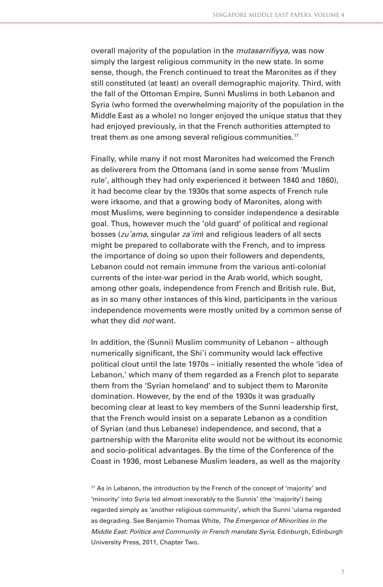overall majority of the population in the *mutasarrifiyya*, was now simply the largest religious community in the new state. In some sense, though, the French continued to treat the Maronites as if they still constituted (at least) an overall demographic majority. Third, with the fall of the Ottoman Empire, Sunni Muslims in both Lebanon and Syria (who formed the overwhelming majority of the population in the Middle East as a whole) no longer enjoyed the unique status that they had enjoyed previously, in that the French authorities attempted to treat them as one among several religious communities.<sup>17</sup>

Finally, while many if not most Maronites had welcomed the French as deliverers from the Ottomans (and in some sense from 'Muslim rule', although they had only experienced it between 1840 and 1860), it had become clear by the 1930s that some aspects of French rule were irksome, and that a growing body of Maronites, along with most Muslims, were beginning to consider independence a desirable goal. Thus, however much the 'old guard' of political and regional bosses (zu 'ama, singular za'im) and religious leaders of all sects might be prepared to collaborate with the French, and to impress the importance of doing so upon their followers and dependents, Lebanon could not remain immune from the various anti-colonial currents of the inter-war period in the Arab world, which sought, among other goals, independence from French and British rule. But, as in so many other instances of this kind, participants in the various independence movements were mostly united by a common sense of what they did *not* want.

In addition, the (Sunni) Muslim community of Lebanon – although numerically significant, the Shi'i community would lack effective political clout until the late 1970s – initially resented the whole 'idea of Lebanon,' which many of them regarded as a French plot to separate them from the 'Syrian homeland' and to subject them to Maronite domination. However, by the end of the 1930s it was gradually becoming clear at least to key members of the Sunni leadership first, that the French would insist on a separate Lebanon as a condition of Syrian (and thus Lebanese) independence, and second, that a partnership with the Maronite elite would not be without its economic and socio-political advantages. By the time of the Conference of the Coast in 1936, most Lebanese Muslim leaders, as well as the majority

 $17$  As in Lebanon, the introduction by the French of the concept of 'majority' and 'minority' into Syria led almost inexorably to the Sunnis' (the 'majority') being regarded simply as 'another religious community', which the Sunni 'ulama regarded as degrading. See Benjamin Thomas White, The Emergence of Minorities in the Middle East: Politics and Community in French mandate Syria, Edinburgh, Edinburgh University Press, 2011, Chapter Two.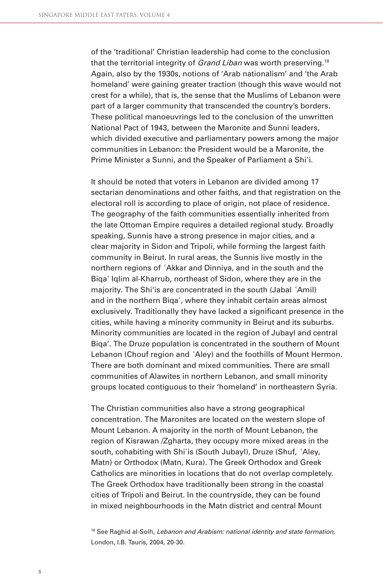of the 'traditional' Christian leadership had come to the conclusion that the territorial integrity of *Grand Liban* was worth preserving.<sup>18</sup> Again, also by the 1930s, notions of 'Arab nationalism' and 'the Arab homeland' were gaining greater traction (though this wave would not crest for a while), that is, the sense that the Muslims of Lebanon were part of a larger community that transcended the country's borders. These political manoeuvrings led to the conclusion of the unwritten National Pact of 1943, between the Maronite and Sunni leaders, which divided executive and parliamentary powers among the major communities in Lebanon: the President would be a Maronite, the Prime Minister a Sunni, and the Speaker of Parliament a Shiʾi.

It should be noted that voters in Lebanon are divided among 17 sectarian denominations and other faiths, and that registration on the electoral roll is according to place of origin, not place of residence. The geography of the faith communities essentially inherited from the late Ottoman Empire requires a detailed regional study. Broadly speaking, Sunnis have a strong presence in major cities, and a clear majority in Sidon and Tripoli, while forming the largest faith community in Beirut. In rural areas, the Sunnis live mostly in the northern regions of ʾAkkar and Dinniya, and in the south and the Biqaʾ Iqlim al-Kharrub, northeast of Sidon, where they are in the majority. The Shi'is are concentrated in the south (Jabal ʾAmil) and in the northern Biqaʾ, where they inhabit certain areas almost exclusively. Traditionally they have lacked a significant presence in the cities, while having a minority community in Beirut and its suburbs. Minority communities are located in the region of Jubayl and central Biqa'. The Druze population is concentrated in the southern of Mount Lebanon (Chouf region and ʾAley) and the foothills of Mount Hermon. There are both dominant and mixed communities. There are small communities of Alawites in northern Lebanon, and small minority groups located contiguous to their 'homeland' in northeastern Syria.

The Christian communities also have a strong geographical concentration. The Maronites are located on the western slope of Mount Lebanon. A majority in the north of Mount Lebanon, the region of Kisrawan /Zgharta, they occupy more mixed areas in the south, cohabiting with Shi'is (South Jubayl), Druze (Shuf, 'Aley, Matn) or Orthodox (Matn, Kura). The Greek Orthodox and Greek Catholics are minorities in locations that do not overlap completely. The Greek Orthodox have traditionally been strong in the coastal cities of Tripoli and Beirut. In the countryside, they can be found in mixed neighbourhoods in the Matn district and central Mount

<sup>18</sup> See Raghid al-Solh, Lebanon and Arabism: national identity and state formation, London, I.B. Tauris, 2004, 20-30.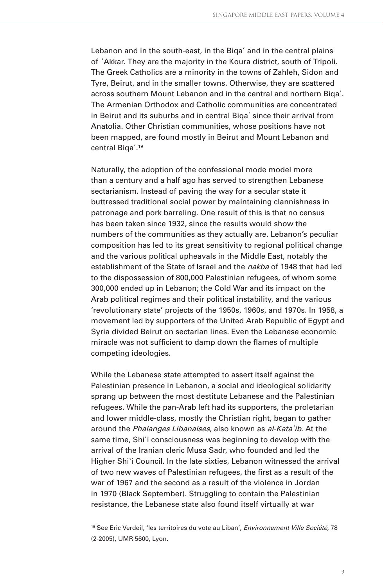Lebanon and in the south-east, in the Biga' and in the central plains of ʾAkkar. They are the majority in the Koura district, south of Tripoli. The Greek Catholics are a minority in the towns of Zahleh, Sidon and Tyre, Beirut, and in the smaller towns. Otherwise, they are scattered across southern Mount Lebanon and in the central and northern Biqaʾ. The Armenian Orthodox and Catholic communities are concentrated in Beirut and its suburbs and in central Biqaʾ since their arrival from Anatolia. Other Christian communities, whose positions have not been mapped, are found mostly in Beirut and Mount Lebanon and central Biqaʾ. 19

Naturally, the adoption of the confessional mode model more than a century and a half ago has served to strengthen Lebanese sectarianism. Instead of paving the way for a secular state it buttressed traditional social power by maintaining clannishness in patronage and pork barreling. One result of this is that no census has been taken since 1932, since the results would show the numbers of the communities as they actually are. Lebanon's peculiar composition has led to its great sensitivity to regional political change and the various political upheavals in the Middle East, notably the establishment of the State of Israel and the *nakba* of 1948 that had led to the dispossession of 800,000 Palestinian refugees, of whom some 300,000 ended up in Lebanon; the Cold War and its impact on the Arab political regimes and their political instability, and the various 'revolutionary state' projects of the 1950s, 1960s, and 1970s. In 1958, a movement led by supporters of the United Arab Republic of Egypt and Syria divided Beirut on sectarian lines. Even the Lebanese economic miracle was not sufficient to damp down the flames of multiple competing ideologies.

While the Lebanese state attempted to assert itself against the Palestinian presence in Lebanon, a social and ideological solidarity sprang up between the most destitute Lebanese and the Palestinian refugees. While the pan-Arab left had its supporters, the proletarian and lower middle-class, mostly the Christian right, began to gather around the Phalanges Libanaises, also known as al-Kata'ib. At the same time, Shiʾi consciousness was beginning to develop with the arrival of the Iranian cleric Musa Sadr, who founded and led the Higher Shi'i Council. In the late sixties, Lebanon witnessed the arrival of two new waves of Palestinian refugees, the first as a result of the war of 1967 and the second as a result of the violence in Jordan in 1970 (Black September). Struggling to contain the Palestinian resistance, the Lebanese state also found itself virtually at war

<sup>19</sup> See Eric Verdeil, 'les territoires du vote au Liban', Environnement Ville Société, 78 (2-2005), UMR 5600, Lyon.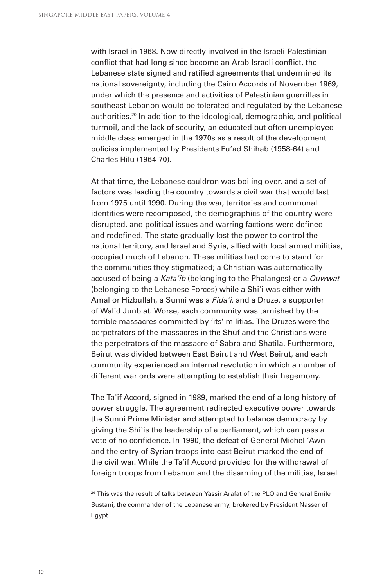with Israel in 1968. Now directly involved in the Israeli-Palestinian conflict that had long since become an Arab-Israeli conflict, the Lebanese state signed and ratified agreements that undermined its national sovereignty, including the Cairo Accords of November 1969, under which the presence and activities of Palestinian guerrillas in southeast Lebanon would be tolerated and regulated by the Lebanese authorities.<sup>20</sup> In addition to the ideological, demographic, and political turmoil, and the lack of security, an educated but often unemployed middle class emerged in the 1970s as a result of the development policies implemented by Presidents Fuʿad Shihab (1958-64) and Charles Hilu (1964-70).

At that time, the Lebanese cauldron was boiling over, and a set of factors was leading the country towards a civil war that would last from 1975 until 1990. During the war, territories and communal identities were recomposed, the demographics of the country were disrupted, and political issues and warring factions were defined and redefined. The state gradually lost the power to control the national territory, and Israel and Syria, allied with local armed militias, occupied much of Lebanon. These militias had come to stand for the communities they stigmatized; a Christian was automatically accused of being a Kata'ib (belonging to the Phalanges) or a *Quwwat* (belonging to the Lebanese Forces) while a Shiʾi was either with Amal or Hizbullah, a Sunni was a Fida'i, and a Druze, a supporter of Walid Junblat. Worse, each community was tarnished by the terrible massacres committed by 'its' militias. The Druzes were the perpetrators of the massacres in the Shuf and the Christians were the perpetrators of the massacre of Sabra and Shatila. Furthermore, Beirut was divided between East Beirut and West Beirut, and each community experienced an internal revolution in which a number of different warlords were attempting to establish their hegemony.

The Taʿif Accord, signed in 1989, marked the end of a long history of power struggle. The agreement redirected executive power towards the Sunni Prime Minister and attempted to balance democracy by giving the Shiʾis the leadership of a parliament, which can pass a vote of no confidence. In 1990, the defeat of General Michel 'Awn and the entry of Syrian troops into east Beirut marked the end of the civil war. While the Ta'if Accord provided for the withdrawal of foreign troops from Lebanon and the disarming of the militias, Israel

<sup>20</sup> This was the result of talks between Yassir Arafat of the PLO and General Emile Bustani, the commander of the Lebanese army, brokered by President Nasser of Egypt.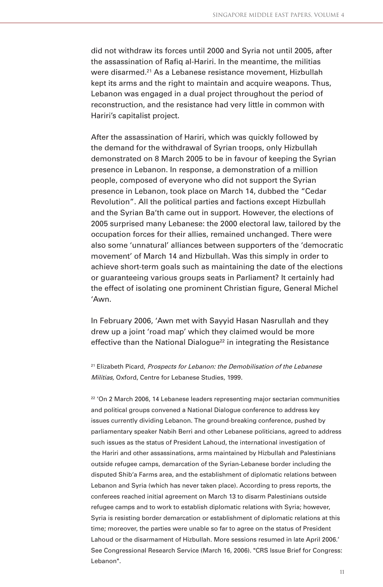did not withdraw its forces until 2000 and Syria not until 2005, after the assassination of Rafiq al-Hariri. In the meantime, the militias were disarmed.21 As a Lebanese resistance movement, Hizbullah kept its arms and the right to maintain and acquire weapons. Thus, Lebanon was engaged in a dual project throughout the period of reconstruction, and the resistance had very little in common with Hariri's capitalist project.

After the assassination of Hariri, which was quickly followed by the demand for the withdrawal of Syrian troops, only Hizbullah demonstrated on 8 March 2005 to be in favour of keeping the Syrian presence in Lebanon. In response, a demonstration of a million people, composed of everyone who did not support the Syrian presence in Lebanon, took place on March 14, dubbed the "Cedar Revolution". All the political parties and factions except Hizbullah and the Syrian Ba'th came out in support. However, the elections of 2005 surprised many Lebanese: the 2000 electoral law, tailored by the occupation forces for their allies, remained unchanged. There were also some 'unnatural' alliances between supporters of the 'democratic movement' of March 14 and Hizbullah. Was this simply in order to achieve short-term goals such as maintaining the date of the elections or guaranteeing various groups seats in Parliament? It certainly had the effect of isolating one prominent Christian figure, General Michel 'Awn.

In February 2006, 'Awn met with Sayyid Hasan Nasrullah and they drew up a joint 'road map' which they claimed would be more effective than the National Dialogue<sup>22</sup> in integrating the Resistance

<sup>21</sup> Elizabeth Picard, Prospects for Lebanon: the Demobilisation of the Lebanese Militias, Oxford, Centre for Lebanese Studies, 1999.

 $22$  'On 2 March 2006, 14 Lebanese leaders representing major sectarian communities and political groups convened a National Dialogue conference to address key issues currently dividing Lebanon. The ground-breaking conference, pushed by parliamentary speaker Nabih Berri and other Lebanese politicians, agreed to address such issues as the status of President Lahoud, the international investigation of the Hariri and other assassinations, arms maintained by Hizbullah and Palestinians outside refugee camps, demarcation of the Syrian-Lebanese border including the disputed Shib'a Farms area, and the establishment of diplomatic relations between Lebanon and Syria (which has never taken place). According to press reports, the conferees reached initial agreement on March 13 to disarm Palestinians outside refugee camps and to work to establish diplomatic relations with Syria; however, Syria is resisting border demarcation or establishment of diplomatic relations at this time; moreover, the parties were unable so far to agree on the status of President Lahoud or the disarmament of Hizbullah. More sessions resumed in late April 2006.' See Congressional Research Service (March 16, 2006). "CRS Issue Brief for Congress: Lebanon".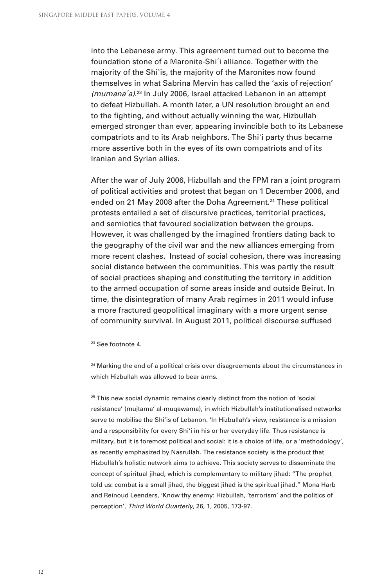into the Lebanese army. This agreement turned out to become the foundation stone of a Maronite-Shi'i alliance. Together with the majority of the Shiʾis, the majority of the Maronites now found themselves in what Sabrina Mervin has called the 'axis of rejection' (mumana<sup>ʾ</sup>a). 23 In July 2006, Israel attacked Lebanon in an attempt to defeat Hizbullah. A month later, a UN resolution brought an end to the fighting, and without actually winning the war, Hizbullah emerged stronger than ever, appearing invincible both to its Lebanese compatriots and to its Arab neighbors. The Shiʾi party thus became more assertive both in the eyes of its own compatriots and of its Iranian and Syrian allies.

After the war of July 2006, Hizbullah and the FPM ran a joint program of political activities and protest that began on 1 December 2006, and ended on 21 May 2008 after the Doha Agreement.<sup>24</sup> These political protests entailed a set of discursive practices, territorial practices, and semiotics that favoured socialization between the groups. However, it was challenged by the imagined frontiers dating back to the geography of the civil war and the new alliances emerging from more recent clashes. Instead of social cohesion, there was increasing social distance between the communities. This was partly the result of social practices shaping and constituting the territory in addition to the armed occupation of some areas inside and outside Beirut. In time, the disintegration of many Arab regimes in 2011 would infuse a more fractured geopolitical imaginary with a more urgent sense of community survival. In August 2011, political discourse suffused

23 See footnote 4.

 $24$  Marking the end of a political crisis over disagreements about the circumstances in which Hizbullah was allowed to bear arms.

<sup>25</sup> This new social dynamic remains clearly distinct from the notion of 'social resistance' (mujtama' al-muqawama), in which Hizbullah's institutionalised networks serve to mobilise the Shi'is of Lebanon. 'In Hizbullah's view, resistance is a mission and a responsibility for every Shi'i in his or her everyday life. Thus resistance is military, but it is foremost political and social: it is a choice of life, or a 'methodology', as recently emphasized by Nasrullah. The resistance society is the product that Hizbullah's holistic network aims to achieve. This society serves to disseminate the concept of spiritual jihad, which is complementary to military jihad: "The prophet told us: combat is a small jihad, the biggest jihad is the spiritual jihad." Mona Harb and Reinoud Leenders, 'Know thy enemy: Hizbullah, 'terrorism' and the politics of perception', Third World Quarterly, 26, 1, 2005, 173-97.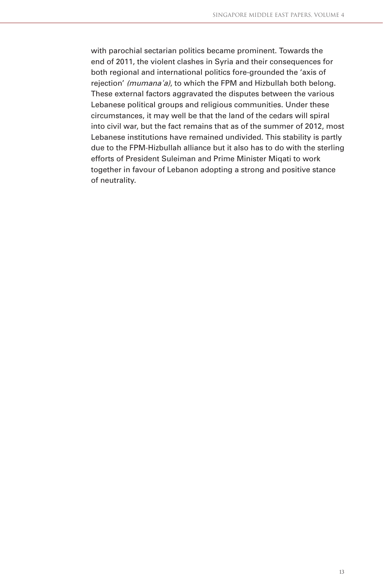with parochial sectarian politics became prominent. Towards the end of 2011, the violent clashes in Syria and their consequences for both regional and international politics fore-grounded the 'axis of rejection' (mumana'a), to which the FPM and Hizbullah both belong. These external factors aggravated the disputes between the various Lebanese political groups and religious communities. Under these circumstances, it may well be that the land of the cedars will spiral into civil war, but the fact remains that as of the summer of 2012, most Lebanese institutions have remained undivided. This stability is partly due to the FPM-Hizbullah alliance but it also has to do with the sterling efforts of President Suleiman and Prime Minister Miqati to work together in favour of Lebanon adopting a strong and positive stance of neutrality.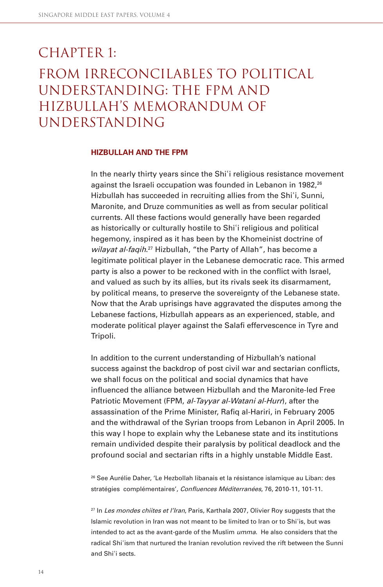# $CHAPTER 1:$ From irreconcilables to political understanding: the FPM and Hizbullah's Memorandum of **UNDERSTANDING**

#### **HIZBULLAH AND THE FPM**

In the nearly thirty years since the Shi<sup>o</sup> religious resistance movement against the Israeli occupation was founded in Lebanon in 1982,<sup>26</sup> Hizbullah has succeeded in recruiting allies from the Shi'i, Sunni, Maronite, and Druze communities as well as from secular political currents. All these factions would generally have been regarded as historically or culturally hostile to Shiʾi religious and political hegemony, inspired as it has been by the Khomeinist doctrine of wilayat al-faqih.<sup>27</sup> Hizbullah, "the Party of Allah", has become a legitimate political player in the Lebanese democratic race. This armed party is also a power to be reckoned with in the conflict with Israel, and valued as such by its allies, but its rivals seek its disarmament, by political means, to preserve the sovereignty of the Lebanese state. Now that the Arab uprisings have aggravated the disputes among the Lebanese factions, Hizbullah appears as an experienced, stable, and moderate political player against the Salafi effervescence in Tyre and Tripoli.

In addition to the current understanding of Hizbullah's national success against the backdrop of post civil war and sectarian conflicts, we shall focus on the political and social dynamics that have influenced the alliance between Hizbullah and the Maronite-led Free Patriotic Movement (FPM, al-Tayyar al-Watani al-Hurr), after the assassination of the Prime Minister, Rafiq al-Hariri, in February 2005 and the withdrawal of the Syrian troops from Lebanon in April 2005. In this way I hope to explain why the Lebanese state and its institutions remain undivided despite their paralysis by political deadlock and the profound social and sectarian rifts in a highly unstable Middle East.

26 See Aurélie Daher, 'Le Hezbollah libanais et la résistance islamique au Liban: des stratégies complémentaires', Confluences Méditerranées, 76, 2010-11, 101-11.

 $27$  In Les mondes chiites et l'Iran, Paris, Karthala 2007, Olivier Roy suggests that the Islamic revolution in Iran was not meant to be limited to Iran or to Shiʾis, but was intended to act as the avant-garde of the Muslim *umma*. He also considers that the radical Shiʾism that nurtured the Iranian revolution revived the rift between the Sunni and Shiʾi sects.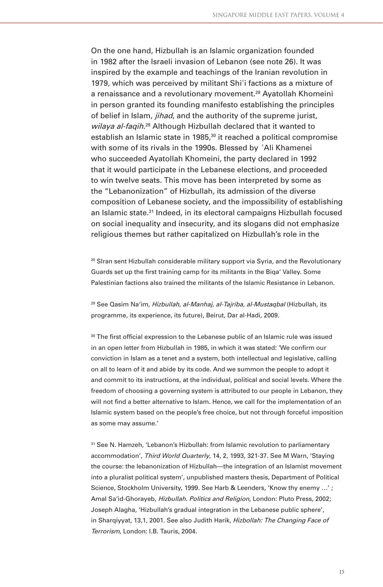On the one hand, Hizbullah is an Islamic organization founded in 1982 after the Israeli invasion of Lebanon (see note 26). It was inspired by the example and teachings of the Iranian revolution in 1979, which was perceived by militant Shi'i factions as a mixture of a renaissance and a revolutionary movement.<sup>28</sup> Ayatollah Khomeini in person granted its founding manifesto establishing the principles of belief in Islam, *jihad*, and the authority of the supreme jurist, wilaya al-faqih.<sup>29</sup> Although Hizbullah declared that it wanted to establish an Islamic state in 1985,<sup>30</sup> it reached a political compromise with some of its rivals in the 1990s. Blessed by ʾAli Khamenei who succeeded Ayatollah Khomeini, the party declared in 1992 that it would participate in the Lebanese elections, and proceeded to win twelve seats. This move has been interpreted by some as the "Lebanonization" of Hizbullah, its admission of the diverse composition of Lebanese society, and the impossibility of establishing an Islamic state.<sup>31</sup> Indeed, in its electoral campaigns Hizbullah focused on social inequality and insecurity, and its slogans did not emphasize religious themes but rather capitalized on Hizbullah's role in the

<sup>28</sup> SIran sent Hizbullah considerable military support via Syria, and the Revolutionary Guards set up the first training camp for its militants in the Biga' Valley. Some Palestinian factions also trained the militants of the Islamic Resistance in Lebanon.

<sup>29</sup> See Qasim Na'im, Hizbullah, al-Manhaj, al-Tajriba, al-Mustaqbal (Hizbullah, its programme, its experience, its future), Beirut, Dar al-Hadi, 2009.

 $30$  The first official expression to the Lebanese public of an Islamic rule was issued in an open letter from Hizbullah in 1985, in which it was stated: 'We confirm our conviction in Islam as a tenet and a system, both intellectual and legislative, calling on all to learn of it and abide by its code. And we summon the people to adopt it and commit to its instructions, at the individual, political and social levels. Where the freedom of choosing a governing system is attributed to our people in Lebanon, they will not find a better alternative to Islam. Hence, we call for the implementation of an Islamic system based on the people's free choice, but not through forceful imposition as some may assume.'

<sup>31</sup> See N. Hamzeh, 'Lebanon's Hizbullah: from Islamic revolution to parliamentary accommodation', Third World Quarterly, 14, 2, 1993, 321-37. See M Warn, 'Staying the course: the lebanonization of Hizbullah—the integration of an Islamist movement into a pluralist political system', unpublished masters thesis, Department of Political Science, Stockholm University, 1999. See Harb & Leenders, 'Know thy enemy …' ; Amal Sa'id-Ghorayeb, Hizbullah. Politics and Religion, London: Pluto Press, 2002; Joseph Alagha, 'Hizbullah's gradual integration in the Lebanese public sphere', in Sharqiyyat, 13,1, 2001. See also Judith Harik, Hizbollah: The Changing Face of Terrorism, London: I.B. Tauris, 2004.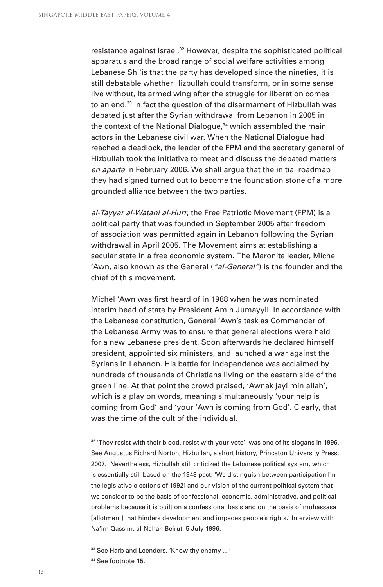resistance against Israel.<sup>32</sup> However, despite the sophisticated political apparatus and the broad range of social welfare activities among Lebanese Shiʾis that the party has developed since the nineties, it is still debatable whether Hizbullah could transform, or in some sense live without, its armed wing after the struggle for liberation comes to an end.33 In fact the question of the disarmament of Hizbullah was debated just after the Syrian withdrawal from Lebanon in 2005 in the context of the National Dialogue,<sup>34</sup> which assembled the main actors in the Lebanese civil war. When the National Dialogue had reached a deadlock, the leader of the FPM and the secretary general of Hizbullah took the initiative to meet and discuss the debated matters en aparté in February 2006. We shall arque that the initial roadmap they had signed turned out to become the foundation stone of a more grounded alliance between the two parties.

al-Tayyar al-Watani al-Hurr, the Free Patriotic Movement (FPM) is a political party that was founded in September 2005 after freedom of association was permitted again in Lebanon following the Syrian withdrawal in April 2005. The Movement aims at establishing a secular state in a free economic system. The Maronite leader, Michel 'Awn, also known as the General ("al-General") is the founder and the chief of this movement.

Michel 'Awn was first heard of in 1988 when he was nominated interim head of state by President Amin Jumayyil. In accordance with the Lebanese constitution, General 'Awn's task as Commander of the Lebanese Army was to ensure that general elections were held for a new Lebanese president. Soon afterwards he declared himself president, appointed six ministers, and launched a war against the Syrians in Lebanon. His battle for independence was acclaimed by hundreds of thousands of Christians living on the eastern side of the green line. At that point the crowd praised, 'Awnak jayi min allah', which is a play on words, meaning simultaneously 'your help is coming from God' and 'your 'Awn is coming from God'. Clearly, that was the time of the cult of the individual.

 $32$  'They resist with their blood, resist with your vote', was one of its slogans in 1996. See Augustus Richard Norton, Hizbullah, a short history, Princeton University Press, 2007. Nevertheless, Hizbullah still criticized the Lebanese political system, which is essentially still based on the 1943 pact: 'We distinguish between participation [in the legislative elections of 1992] and our vision of the current political system that we consider to be the basis of confessional, economic, administrative, and political problems because it is built on a confessional basis and on the basis of muhassasa [allotment] that hinders development and impedes people's rights.' Interview with Na'im Qassim, al-Nahar, Beirut, 5 July 1996.

<sup>33</sup> See Harb and Leenders, 'Know thy enemy …'

<sup>34</sup> See footnote 15.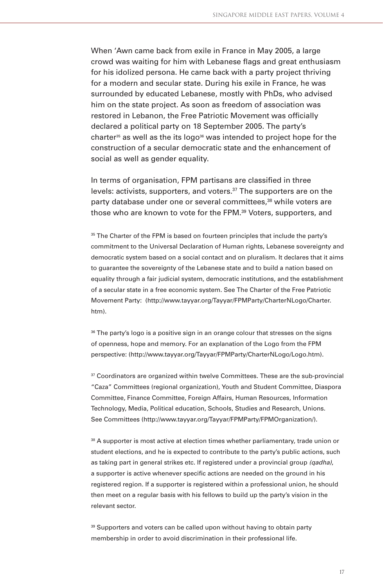When 'Awn came back from exile in France in May 2005, a large crowd was waiting for him with Lebanese flags and great enthusiasm for his idolized persona. He came back with a party project thriving for a modern and secular state. During his exile in France, he was surrounded by educated Lebanese, mostly with PhDs, who advised him on the state project. As soon as freedom of association was restored in Lebanon, the Free Patriotic Movement was officially declared a political party on 18 September 2005. The party's charter<sup>35</sup> as well as the its logo<sup>36</sup> was intended to project hope for the construction of a secular democratic state and the enhancement of social as well as gender equality.

In terms of organisation, FPM partisans are classified in three levels: activists, supporters, and voters.37 The supporters are on the party database under one or several committees,<sup>38</sup> while voters are those who are known to vote for the FPM.<sup>39</sup> Voters, supporters, and

<sup>35</sup> The Charter of the FPM is based on fourteen principles that include the party's commitment to the Universal Declaration of Human rights, Lebanese sovereignty and democratic system based on a social contact and on pluralism. It declares that it aims to guarantee the sovereignty of the Lebanese state and to build a nation based on equality through a fair judicial system, democratic institutions, and the establishment of a secular state in a free economic system. See The Charter of the Free Patriotic Movement Party: (http://www.tayyar.org/Tayyar/FPMParty/CharterNLogo/Charter. htm).

<sup>36</sup> The party's logo is a positive sign in an orange colour that stresses on the signs of openness, hope and memory. For an explanation of the Logo from the FPM perspective: (http://www.tayyar.org/Tayyar/FPMParty/CharterNLogo/Logo.htm).

37 Coordinators are organized within twelve Committees. These are the sub-provincial "Caza" Committees (regional organization), Youth and Student Committee, Diaspora Committee, Finance Committee, Foreign Affairs, Human Resources, Information Technology, Media, Political education, Schools, Studies and Research, Unions. See Committees (http://www.tayyar.org/Tayyar/FPMParty/FPMOrganization/).

38 A supporter is most active at election times whether parliamentary, trade union or student elections, and he is expected to contribute to the party's public actions, such as taking part in general strikes etc. If registered under a provincial group (*qadha)*, a supporter is active whenever specific actions are needed on the ground in his registered region. If a supporter is registered within a professional union, he should then meet on a regular basis with his fellows to build up the party's vision in the relevant sector.

<sup>39</sup> Supporters and voters can be called upon without having to obtain party membership in order to avoid discrimination in their professional life.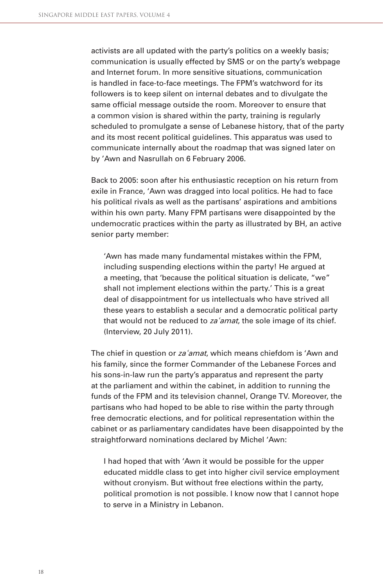activists are all updated with the party's politics on a weekly basis; communication is usually effected by SMS or on the party's webpage and Internet forum. In more sensitive situations, communication is handled in face-to-face meetings. The FPM's watchword for its followers is to keep silent on internal debates and to divulgate the same official message outside the room. Moreover to ensure that a common vision is shared within the party, training is regularly scheduled to promulgate a sense of Lebanese history, that of the party and its most recent political guidelines. This apparatus was used to communicate internally about the roadmap that was signed later on by 'Awn and Nasrullah on 6 February 2006.

Back to 2005: soon after his enthusiastic reception on his return from exile in France, 'Awn was dragged into local politics. He had to face his political rivals as well as the partisans' aspirations and ambitions within his own party. Many FPM partisans were disappointed by the undemocratic practices within the party as illustrated by BH, an active senior party member:

'Awn has made many fundamental mistakes within the FPM, including suspending elections within the party! He argued at a meeting, that 'because the political situation is delicate, "we" shall not implement elections within the party.' This is a great deal of disappointment for us intellectuals who have strived all these years to establish a secular and a democratic political party that would not be reduced to za *amat*, the sole image of its chief. (Interview, 20 July 2011).

The chief in question or za'amat, which means chiefdom is 'Awn and his family, since the former Commander of the Lebanese Forces and his sons-in-law run the party's apparatus and represent the party at the parliament and within the cabinet, in addition to running the funds of the FPM and its television channel, Orange TV. Moreover, the partisans who had hoped to be able to rise within the party through free democratic elections, and for political representation within the cabinet or as parliamentary candidates have been disappointed by the straightforward nominations declared by Michel 'Awn:

I had hoped that with 'Awn it would be possible for the upper educated middle class to get into higher civil service employment without cronyism. But without free elections within the party, political promotion is not possible. I know now that I cannot hope to serve in a Ministry in Lebanon.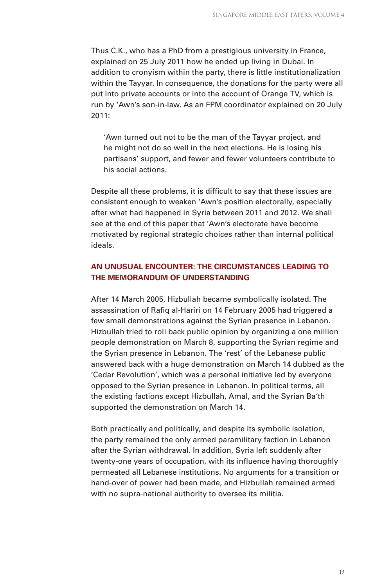Thus C.K., who has a PhD from a prestigious university in France, explained on 25 July 2011 how he ended up living in Dubai. In addition to cronyism within the party, there is little institutionalization within the Tayyar. In consequence, the donations for the party were all put into private accounts or into the account of Orange TV, which is run by 'Awn's son-in-law. As an FPM coordinator explained on 20 July 2011:

'Awn turned out not to be the man of the Tayyar project, and he might not do so well in the next elections. He is losing his partisans' support, and fewer and fewer volunteers contribute to his social actions.

Despite all these problems, it is difficult to say that these issues are consistent enough to weaken 'Awn's position electorally, especially after what had happened in Syria between 2011 and 2012. We shall see at the end of this paper that 'Awn's electorate have become motivated by regional strategic choices rather than internal political ideals.

### **AN UNUSUAL ENCOUNTER: THE CIRCUMSTANCES LEADING TO THE MEMORANDUM OF UNDERSTANDING**

After 14 March 2005, Hizbullah became symbolically isolated. The assassination of Rafig al-Hariri on 14 February 2005 had triggered a few small demonstrations against the Syrian presence in Lebanon. Hizbullah tried to roll back public opinion by organizing a one million people demonstration on March 8, supporting the Syrian regime and the Syrian presence in Lebanon. The 'rest' of the Lebanese public answered back with a huge demonstration on March 14 dubbed as the 'Cedar Revolution', which was a personal initiative led by everyone opposed to the Syrian presence in Lebanon. In political terms, all the existing factions except Hizbullah, Amal, and the Syrian Ba'th supported the demonstration on March 14.

Both practically and politically, and despite its symbolic isolation, the party remained the only armed paramilitary faction in Lebanon after the Syrian withdrawal. In addition, Syria left suddenly after twenty-one years of occupation, with its influence having thoroughly permeated all Lebanese institutions. No arguments for a transition or hand-over of power had been made, and Hizbullah remained armed with no supra-national authority to oversee its militia.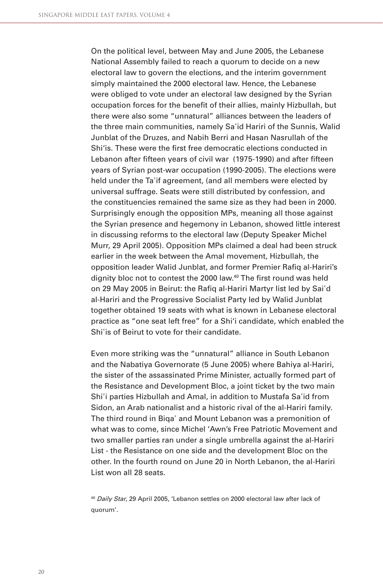On the political level, between May and June 2005, the Lebanese National Assembly failed to reach a quorum to decide on a new electoral law to govern the elections, and the interim government simply maintained the 2000 electoral law. Hence, the Lebanese were obliged to vote under an electoral law designed by the Syrian occupation forces for the benefit of their allies, mainly Hizbullah, but there were also some "unnatural" alliances between the leaders of the three main communities, namely Saʾid Hariri of the Sunnis, Walid Junblat of the Druzes, and Nabih Berri and Hasan Nasrullah of the Shi'is. These were the first free democratic elections conducted in Lebanon after fifteen years of civil war (1975-1990) and after fifteen years of Syrian post-war occupation (1990-2005). The elections were held under the Ta'if agreement, (and all members were elected by universal suffrage. Seats were still distributed by confession, and the constituencies remained the same size as they had been in 2000. Surprisingly enough the opposition MPs, meaning all those against the Syrian presence and hegemony in Lebanon, showed little interest in discussing reforms to the electoral law (Deputy Speaker Michel Murr, 29 April 2005). Opposition MPs claimed a deal had been struck earlier in the week between the Amal movement, Hizbullah, the opposition leader Walid Junblat, and former Premier Rafiq al-Hariri's dignity bloc not to contest the 2000 law.<sup>40</sup> The first round was held on 29 May 2005 in Beirut: the Rafiq al-Hariri Martyr list led by Sai'd al-Hariri and the Progressive Socialist Party led by Walid Junblat together obtained 19 seats with what is known in Lebanese electoral practice as "one seat left free" for a Shi'i candidate, which enabled the Shiʾis of Beirut to vote for their candidate.

Even more striking was the "unnatural" alliance in South Lebanon and the Nabatiya Governorate (5 June 2005) where Bahiya al-Hariri, the sister of the assassinated Prime Minister, actually formed part of the Resistance and Development Bloc, a joint ticket by the two main Shiʾi parties Hizbullah and Amal, in addition to Mustafa Saʾid from Sidon, an Arab nationalist and a historic rival of the al-Hariri family. The third round in Biqaʾ and Mount Lebanon was a premonition of what was to come, since Michel 'Awn's Free Patriotic Movement and two smaller parties ran under a single umbrella against the al-Hariri List - the Resistance on one side and the development Bloc on the other. In the fourth round on June 20 in North Lebanon, the al-Hariri List won all 28 seats.

<sup>40</sup> Daily Star, 29 April 2005, 'Lebanon settles on 2000 electoral law after lack of quorum'.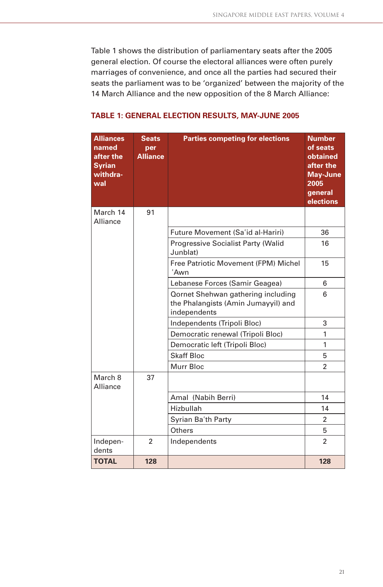Table 1 shows the distribution of parliamentary seats after the 2005 general election. Of course the electoral alliances were often purely marriages of convenience, and once all the parties had secured their seats the parliament was to be 'organized' between the majority of the 14 March Alliance and the new opposition of the 8 March Alliance:

| <b>Alliances</b><br>named<br>after the<br><b>Syrian</b><br>withdra-<br>wal | <b>Seats</b><br>per<br><b>Alliance</b> | <b>Parties competing for elections</b>                                                           | <b>Number</b><br>of seats<br>obtained<br>after the<br><b>May-June</b><br>2005<br>general<br>elections |
|----------------------------------------------------------------------------|----------------------------------------|--------------------------------------------------------------------------------------------------|-------------------------------------------------------------------------------------------------------|
| March 14<br>Alliance                                                       | 91                                     |                                                                                                  |                                                                                                       |
|                                                                            |                                        | Future Movement (Sa'id al-Hariri)                                                                | 36                                                                                                    |
|                                                                            |                                        | <b>Progressive Socialist Party (Walid</b><br>Junblat)                                            | 16                                                                                                    |
|                                                                            |                                        | Free Patriotic Movement (FPM) Michel<br>'Awn                                                     | 15                                                                                                    |
|                                                                            |                                        | Lebanese Forces (Samir Geagea)                                                                   | 6                                                                                                     |
|                                                                            |                                        | <b>Qornet Shehwan gathering including</b><br>the Phalangists (Amin Jumayyil) and<br>independents | 6                                                                                                     |
|                                                                            |                                        | Independents (Tripoli Bloc)                                                                      | 3                                                                                                     |
|                                                                            |                                        | Democratic renewal (Tripoli Bloc)                                                                | 1                                                                                                     |
|                                                                            |                                        | Democratic left (Tripoli Bloc)                                                                   | 1                                                                                                     |
|                                                                            |                                        | <b>Skaff Bloc</b>                                                                                | 5                                                                                                     |
|                                                                            |                                        | Murr Bloc                                                                                        | $\overline{2}$                                                                                        |
| March 8<br>Alliance                                                        | 37                                     |                                                                                                  |                                                                                                       |
|                                                                            |                                        | Amal (Nabih Berri)                                                                               | 14                                                                                                    |
|                                                                            |                                        | Hizbullah                                                                                        | 14                                                                                                    |
|                                                                            |                                        | Syrian Ba'th Party                                                                               | 2                                                                                                     |
|                                                                            |                                        | Others                                                                                           | 5                                                                                                     |
| Indepen-<br>dents                                                          | $\overline{2}$                         | Independents                                                                                     | $\overline{2}$                                                                                        |
| <b>TOTAL</b>                                                               | 128                                    |                                                                                                  | 128                                                                                                   |

#### **TABLE 1: GENERAL ELECTION RESULTS, MAY-JUNE 2005**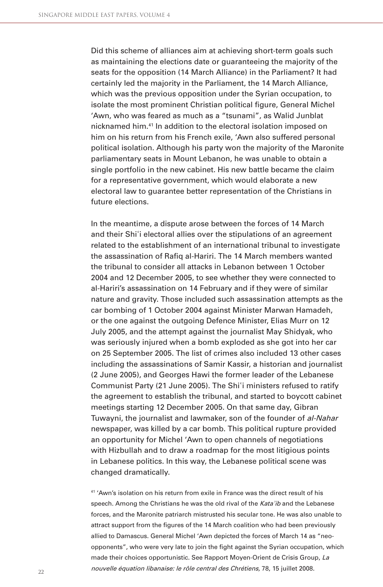Did this scheme of alliances aim at achieving short-term goals such as maintaining the elections date or guaranteeing the majority of the seats for the opposition (14 March Alliance) in the Parliament? It had certainly led the majority in the Parliament, the 14 March Alliance, which was the previous opposition under the Syrian occupation, to isolate the most prominent Christian political figure, General Michel 'Awn, who was feared as much as a "tsunami", as Walid Junblat nicknamed him.41 In addition to the electoral isolation imposed on him on his return from his French exile, 'Awn also suffered personal political isolation. Although his party won the majority of the Maronite parliamentary seats in Mount Lebanon, he was unable to obtain a single portfolio in the new cabinet. His new battle became the claim for a representative government, which would elaborate a new electoral law to guarantee better representation of the Christians in future elections.

In the meantime, a dispute arose between the forces of 14 March and their Shiʾi electoral allies over the stipulations of an agreement related to the establishment of an international tribunal to investigate the assassination of Rafig al-Hariri. The 14 March members wanted the tribunal to consider all attacks in Lebanon between 1 October 2004 and 12 December 2005, to see whether they were connected to al-Hariri's assassination on 14 February and if they were of similar nature and gravity. Those included such assassination attempts as the car bombing of 1 October 2004 against Minister Marwan Hamadeh, or the one against the outgoing Defence Minister, Elias Murr on 12 July 2005, and the attempt against the journalist May Shidyak, who was seriously injured when a bomb exploded as she got into her car on 25 September 2005. The list of crimes also included 13 other cases including the assassinations of Samir Kassir, a historian and journalist (2 June 2005), and Georges Hawi the former leader of the Lebanese Communist Party (21 June 2005). The Shiʾi ministers refused to ratify the agreement to establish the tribunal, and started to boycott cabinet meetings starting 12 December 2005. On that same day, Gibran Tuwayni, the journalist and lawmaker, son of the founder of al-Nahar newspaper, was killed by a car bomb. This political rupture provided an opportunity for Michel 'Awn to open channels of negotiations with Hizbullah and to draw a roadmap for the most litigious points in Lebanese politics. In this way, the Lebanese political scene was changed dramatically.

41 'Awn's isolation on his return from exile in France was the direct result of his speech. Among the Christians he was the old rival of the Kata'ib and the Lebanese forces, and the Maronite patriarch mistrusted his secular tone. He was also unable to attract support from the figures of the 14 March coalition who had been previously allied to Damascus. General Michel 'Awn depicted the forces of March 14 as "neoopponents", who were very late to join the fight against the Syrian occupation, which made their choices opportunistic. See Rapport Moyen-Orient de Crisis Group, La nouvelle équation libanaise: le rôle central des Chrétiens, 78, 15 juillet 2008.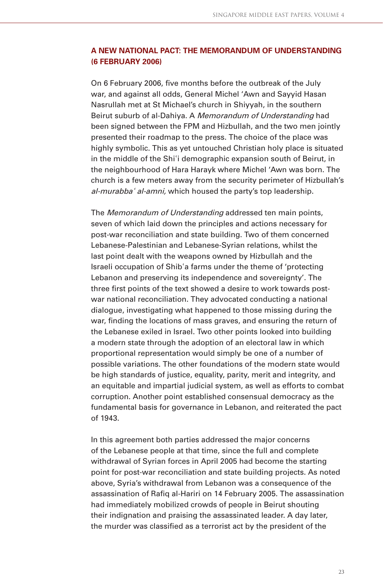### **A NEW NATIONAL PACT: THE MEMORANDUM OF UNDERSTANDING (6 FEBRUARY 2006)**

On 6 February 2006, five months before the outbreak of the July war, and against all odds, General Michel 'Awn and Sayyid Hasan Nasrullah met at St Michael's church in Shiyyah, in the southern Beirut suburb of al-Dahiya. A Memorandum of Understanding had been signed between the FPM and Hizbullah, and the two men jointly presented their roadmap to the press. The choice of the place was highly symbolic. This as yet untouched Christian holy place is situated in the middle of the Shiʾi demographic expansion south of Beirut, in the neighbourhood of Hara Harayk where Michel 'Awn was born. The church is a few meters away from the security perimeter of Hizbullah's al-murabba<sup>*'*</sup> al-amni, which housed the party's top leadership.

The *Memorandum of Understanding* addressed ten main points, seven of which laid down the principles and actions necessary for post-war reconciliation and state building. Two of them concerned Lebanese-Palestinian and Lebanese-Syrian relations, whilst the last point dealt with the weapons owned by Hizbullah and the Israeli occupation of Shibʾa farms under the theme of 'protecting Lebanon and preserving its independence and sovereignty'. The three first points of the text showed a desire to work towards postwar national reconciliation. They advocated conducting a national dialogue, investigating what happened to those missing during the war, finding the locations of mass graves, and ensuring the return of the Lebanese exiled in Israel. Two other points looked into building a modern state through the adoption of an electoral law in which proportional representation would simply be one of a number of possible variations. The other foundations of the modern state would be high standards of justice, equality, parity, merit and integrity, and an equitable and impartial judicial system, as well as efforts to combat corruption. Another point established consensual democracy as the fundamental basis for governance in Lebanon, and reiterated the pact of 1943.

In this agreement both parties addressed the major concerns of the Lebanese people at that time, since the full and complete withdrawal of Syrian forces in April 2005 had become the starting point for post-war reconciliation and state building projects. As noted above, Syria's withdrawal from Lebanon was a consequence of the assassination of Rafiq al-Hariri on 14 February 2005. The assassination had immediately mobilized crowds of people in Beirut shouting their indignation and praising the assassinated leader. A day later, the murder was classified as a terrorist act by the president of the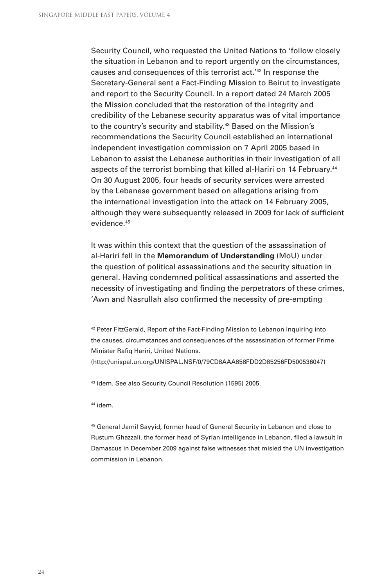Security Council, who requested the United Nations to 'follow closely the situation in Lebanon and to report urgently on the circumstances, causes and consequences of this terrorist act.'42 In response the Secretary-General sent a Fact-Finding Mission to Beirut to investigate and report to the Security Council. In a report dated 24 March 2005 the Mission concluded that the restoration of the integrity and credibility of the Lebanese security apparatus was of vital importance to the country's security and stability.<sup>43</sup> Based on the Mission's recommendations the Security Council established an international independent investigation commission on 7 April 2005 based in Lebanon to assist the Lebanese authorities in their investigation of all aspects of the terrorist bombing that killed al-Hariri on 14 February.<sup>44</sup> On 30 August 2005, four heads of security services were arrested by the Lebanese government based on allegations arising from the international investigation into the attack on 14 February 2005, although they were subsequently released in 2009 for lack of sufficient evidence <sup>45</sup>

It was within this context that the question of the assassination of al-Hariri fell in the **Memorandum of Understanding** (MoU) under the question of political assassinations and the security situation in general. Having condemned political assassinations and asserted the necessity of investigating and finding the perpetrators of these crimes, 'Awn and Nasrullah also confirmed the necessity of pre-empting

42 Peter FitzGerald, Report of the Fact-Finding Mission to Lebanon inquiring into the causes, circumstances and consequences of the assassination of former Prime Minister Rafiq Hariri, United Nations.

(http://unispal.un.org/UNISPAL.NSF/0/79CD8AAA858FDD2D85256FD500536047)

43 idem. See also Security Council Resolution (1595) 2005.

44 idem.

45 General Jamil Sayyid, former head of General Security in Lebanon and close to Rustum Ghazzali, the former head of Syrian intelligence in Lebanon, filed a lawsuit in Damascus in December 2009 against false witnesses that misled the UN investigation commission in Lebanon.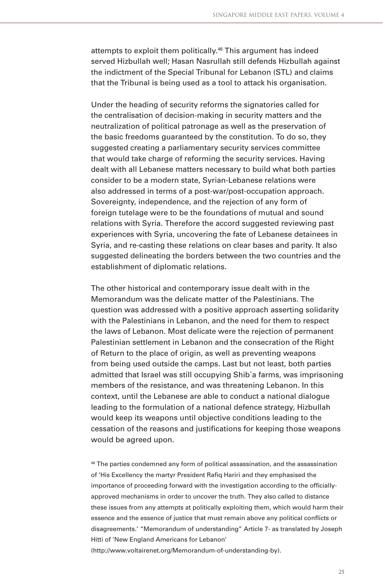attempts to exploit them politically.<sup>46</sup> This argument has indeed served Hizbullah well; Hasan Nasrullah still defends Hizbullah against the indictment of the Special Tribunal for Lebanon (STL) and claims that the Tribunal is being used as a tool to attack his organisation.

Under the heading of security reforms the signatories called for the centralisation of decision-making in security matters and the neutralization of political patronage as well as the preservation of the basic freedoms guaranteed by the constitution. To do so, they suggested creating a parliamentary security services committee that would take charge of reforming the security services. Having dealt with all Lebanese matters necessary to build what both parties consider to be a modern state, Syrian-Lebanese relations were also addressed in terms of a post-war/post-occupation approach. Sovereignty, independence, and the rejection of any form of foreign tutelage were to be the foundations of mutual and sound relations with Syria. Therefore the accord suggested reviewing past experiences with Syria, uncovering the fate of Lebanese detainees in Syria, and re-casting these relations on clear bases and parity. It also suggested delineating the borders between the two countries and the establishment of diplomatic relations.

The other historical and contemporary issue dealt with in the Memorandum was the delicate matter of the Palestinians. The question was addressed with a positive approach asserting solidarity with the Palestinians in Lebanon, and the need for them to respect the laws of Lebanon. Most delicate were the rejection of permanent Palestinian settlement in Lebanon and the consecration of the Right of Return to the place of origin, as well as preventing weapons from being used outside the camps. Last but not least, both parties admitted that Israel was still occupying Shibʾa farms, was imprisoning members of the resistance, and was threatening Lebanon. In this context, until the Lebanese are able to conduct a national dialogue leading to the formulation of a national defence strategy, Hizbullah would keep its weapons until objective conditions leading to the cessation of the reasons and justifications for keeping those weapons would be agreed upon.

46 The parties condemned any form of political assassination, and the assassination of 'His Excellency the martyr President Rafiq Hariri and they emphasised the importance of proceeding forward with the investigation according to the officiallyapproved mechanisms in order to uncover the truth. They also called to distance these issues from any attempts at politically exploiting them, which would harm their essence and the essence of justice that must remain above any political conflicts or disagreements.' "Memorandum of understanding" Article 7- as translated by Joseph Hitti of 'New England Americans for Lebanon'

(http://www.voltairenet.org/Memorandum-of-understanding-by).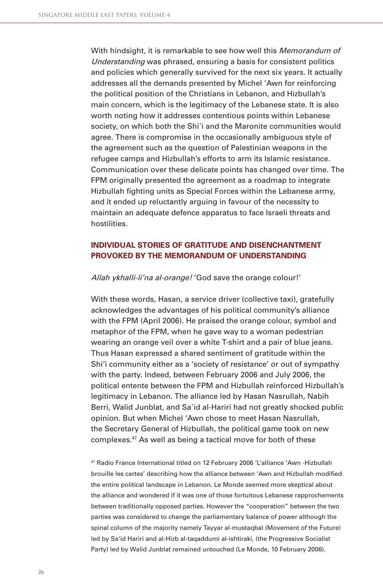With hindsight, it is remarkable to see how well this *Memorandum of* Understanding was phrased, ensuring a basis for consistent politics and policies which generally survived for the next six years. It actually addresses all the demands presented by Michel 'Awn for reinforcing the political position of the Christians in Lebanon, and Hizbullah's main concern, which is the legitimacy of the Lebanese state. It is also worth noting how it addresses contentious points within Lebanese society, on which both the Shi'i and the Maronite communities would agree. There is compromise in the occasionally ambiguous style of the agreement such as the question of Palestinian weapons in the refugee camps and Hizbullah's efforts to arm its Islamic resistance. Communication over these delicate points has changed over time. The FPM originally presented the agreement as a roadmap to integrate Hizbullah fighting units as Special Forces within the Lebanese army, and it ended up reluctantly arguing in favour of the necessity to maintain an adequate defence apparatus to face Israeli threats and hostilities.

### **INDIVIDUAL STORIES OF GRATITUDE AND DISENCHANTMENT PROVOKED BY THE MEMORANDUM OF UNDERSTANDING**

Allah ykhalli-li'na al-orange! 'God save the orange colour!'

With these words, Hasan, a service driver (collective taxi), gratefully acknowledges the advantages of his political community's alliance with the FPM (April 2006). He praised the orange colour, symbol and metaphor of the FPM, when he gave way to a woman pedestrian wearing an orange veil over a white T-shirt and a pair of blue jeans. Thus Hasan expressed a shared sentiment of gratitude within the Shi'i community either as a 'society of resistance' or out of sympathy with the party. Indeed, between February 2006 and July 2006, the political entente between the FPM and Hizbullah reinforced Hizbullah's legitimacy in Lebanon. The alliance led by Hasan Nasrullah, Nabih Berri, Walid Junblat, and Sa'id al-Hariri had not greatly shocked public opinion. But when Michel 'Awn chose to meet Hasan Nasrullah, the Secretary General of Hizbullah, the political game took on new complexes.47 As well as being a tactical move for both of these

47 Radio France International titled on 12 February 2006 'L'alliance 'Awn -Hizbullah brouille les cartes' describing how the alliance between 'Awn and Hizbullah modified the entire political landscape in Lebanon. Le Monde seemed more skeptical about the alliance and wondered if it was one of those fortuitous Lebanese rapprochements between traditionally opposed parties. However the "cooperation" between the two parties was considered to change the parliamentary balance of power although the spinal column of the majority namely Tayyar al-mustaqbal (Movement of the Future) led by Sa'id Hariri and al-Hizb al-taqaddumi al-ishtiraki, (the Progressive Socialist Party) led by Walid Junblat remained untouched (Le Monde, 10 February 2006).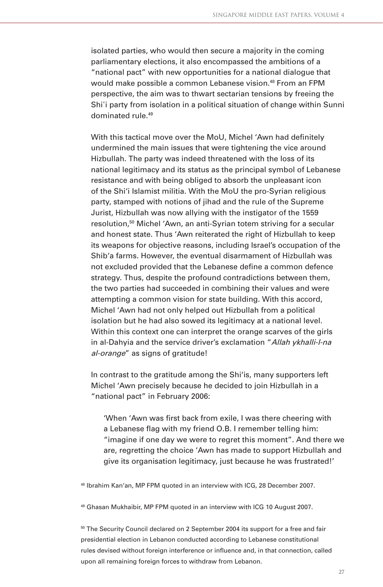isolated parties, who would then secure a majority in the coming parliamentary elections, it also encompassed the ambitions of a "national pact" with new opportunities for a national dialogue that would make possible a common Lebanese vision.<sup>48</sup> From an FPM perspective, the aim was to thwart sectarian tensions by freeing the Shi'i party from isolation in a political situation of change within Sunni dominated rule.49

With this tactical move over the MoU, Michel 'Awn had definitely undermined the main issues that were tightening the vice around Hizbullah. The party was indeed threatened with the loss of its national legitimacy and its status as the principal symbol of Lebanese resistance and with being obliged to absorb the unpleasant icon of the Shi'i Islamist militia. With the MoU the pro-Syrian religious party, stamped with notions of jihad and the rule of the Supreme Jurist, Hizbullah was now allying with the instigator of the 1559 resolution,50 Michel 'Awn, an anti-Syrian totem striving for a secular and honest state. Thus 'Awn reiterated the right of Hizbullah to keep its weapons for objective reasons, including Israel's occupation of the Shib'a farms. However, the eventual disarmament of Hizbullah was not excluded provided that the Lebanese define a common defence strategy. Thus, despite the profound contradictions between them, the two parties had succeeded in combining their values and were attempting a common vision for state building. With this accord, Michel 'Awn had not only helped out Hizbullah from a political isolation but he had also sowed its legitimacy at a national level. Within this context one can interpret the orange scarves of the girls in al-Dahyia and the service driver's exclamation "Allah ykhalli-l-na al-orange" as signs of gratitude!

In contrast to the gratitude among the Shi'is, many supporters left Michel 'Awn precisely because he decided to join Hizbullah in a "national pact" in February 2006:

'When 'Awn was first back from exile, I was there cheering with a Lebanese flag with my friend O.B. I remember telling him: "imagine if one day we were to regret this moment". And there we are, regretting the choice 'Awn has made to support Hizbullah and give its organisation legitimacy, just because he was frustrated!'

48 Ibrahim Kan'an, MP FPM quoted in an interview with ICG, 28 December 2007.

49 Ghasan Mukhaibir, MP FPM quoted in an interview with ICG 10 August 2007.

<sup>50</sup> The Security Council declared on 2 September 2004 its support for a free and fair presidential election in Lebanon conducted according to Lebanese constitutional rules devised without foreign interference or influence and, in that connection, called upon all remaining foreign forces to withdraw from Lebanon.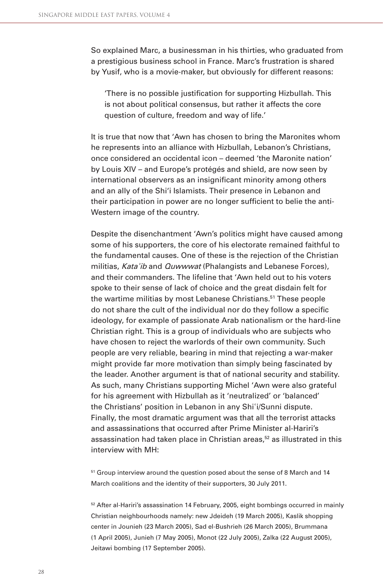So explained Marc, a businessman in his thirties, who graduated from a prestigious business school in France. Marc's frustration is shared by Yusif, who is a movie-maker, but obviously for different reasons:

'There is no possible justification for supporting Hizbullah. This is not about political consensus, but rather it affects the core question of culture, freedom and way of life.'

It is true that now that 'Awn has chosen to bring the Maronites whom he represents into an alliance with Hizbullah, Lebanon's Christians, once considered an occidental icon – deemed 'the Maronite nation' by Louis XIV – and Europe's protégés and shield, are now seen by international observers as an insignificant minority among others and an ally of the Shi'i Islamists. Their presence in Lebanon and their participation in power are no longer sufficient to belie the anti-Western image of the country.

Despite the disenchantment 'Awn's politics might have caused among some of his supporters, the core of his electorate remained faithful to the fundamental causes. One of these is the rejection of the Christian militias, Kata'ib and *Quwwwat* (Phalangists and Lebanese Forces), and their commanders. The lifeline that 'Awn held out to his voters spoke to their sense of lack of choice and the great disdain felt for the wartime militias by most Lebanese Christians.<sup>51</sup> These people do not share the cult of the individual nor do they follow a specific ideology, for example of passionate Arab nationalism or the hard-line Christian right. This is a group of individuals who are subjects who have chosen to reject the warlords of their own community. Such people are very reliable, bearing in mind that rejecting a war-maker might provide far more motivation than simply being fascinated by the leader. Another argument is that of national security and stability. As such, many Christians supporting Michel 'Awn were also grateful for his agreement with Hizbullah as it 'neutralized' or 'balanced' the Christians' position in Lebanon in any Shiʾi/Sunni dispute. Finally, the most dramatic argument was that all the terrorist attacks and assassinations that occurred after Prime Minister al-Hariri's assassination had taken place in Christian areas,<sup>52</sup> as illustrated in this interview with MH:

<sup>51</sup> Group interview around the question posed about the sense of 8 March and 14 March coalitions and the identity of their supporters, 30 July 2011.

<sup>52</sup> After al-Hariri's assassination 14 February, 2005, eight bombings occurred in mainly Christian neighbourhoods namely: new Jdeideh (19 March 2005), Kaslik shopping center in Jounieh (23 March 2005), Sad el-Bushrieh (26 March 2005), Brummana (1 April 2005), Junieh (7 May 2005), Monot (22 July 2005), Zalka (22 August 2005), Jeitawi bombing (17 September 2005).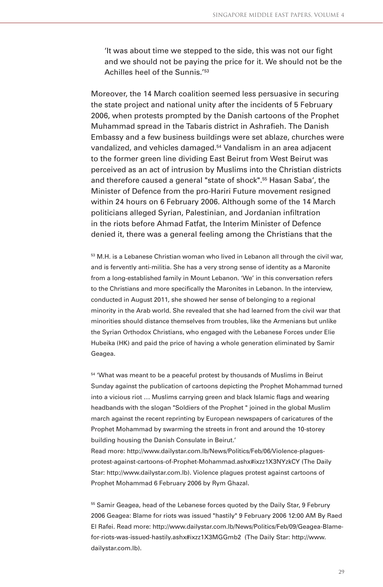It was about time we stepped to the side, this was not our fight and we should not be paying the price for it. We should not be the Achilles heel of the Sunnis.<sup>'53</sup>

Moreover, the 14 March coalition seemed less persuasive in securing the state project and national unity after the incidents of 5 February 2006, when protests prompted by the Danish cartoons of the Prophet Muhammad spread in the Tabaris district in Ashrafieh. The Danish Embassy and a few business buildings were set ablaze, churches were vandalized, and vehicles damaged.54 Vandalism in an area adjacent to the former green line dividing East Beirut from West Beirut was perceived as an act of intrusion by Muslims into the Christian districts and therefore caused a general "state of shock".55 Hasan Saba', the Minister of Defence from the pro-Hariri Future movement resigned within 24 hours on 6 February 2006. Although some of the 14 March politicians alleged Syrian, Palestinian, and Jordanian infiltration in the riots before Ahmad Fatfat, the Interim Minister of Defence denied it, there was a general feeling among the Christians that the

 $53$  M.H. is a Lebanese Christian woman who lived in Lebanon all through the civil war, and is fervently anti-militia. She has a very strong sense of identity as a Maronite from a long-established family in Mount Lebanon. 'We' in this conversation refers to the Christians and more specifically the Maronites in Lebanon. In the interview, conducted in August 2011, she showed her sense of belonging to a regional minority in the Arab world. She revealed that she had learned from the civil war that minorities should distance themselves from troubles, like the Armenians but unlike the Syrian Orthodox Christians, who engaged with the Lebanese Forces under Elie Hubeika (HK) and paid the price of having a whole generation eliminated by Samir Geagea.

54 'What was meant to be a peaceful protest by thousands of Muslims in Beirut Sunday against the publication of cartoons depicting the Prophet Mohammad turned into a vicious riot ... Muslims carrying green and black Islamic flags and wearing headbands with the slogan "Soldiers of the Prophet " joined in the global Muslim march against the recent reprinting by European newspapers of caricatures of the Prophet Mohammad by swarming the streets in front and around the 10-storey building housing the Danish Consulate in Beirut.'

Read more: http://www.dailystar.com.lb/News/Politics/Feb/06/Violence-plaguesprotest-against-cartoons-of-Prophet-Mohammad.ashx#ixzz1X3NYzkCY (The Daily Star: http://www.dailystar.com.lb). Violence plagues protest against cartoons of Prophet Mohammad 6 February 2006 by Rym Ghazal.

<sup>55</sup> Samir Geagea, head of the Lebanese forces quoted by the Daily Star, 9 Februry 2006 Geagea: Blame for riots was issued "hastily" 9 February 2006 12:00 AM By Raed El Rafei. Read more: http://www.dailystar.com.lb/News/Politics/Feb/09/Geagea-Blamefor-riots-was-issued-hastily.ashx#ixzz1X3MGGmb2 (The Daily Star: http://www. dailystar.com.lb).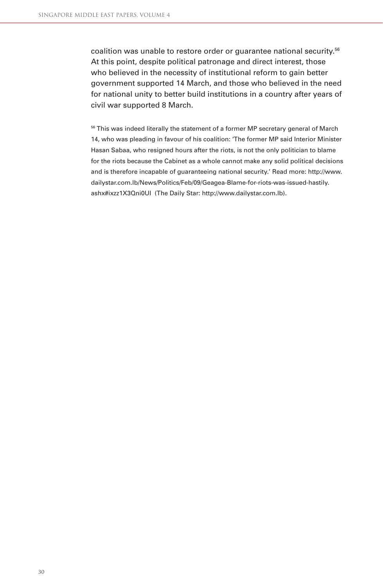coalition was unable to restore order or guarantee national security.<sup>56</sup> At this point, despite political patronage and direct interest, those who believed in the necessity of institutional reform to gain better government supported 14 March, and those who believed in the need for national unity to better build institutions in a country after years of civil war supported 8 March.

<sup>56</sup> This was indeed literally the statement of a former MP secretary general of March 14, who was pleading in favour of his coalition: 'The former MP said Interior Minister Hasan Sabaa, who resigned hours after the riots, is not the only politician to blame for the riots because the Cabinet as a whole cannot make any solid political decisions and is therefore incapable of guaranteeing national security.' Read more: http://www. dailystar.com.lb/News/Politics/Feb/09/Geagea-Blame-for-riots-was-issued-hastily. ashx#ixzz1X3Qni0UI (The Daily Star: http://www.dailystar.com.lb).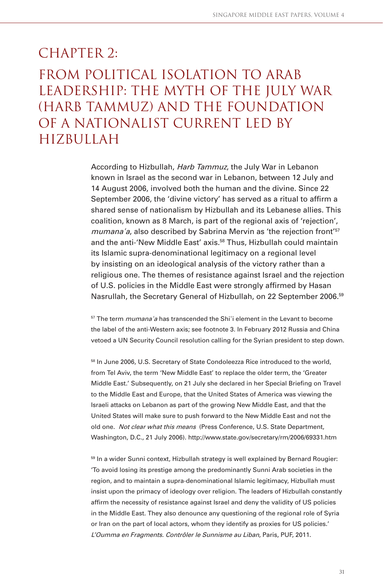## $CHAPTER$  2: From political isolation to Arab leadership: the myth of the July war (Harb Tammuz) and the foundation of a nationalist current led by Hizbullah

According to Hizbullah, Harb Tammuz, the July War in Lebanon known in Israel as the second war in Lebanon, between 12 July and 14 August 2006, involved both the human and the divine. Since 22 September 2006, the 'divine victory' has served as a ritual to affirm a shared sense of nationalism by Hizbullah and its Lebanese allies. This coalition, known as 8 March, is part of the regional axis of 'rejection', mumana'a, also described by Sabrina Mervin as 'the rejection front'<sup>57</sup> and the anti-'New Middle East' axis.<sup>58</sup> Thus, Hizbullah could maintain its Islamic supra-denominational legitimacy on a regional level by insisting on an ideological analysis of the victory rather than a religious one. The themes of resistance against Israel and the rejection of U.S. policies in the Middle East were strongly affirmed by Hasan Nasrullah, the Secretary General of Hizbullah, on 22 September 2006.59

<sup>57</sup> The term *mumana* a has transcended the Shi'i element in the Levant to become the label of the anti-Western axis; see footnote 3. In February 2012 Russia and China vetoed a UN Security Council resolution calling for the Syrian president to step down.

58 In June 2006, U.S. Secretary of State Condoleezza Rice introduced to the world, from Tel Aviv, the term 'New Middle East' to replace the older term, the 'Greater Middle East.' Subsequently, on 21 July she declared in her Special Briefing on Travel to the Middle East and Europe, that the United States of America was viewing the Israeli attacks on Lebanon as part of the growing New Middle East, and that the United States will make sure to push forward to the New Middle East and not the old one. Not clear what this means (Press Conference, U.S. State Department, Washington, D.C., 21 July 2006). http://www.state.gov/secretary/rm/2006/69331.htm

<sup>59</sup> In a wider Sunni context, Hizbullah strategy is well explained by Bernard Rougier: 'To avoid losing its prestige among the predominantly Sunni Arab societies in the region, and to maintain a supra-denominational Islamic legitimacy, Hizbullah must insist upon the primacy of ideology over religion. The leaders of Hizbullah constantly affirm the necessity of resistance against Israel and deny the validity of US policies in the Middle East. They also denounce any questioning of the regional role of Syria or Iran on the part of local actors, whom they identify as proxies for US policies.' L'Oumma en Fragments. Contrôler le Sunnisme au Liban, Paris, PUF, 2011.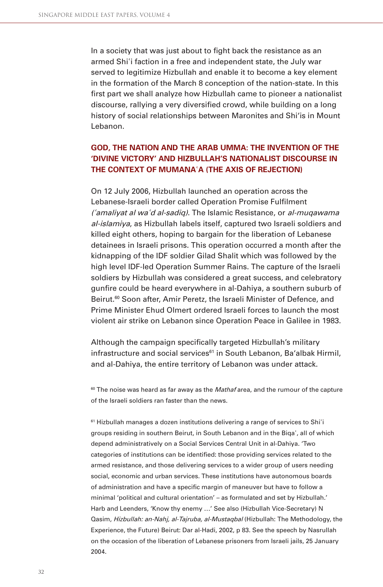In a society that was just about to fight back the resistance as an armed Shiʾi faction in a free and independent state, the July war served to legitimize Hizbullah and enable it to become a key element in the formation of the March 8 conception of the nation-state. In this first part we shall analyze how Hizbullah came to pioneer a nationalist discourse, rallying a very diversified crowd, while building on a long history of social relationships between Maronites and Shi'is in Mount Lebanon.

### **GOD, THE NATION AND THE ARAB UMMA: THE INVENTION OF THE 'DIVINE VICTORY' AND HIZBULLAH'S NATIONALIST DISCOURSE IN THE CONTEXT OF MUMANA**ʾ**A (THE AXIS OF REJECTION)**

On 12 July 2006, Hizbullah launched an operation across the Lebanese-Israeli border called Operation Promise Fulfilment (<sup>ʾ</sup>amaliyat al wa<sup>ʾ</sup>d al-sadiq). The Islamic Resistance, or al-muqawama al-islamiya, as Hizbullah labels itself, captured two Israeli soldiers and killed eight others, hoping to bargain for the liberation of Lebanese detainees in Israeli prisons. This operation occurred a month after the kidnapping of the IDF soldier Gilad Shalit which was followed by the high level IDF-led Operation Summer Rains. The capture of the Israeli soldiers by Hizbullah was considered a great success, and celebratory gunfire could be heard everywhere in al-Dahiya, a southern suburb of Beirut.<sup>60</sup> Soon after, Amir Peretz, the Israeli Minister of Defence, and Prime Minister Ehud Olmert ordered Israeli forces to launch the most violent air strike on Lebanon since Operation Peace in Galilee in 1983.

Although the campaign specifically targeted Hizbullah's military infrastructure and social services<sup>61</sup> in South Lebanon, Ba'albak Hirmil, and al-Dahiya, the entire territory of Lebanon was under attack.

 $60$  The noise was heard as far away as the *Mathaf* area, and the rumour of the capture of the Israeli soldiers ran faster than the news.

<sup>61</sup> Hizbullah manages a dozen institutions delivering a range of services to Shi<sup>1</sup>i groups residing in southern Beirut, in South Lebanon and in the Biqaʾ, all of which depend administratively on a Social Services Central Unit in al-Dahiya. 'Two categories of institutions can be identified: those providing services related to the armed resistance, and those delivering services to a wider group of users needing social, economic and urban services. These institutions have autonomous boards of administration and have a specific margin of maneuver but have to follow a minimal 'political and cultural orientation' – as formulated and set by Hizbullah.' Harb and Leenders, 'Know thy enemy …' See also (Hizbullah Vice-Secretary) N Qasim, Hizbullah: an-Nahj, al-Tajruba, al-Mustaqbal (Hizbullah: The Methodology, the Experience, the Future) Beirut: Dar al-Hadi, 2002, p 83. See the speech by Nasrullah on the occasion of the liberation of Lebanese prisoners from Israeli jails, 25 January 2004.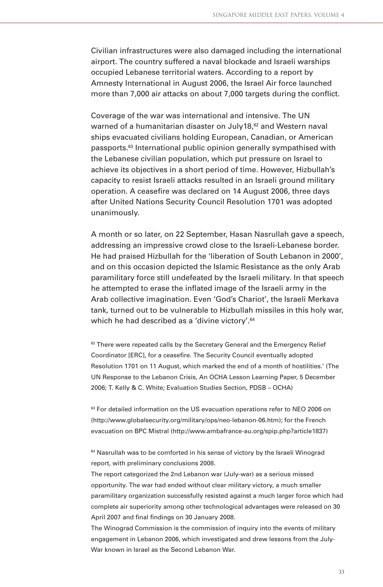Civilian infrastructures were also damaged including the international airport. The country suffered a naval blockade and Israeli warships occupied Lebanese territorial waters. According to a report by Amnesty International in August 2006, the Israel Air force launched more than 7,000 air attacks on about 7,000 targets during the conflict.

Coverage of the war was international and intensive. The UN warned of a humanitarian disaster on July18,<sup>62</sup> and Western naval ships evacuated civilians holding European, Canadian, or American passports.<sup>63</sup> International public opinion generally sympathised with the Lebanese civilian population, which put pressure on Israel to achieve its objectives in a short period of time. However, Hizbullah's capacity to resist Israeli attacks resulted in an Israeli ground military operation. A ceasefire was declared on 14 August 2006, three days after United Nations Security Council Resolution 1701 was adopted unanimously.

A month or so later, on 22 September, Hasan Nasrullah gave a speech, addressing an impressive crowd close to the Israeli-Lebanese border. He had praised Hizbullah for the 'liberation of South Lebanon in 2000', and on this occasion depicted the Islamic Resistance as the only Arab paramilitary force still undefeated by the Israeli military. In that speech he attempted to erase the inflated image of the Israeli army in the Arab collective imagination. Even 'God's Chariot', the Israeli Merkava tank, turned out to be vulnerable to Hizbullah missiles in this holy war, which he had described as a 'divine victory'.<sup>64</sup>

<sup>62</sup> There were repeated calls by the Secretary General and the Emergency Relief Coordinator [ERC], for a ceasefire. The Security Council eventually adopted Resolution 1701 on 11 August, which marked the end of a month of hostilities.' (The UN Response to the Lebanon Crisis, An OCHA Lesson Learning Paper, 5 December 2006; T. Kelly & C. White; Evaluation Studies Section, PDSB – OCHA)

<sup>63</sup> For detailed information on the US evacuation operations refer to NEO 2006 on (http://www.globalsecurity.org/military/ops/neo-lebanon-06.htm); for the French evacuation on BPC Mistral (http://www.ambafrance-au.org/spip.php?article1837)

<sup>64</sup> Nasrullah was to be comforted in his sense of victory by the Israeli Winograd report, with preliminary conclusions 2008.

The report categorized the 2nd Lebanon war (July-war) as a serious missed opportunity. The war had ended without clear military victory, a much smaller paramilitary organization successfully resisted against a much larger force which had complete air superiority among other technological advantages were released on 30 April 2007 and final findings on 30 January 2008.

The Winograd Commission is the commission of inquiry into the events of military engagement in Lebanon 2006, which investigated and drew lessons from the July-War known in Israel as the Second Lebanon War.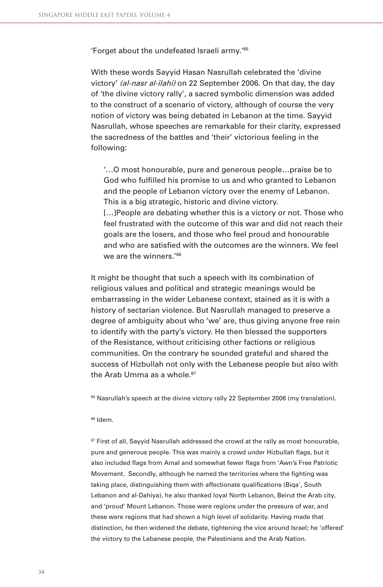'Forget about the undefeated Israeli army.'65

With these words Sayyid Hasan Nasrullah celebrated the 'divine victory' (al-nasr al-ilahi) on 22 September 2006. On that day, the day of 'the divine victory rally', a sacred symbolic dimension was added to the construct of a scenario of victory, although of course the very notion of victory was being debated in Lebanon at the time. Sayyid Nasrullah, whose speeches are remarkable for their clarity, expressed the sacredness of the battles and 'their' victorious feeling in the following:

'…O most honourable, pure and generous people…praise be to God who fulfilled his promise to us and who granted to Lebanon and the people of Lebanon victory over the enemy of Lebanon. This is a big strategic, historic and divine victory. [...]People are debating whether this is a victory or not. Those who

feel frustrated with the outcome of this war and did not reach their goals are the losers, and those who feel proud and honourable and who are satisfied with the outcomes are the winners. We feel we are the winners.<sup>'66</sup>

It might be thought that such a speech with its combination of religious values and political and strategic meanings would be embarrassing in the wider Lebanese context, stained as it is with a history of sectarian violence. But Nasrullah managed to preserve a degree of ambiguity about who 'we' are, thus giving anyone free rein to identify with the party's victory. He then blessed the supporters of the Resistance, without criticising other factions or religious communities. On the contrary he sounded grateful and shared the success of Hizbullah not only with the Lebanese people but also with the Arab Umma as a whole.<sup>67</sup>

<sup>65</sup> Nasrullah's speech at the divine victory rally 22 September 2006 (my translation).

#### $66$  Idem

 $67$  First of all, Sayyid Nasrullah addressed the crowd at the rally as most honourable, pure and generous people. This was mainly a crowd under Hizbullah flags, but it also included flags from Amal and somewhat fewer flags from 'Awn's Free Patriotic Movement. Secondly, although he named the territories where the fighting was taking place, distinguishing them with affectionate qualifications (Biqa', South Lebanon and al-Dahiya), he also thanked loyal North Lebanon, Beirut the Arab city, and 'proud' Mount Lebanon. Those were regions under the pressure of war, and these were regions that had shown a high level of solidarity. Having made that distinction, he then widened the debate, tightening the vice around Israel; he 'offered' the victory to the Lebanese people, the Palestinians and the Arab Nation.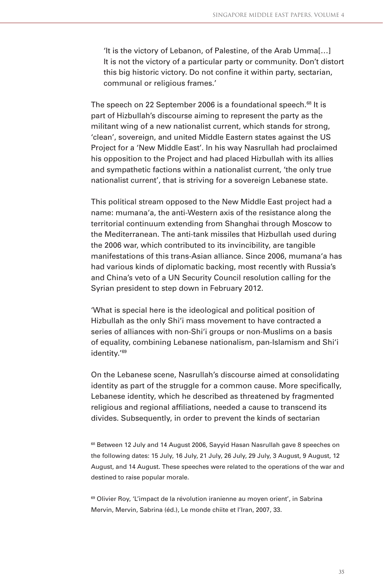'It is the victory of Lebanon, of Palestine, of the Arab Umma[…] It is not the victory of a particular party or community. Don't distort this big historic victory. Do not confine it within party, sectarian, communal or religious frames.'

The speech on 22 September 2006 is a foundational speech.<sup>68</sup> It is part of Hizbullah's discourse aiming to represent the party as the militant wing of a new nationalist current, which stands for strong, 'clean', sovereign, and united Middle Eastern states against the US Project for a 'New Middle East'. In his way Nasrullah had proclaimed his opposition to the Project and had placed Hizbullah with its allies and sympathetic factions within a nationalist current, 'the only true nationalist current', that is striving for a sovereign Lebanese state.

This political stream opposed to the New Middle East project had a name: mumana'a, the anti-Western axis of the resistance along the territorial continuum extending from Shanghai through Moscow to the Mediterranean. The anti-tank missiles that Hizbullah used during the 2006 war, which contributed to its invincibility, are tangible manifestations of this trans-Asian alliance. Since 2006, mumana'a has had various kinds of diplomatic backing, most recently with Russia's and China's veto of a UN Security Council resolution calling for the Syrian president to step down in February 2012.

'What is special here is the ideological and political position of Hizbullah as the only Shi'i mass movement to have contracted a series of alliances with non-Shi'i groups or non-Muslims on a basis of equality, combining Lebanese nationalism, pan-Islamism and Shi'i identity.'69

On the Lebanese scene, Nasrullah's discourse aimed at consolidating identity as part of the struggle for a common cause. More specifically, Lebanese identity, which he described as threatened by fragmented religious and regional affiliations, needed a cause to transcend its divides. Subsequently, in order to prevent the kinds of sectarian

68 Between 12 July and 14 August 2006, Sayyid Hasan Nasrullah gave 8 speeches on the following dates: 15 July, 16 July, 21 July, 26 July, 29 July, 3 August, 9 August, 12 August, and 14 August. These speeches were related to the operations of the war and destined to raise popular morale.

<sup>69</sup> Olivier Roy, 'L'impact de la révolution iranienne au moyen orient', in Sabrina Mervin, Mervin, Sabrina (éd.), Le monde chiite et l'Iran, 2007, 33.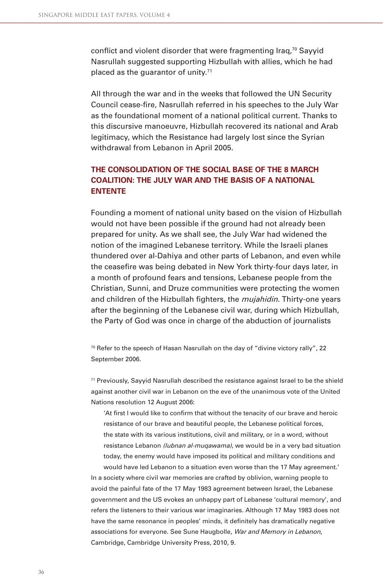conflict and violent disorder that were fragmenting Iraq,<sup>70</sup> Sayyid Nasrullah suggested supporting Hizbullah with allies, which he had placed as the guarantor of unity.<sup>71</sup>

All through the war and in the weeks that followed the UN Security Council cease-fire, Nasrullah referred in his speeches to the July War as the foundational moment of a national political current. Thanks to this discursive manoeuvre, Hizbullah recovered its national and Arab legitimacy, which the Resistance had largely lost since the Syrian withdrawal from Lebanon in April 2005.

## **THE CONSOLIDATION OF THE SOCIAL BASE OF THE 8 MARCH COALITION: THE JULY WAR AND THE BASIS OF A NATIONAL ENTENTE**

Founding a moment of national unity based on the vision of Hizbullah would not have been possible if the ground had not already been prepared for unity. As we shall see, the July War had widened the notion of the imagined Lebanese territory. While the Israeli planes thundered over al-Dahiya and other parts of Lebanon, and even while the ceasefire was being debated in New York thirty-four days later, in a month of profound fears and tensions, Lebanese people from the Christian, Sunni, and Druze communities were protecting the women and children of the Hizbullah fighters, the *mujahidin*. Thirty-one years after the beginning of the Lebanese civil war, during which Hizbullah, the Party of God was once in charge of the abduction of journalists

 $70$  Refer to the speech of Hasan Nasrullah on the day of "divine victory rally", 22 September 2006.

 $71$  Previously, Sayyid Nasrullah described the resistance against Israel to be the shield against another civil war in Lebanon on the eve of the unanimous vote of the United Nations resolution 12 August 2006:

'At first I would like to confirm that without the tenacity of our brave and heroic resistance of our brave and beautiful people, the Lebanese political forces, the state with its various institutions, civil and military, or in a word, without resistance Lebanon (lubnan al-muqawama), we would be in a very bad situation today, the enemy would have imposed its political and military conditions and

would have led Lebanon to a situation even worse than the 17 May agreement.' In a society where civil war memories are crafted by oblivion, warning people to avoid the painful fate of the 17 May 1983 agreement between Israel, the Lebanese government and the US evokes an unhappy part of Lebanese 'cultural memory', and refers the listeners to their various war imaginaries. Although 17 May 1983 does not have the same resonance in peoples' minds, it definitely has dramatically negative associations for everyone. See Sune Haugbolle, War and Memory in Lebanon, Cambridge, Cambridge University Press, 2010, 9.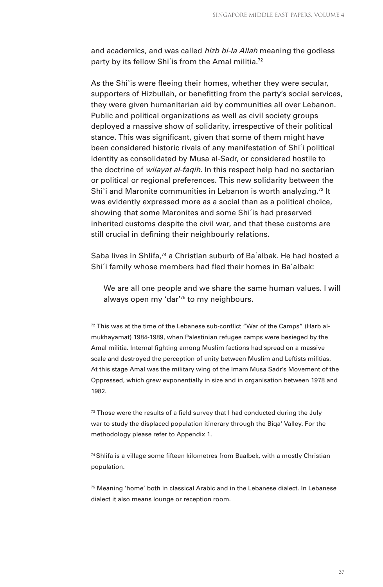and academics, and was called *hizb bi-la Allah* meaning the godless party by its fellow Shi'is from the Amal militia.<sup>72</sup>

As the Shi'is were fleeing their homes, whether they were secular, supporters of Hizbullah, or benefitting from the party's social services, they were given humanitarian aid by communities all over Lebanon. Public and political organizations as well as civil society groups deployed a massive show of solidarity, irrespective of their political stance. This was significant, given that some of them might have been considered historic rivals of any manifestation of Shiʾi political identity as consolidated by Musa al-Sadr, or considered hostile to the doctrine of *wilayat al-faqih*. In this respect help had no sectarian or political or regional preferences. This new solidarity between the Shi'i and Maronite communities in Lebanon is worth analyzing.<sup>73</sup> It was evidently expressed more as a social than as a political choice, showing that some Maronites and some Shiʾis had preserved inherited customs despite the civil war, and that these customs are still crucial in defining their neighbourly relations.

Saba lives in Shlifa,<sup>74</sup> a Christian suburb of Ba'albak. He had hosted a Shi'i family whose members had fled their homes in Ba'albak:

We are all one people and we share the same human values. I will always open my 'dar'75 to my neighbours.

 $72$  This was at the time of the Lebanese sub-conflict "War of the Camps" (Harb almukhayamat) 1984-1989, when Palestinian refugee camps were besieged by the Amal militia. Internal fighting among Muslim factions had spread on a massive scale and destroyed the perception of unity between Muslim and Leftists militias. At this stage Amal was the military wing of the Imam Musa Sadr's Movement of the Oppressed, which grew exponentially in size and in organisation between 1978 and 1982.

 $73$  Those were the results of a field survey that I had conducted during the July war to study the displaced population itinerary through the Biqa' Valley. For the methodology please refer to Appendix 1.

 $74$  Shlifa is a village some fifteen kilometres from Baalbek, with a mostly Christian population.

75 Meaning 'home' both in classical Arabic and in the Lebanese dialect. In Lebanese dialect it also means lounge or reception room.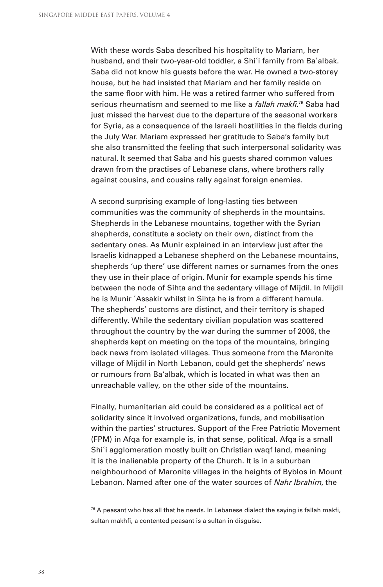With these words Saba described his hospitality to Mariam, her husband, and their two-year-old toddler, a Shi`i family from Ba`albak. Saba did not know his guests before the war. He owned a two-storey house, but he had insisted that Mariam and her family reside on the same floor with him. He was a retired farmer who suffered from serious rheumatism and seemed to me like a *fallah makfi*.<sup>76</sup> Saba had just missed the harvest due to the departure of the seasonal workers for Syria, as a consequence of the Israeli hostilities in the fields during the July War. Mariam expressed her gratitude to Saba's family but she also transmitted the feeling that such interpersonal solidarity was natural. It seemed that Saba and his guests shared common values drawn from the practises of Lebanese clans, where brothers rally against cousins, and cousins rally against foreign enemies.

A second surprising example of long-lasting ties between communities was the community of shepherds in the mountains. Shepherds in the Lebanese mountains, together with the Syrian shepherds, constitute a society on their own, distinct from the sedentary ones. As Munir explained in an interview just after the Israelis kidnapped a Lebanese shepherd on the Lebanese mountains, shepherds 'up there' use different names or surnames from the ones they use in their place of origin. Munir for example spends his time between the node of Sihta and the sedentary village of Mijdil. In Mijdil he is Munir ʾAssakir whilst in Sihta he is from a different hamula. The shepherds' customs are distinct, and their territory is shaped differently. While the sedentary civilian population was scattered throughout the country by the war during the summer of 2006, the shepherds kept on meeting on the tops of the mountains, bringing back news from isolated villages. Thus someone from the Maronite village of Mijdil in North Lebanon, could get the shepherds' news or rumours from Ba'albak, which is located in what was then an unreachable valley, on the other side of the mountains.

Finally, humanitarian aid could be considered as a political act of solidarity since it involved organizations, funds, and mobilisation within the parties' structures. Support of the Free Patriotic Movement (FPM) in Afqa for example is, in that sense, political. Afqa is a small Shi'i agglomeration mostly built on Christian waqf land, meaning it is the inalienable property of the Church. It is in a suburban neighbourhood of Maronite villages in the heights of Byblos in Mount Lebanon. Named after one of the water sources of Nahr Ibrahim, the

 $76$  A peasant who has all that he needs. In Lebanese dialect the saying is fallah makfi, sultan makhfi, a contented peasant is a sultan in disguise.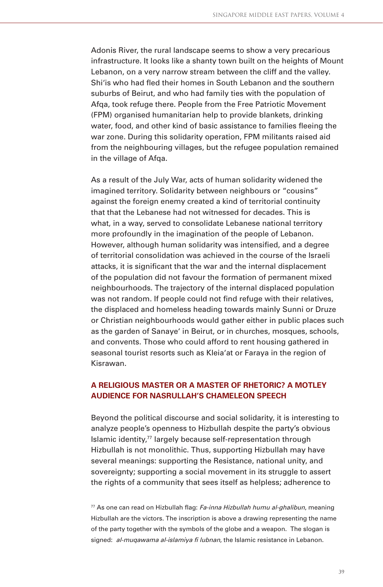Adonis River, the rural landscape seems to show a very precarious infrastructure. It looks like a shanty town built on the heights of Mount Lebanon, on a very narrow stream between the cliff and the valley. Shi'is who had fled their homes in South Lebanon and the southern suburbs of Beirut, and who had family ties with the population of Afqa, took refuge there. People from the Free Patriotic Movement (FPM) organised humanitarian help to provide blankets, drinking water, food, and other kind of basic assistance to families fleeing the war zone. During this solidarity operation, FPM militants raised aid from the neighbouring villages, but the refugee population remained in the village of Afqa.

As a result of the July War, acts of human solidarity widened the imagined territory. Solidarity between neighbours or "cousins" against the foreign enemy created a kind of territorial continuity that that the Lebanese had not witnessed for decades. This is what, in a way, served to consolidate Lebanese national territory more profoundly in the imagination of the people of Lebanon. However, although human solidarity was intensified, and a degree of territorial consolidation was achieved in the course of the Israeli attacks, it is significant that the war and the internal displacement of the population did not favour the formation of permanent mixed neighbourhoods. The trajectory of the internal displaced population was not random. If people could not find refuge with their relatives, the displaced and homeless heading towards mainly Sunni or Druze or Christian neighbourhoods would gather either in public places such as the garden of Sanaye' in Beirut, or in churches, mosques, schools, and convents. Those who could afford to rent housing gathered in seasonal tourist resorts such as Kleia'at or Faraya in the region of Kisrawan.

## **A RELIGIOUS MASTER OR A MASTER OF RHETORIC? A MOTLEY AUDIENCE FOR NASRULLAH'S CHAMELEON SPEECH**

Beyond the political discourse and social solidarity, it is interesting to analyze people's openness to Hizbullah despite the party's obvious Islamic identity,<sup>77</sup> largely because self-representation through Hizbullah is not monolithic. Thus, supporting Hizbullah may have several meanings: supporting the Resistance, national unity, and sovereignty; supporting a social movement in its struggle to assert the rights of a community that sees itself as helpless; adherence to

 $77$  As one can read on Hizbullah flag: Fa-inna Hizbullah humu al-ghalibun, meaning Hizbullah are the victors. The inscription is above a drawing representing the name of the party together with the symbols of the globe and a weapon. The slogan is signed: al-muqawama al-islamiya fi lubnan, the Islamic resistance in Lebanon.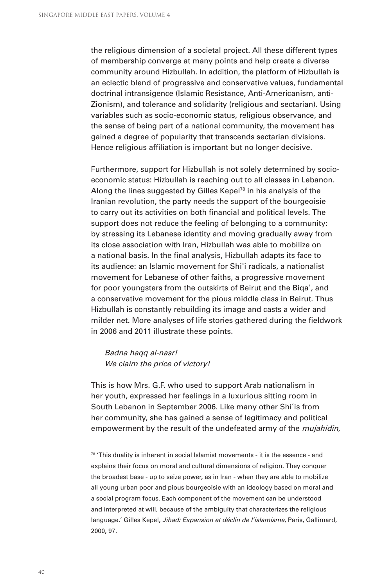the religious dimension of a societal project. All these different types of membership converge at many points and help create a diverse community around Hizbullah. In addition, the platform of Hizbullah is an eclectic blend of progressive and conservative values, fundamental doctrinal intransigence (Islamic Resistance, Anti-Americanism, anti-Zionism), and tolerance and solidarity (religious and sectarian). Using variables such as socio-economic status, religious observance, and the sense of being part of a national community, the movement has gained a degree of popularity that transcends sectarian divisions. Hence religious affiliation is important but no longer decisive.

Furthermore, support for Hizbullah is not solely determined by socioeconomic status: Hizbullah is reaching out to all classes in Lebanon. Along the lines suggested by Gilles Kepel<sup>78</sup> in his analysis of the Iranian revolution, the party needs the support of the bourgeoisie to carry out its activities on both financial and political levels. The support does not reduce the feeling of belonging to a community: by stressing its Lebanese identity and moving gradually away from its close association with Iran, Hizbullah was able to mobilize on a national basis. In the final analysis, Hizbullah adapts its face to its audience: an Islamic movement for Shi'i radicals, a nationalist movement for Lebanese of other faiths, a progressive movement for poor youngsters from the outskirts of Beirut and the Biqaʾ, and a conservative movement for the pious middle class in Beirut. Thus Hizbullah is constantly rebuilding its image and casts a wider and milder net. More analyses of life stories gathered during the fieldwork in 2006 and 2011 illustrate these points.

Badna haqq al-nasr! We claim the price of victory!

This is how Mrs. G.F. who used to support Arab nationalism in her youth, expressed her feelings in a luxurious sitting room in South Lebanon in September 2006. Like many other Shiʾis from her community, she has gained a sense of legitimacy and political empowerment by the result of the undefeated army of the *mujahidin*,

78 'This duality is inherent in social Islamist movements - it is the essence - and explains their focus on moral and cultural dimensions of religion. They conquer the broadest base - up to seize power, as in Iran - when they are able to mobilize all young urban poor and pious bourgeoisie with an ideology based on moral and a social program focus. Each component of the movement can be understood and interpreted at will, because of the ambiguity that characterizes the religious language.' Gilles Kepel, Jihad: Expansion et déclin de l'islamisme, Paris, Gallimard, 2000, 97.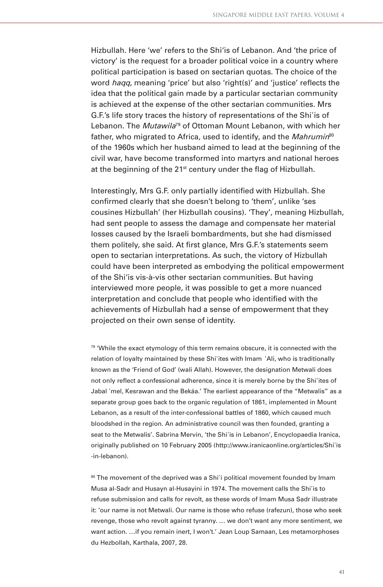Hizbullah. Here 'we' refers to the Shi'is of Lebanon. And 'the price of victory' is the request for a broader political voice in a country where political participation is based on sectarian quotas. The choice of the word *haqq*, meaning 'price' but also 'right(s)' and 'justice' reflects the idea that the political gain made by a particular sectarian community is achieved at the expense of the other sectarian communities. Mrs G.F.'s life story traces the history of representations of the Shiʾis of Lebanon. The Mutawila<sup>79</sup> of Ottoman Mount Lebanon, with which her father, who migrated to Africa, used to identify, and the Mahrumin<sup>80</sup> of the 1960s which her husband aimed to lead at the beginning of the civil war, have become transformed into martyrs and national heroes at the beginning of the  $21^{st}$  century under the flag of Hizbullah.

Interestingly, Mrs G.F. only partially identified with Hizbullah. She confirmed clearly that she doesn't belong to 'them', unlike 'ses cousines Hizbullah' (her Hizbullah cousins). 'They', meaning Hizbullah, had sent people to assess the damage and compensate her material losses caused by the Israeli bombardments, but she had dismissed them politely, she said. At first glance, Mrs G.F.'s statements seem open to sectarian interpretations. As such, the victory of Hizbullah could have been interpreted as embodying the political empowerment of the Shi'is vis-à-vis other sectarian communities. But having interviewed more people, it was possible to get a more nuanced interpretation and conclude that people who identified with the achievements of Hizbullah had a sense of empowerment that they projected on their own sense of identity.

 $79$  'While the exact etymology of this term remains obscure, it is connected with the relation of loyalty maintained by these Shi'ites with Imam 'Ali, who is traditionally known as the 'Friend of God' (wali Allah). However, the designation Metwali does not only reflect a confessional adherence, since it is merely borne by the Shi'ites of Jabal ʾmel, Kesrawan and the Bekáa.' The earliest appearance of the "Metwalis" as a separate group goes back to the organic regulation of 1861, implemented in Mount Lebanon, as a result of the inter-confessional battles of 1860, which caused much bloodshed in the region. An administrative council was then founded, granting a seat to the Metwalis'. Sabrina Mervin, 'the Shiʾis in Lebanon', Encyclopaedia Iranica, originally published on 10 February 2005 (http://www.iranicaonline.org/articles/Shiʾis -in-lebanon).

80 The movement of the deprived was a Shi'i political movement founded by Imam Musa al-Sadr and Husayn al-Husayini in 1974. The movement calls the Shiʾis to refuse submission and calls for revolt, as these words of Imam Musa Sadr illustrate it: 'our name is not Metwali. Our name is those who refuse (rafezun), those who seek revenge, those who revolt against tyranny. … we don't want any more sentiment, we want action. …if you remain inert, I won't.' Jean Loup Samaan, Les metamorphoses du Hezbollah, Karthala, 2007, 28.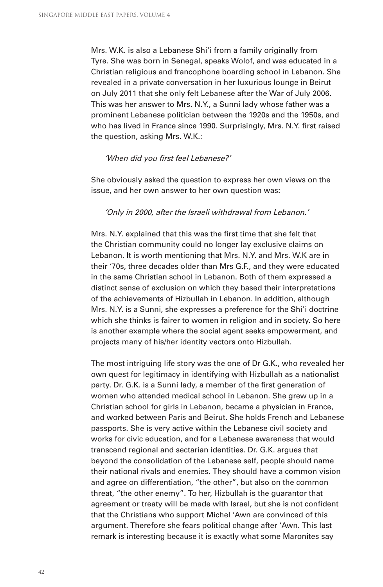Mrs. W.K. is also a Lebanese Shiʾi from a family originally from Tyre. She was born in Senegal, speaks Wolof, and was educated in a Christian religious and francophone boarding school in Lebanon. She revealed in a private conversation in her luxurious lounge in Beirut on July 2011 that she only felt Lebanese after the War of July 2006. This was her answer to Mrs. N.Y., a Sunni lady whose father was a prominent Lebanese politician between the 1920s and the 1950s, and who has lived in France since 1990. Surprisingly, Mrs. N.Y. first raised the question, asking Mrs. W.K.:

#### 'When did you first feel Lebanese?'

She obviously asked the question to express her own views on the issue, and her own answer to her own question was:

#### 'Only in 2000, after the Israeli withdrawal from Lebanon.'

Mrs. N.Y. explained that this was the first time that she felt that the Christian community could no longer lay exclusive claims on Lebanon. It is worth mentioning that Mrs. N.Y. and Mrs. W.K are in their '70s, three decades older than Mrs G.F., and they were educated in the same Christian school in Lebanon. Both of them expressed a distinct sense of exclusion on which they based their interpretations of the achievements of Hizbullah in Lebanon. In addition, although Mrs. N.Y. is a Sunni, she expresses a preference for the Shi'i doctrine which she thinks is fairer to women in religion and in society. So here is another example where the social agent seeks empowerment, and projects many of his/her identity vectors onto Hizbullah.

The most intriguing life story was the one of Dr G.K., who revealed her own quest for legitimacy in identifying with Hizbullah as a nationalist party. Dr. G.K. is a Sunni lady, a member of the first generation of women who attended medical school in Lebanon. She grew up in a Christian school for girls in Lebanon, became a physician in France, and worked between Paris and Beirut. She holds French and Lebanese passports. She is very active within the Lebanese civil society and works for civic education, and for a Lebanese awareness that would transcend regional and sectarian identities. Dr. G.K. argues that beyond the consolidation of the Lebanese self, people should name their national rivals and enemies. They should have a common vision and agree on differentiation, "the other", but also on the common threat, "the other enemy". To her, Hizbullah is the guarantor that agreement or treaty will be made with Israel, but she is not confident that the Christians who support Michel 'Awn are convinced of this argument. Therefore she fears political change after 'Awn. This last remark is interesting because it is exactly what some Maronites say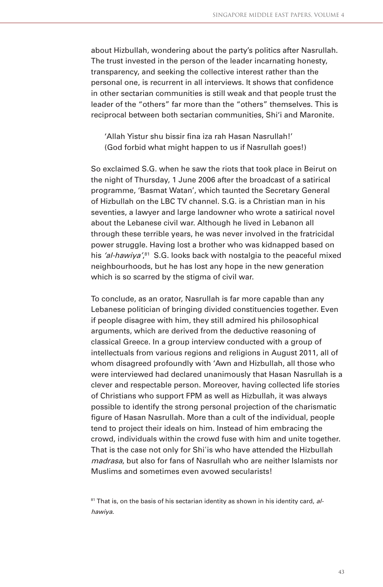about Hizbullah, wondering about the party's politics after Nasrullah. The trust invested in the person of the leader incarnating honesty, transparency, and seeking the collective interest rather than the personal one, is recurrent in all interviews. It shows that confidence in other sectarian communities is still weak and that people trust the leader of the "others" far more than the "others" themselves. This is reciprocal between both sectarian communities, Shi'i and Maronite.

'Allah Yistur shu bissir fina iza rah Hasan Nasrullah!' (God forbid what might happen to us if Nasrullah goes!)

So exclaimed S.G. when he saw the riots that took place in Beirut on the night of Thursday, 1 June 2006 after the broadcast of a satirical programme, 'Basmat Watan', which taunted the Secretary General of Hizbullah on the LBC TV channel. S.G. is a Christian man in his seventies, a lawyer and large landowner who wrote a satirical novel about the Lebanese civil war. Although he lived in Lebanon all through these terrible years, he was never involved in the fratricidal power struggle. Having lost a brother who was kidnapped based on his 'al-hawiya',<sup>81</sup> S.G. looks back with nostalgia to the peaceful mixed neighbourhoods, but he has lost any hope in the new generation which is so scarred by the stigma of civil war.

To conclude, as an orator, Nasrullah is far more capable than any Lebanese politician of bringing divided constituencies together. Even if people disagree with him, they still admired his philosophical arguments, which are derived from the deductive reasoning of classical Greece. In a group interview conducted with a group of intellectuals from various regions and religions in August 2011, all of whom disagreed profoundly with 'Awn and Hizbullah, all those who were interviewed had declared unanimously that Hasan Nasrullah is a clever and respectable person. Moreover, having collected life stories of Christians who support FPM as well as Hizbullah, it was always possible to identify the strong personal projection of the charismatic figure of Hasan Nasrullah. More than a cult of the individual, people tend to project their ideals on him. Instead of him embracing the crowd, individuals within the crowd fuse with him and unite together. That is the case not only for Shiʾis who have attended the Hizbullah madrasa, but also for fans of Nasrullah who are neither Islamists nor Muslims and sometimes even avowed secularists!

<sup>&</sup>lt;sup>81</sup> That is, on the basis of his sectarian identity as shown in his identity card, alhawiya.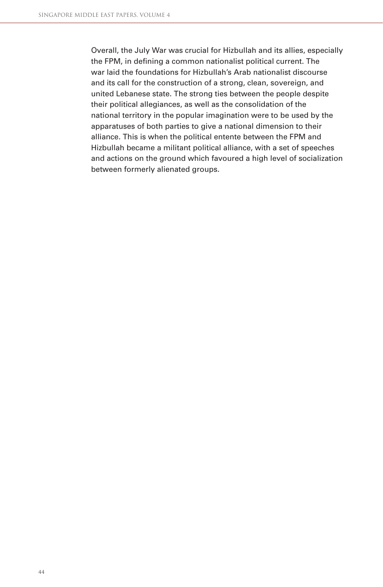Overall, the July War was crucial for Hizbullah and its allies, especially the FPM, in defining a common nationalist political current. The war laid the foundations for Hizbullah's Arab nationalist discourse and its call for the construction of a strong, clean, sovereign, and united Lebanese state. The strong ties between the people despite their political allegiances, as well as the consolidation of the national territory in the popular imagination were to be used by the apparatuses of both parties to give a national dimension to their alliance. This is when the political entente between the FPM and Hizbullah became a militant political alliance, with a set of speeches and actions on the ground which favoured a high level of socialization between formerly alienated groups.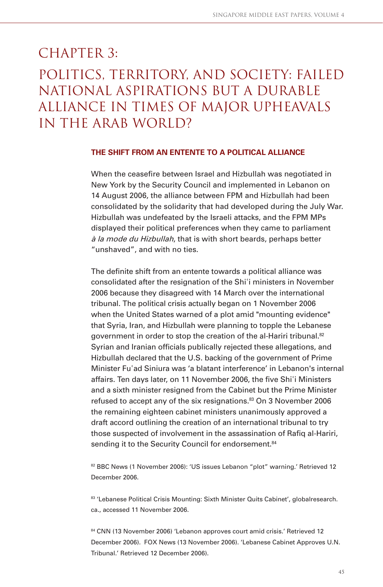# CHAPTER 3: Politics, territory, and society: failed national aspirations but a durable alliance in times of major upheavals in the Arab world?

#### **THE SHIFT FROM AN ENTENTE TO A POLITICAL ALLIANCE**

When the ceasefire between Israel and Hizbullah was negotiated in New York by the Security Council and implemented in Lebanon on 14 August 2006, the alliance between FPM and Hizbullah had been consolidated by the solidarity that had developed during the July War. Hizbullah was undefeated by the Israeli attacks, and the FPM MPs displayed their political preferences when they came to parliament à la mode du Hizbullah, that is with short beards, perhaps better "unshaved", and with no ties.

The definite shift from an entente towards a political alliance was consolidated after the resignation of the Shiʾi ministers in November 2006 because they disagreed with 14 March over the international tribunal. The political crisis actually began on 1 November 2006 when the United States warned of a plot amid "mounting evidence" that Syria, Iran, and Hizbullah were planning to topple the Lebanese government in order to stop the creation of the al-Hariri tribunal.<sup>82</sup> Syrian and Iranian officials publically rejected these allegations, and Hizbullah declared that the U.S. backing of the government of Prime Minister Fuʾad Siniura was 'a blatant interference' in Lebanon's internal affairs. Ten days later, on 11 November 2006, the five Shi'i Ministers and a sixth minister resigned from the Cabinet but the Prime Minister refused to accept any of the six resignations.<sup>83</sup> On 3 November 2006 the remaining eighteen cabinet ministers unanimously approved a draft accord outlining the creation of an international tribunal to try those suspected of involvement in the assassination of Rafiq al-Hariri, sending it to the Security Council for endorsement.<sup>84</sup>

82 BBC News (1 November 2006): 'US issues Lebanon "plot" warning.' Retrieved 12 December 2006.

83 'Lebanese Political Crisis Mounting: Sixth Minister Quits Cabinet', globalresearch. ca., accessed 11 November 2006.

84 CNN (13 November 2006) 'Lebanon approves court amid crisis.' Retrieved 12 December 2006). FOX News (13 November 2006). 'Lebanese Cabinet Approves U.N. Tribunal.' Retrieved 12 December 2006).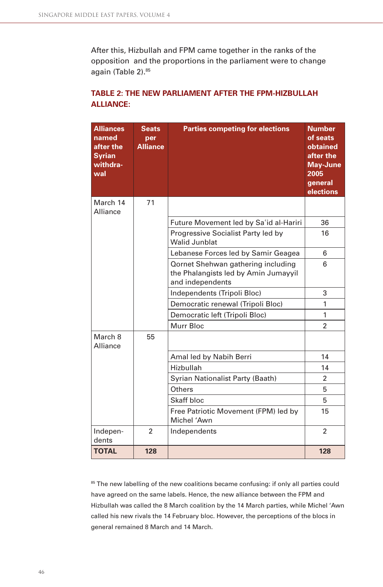After this, Hizbullah and FPM came together in the ranks of the opposition and the proportions in the parliament were to change again (Table 2).<sup>85</sup>

| <b>Alliances</b><br>named<br>after the<br><b>Syrian</b><br>withdra-<br>wal | <b>Seats</b><br>per<br><b>Alliance</b> | <b>Parties competing for elections</b>                                                         | <b>Number</b><br>of seats<br>obtained<br>after the<br><b>May-June</b><br>2005<br>general<br>elections |
|----------------------------------------------------------------------------|----------------------------------------|------------------------------------------------------------------------------------------------|-------------------------------------------------------------------------------------------------------|
| March 14<br>Alliance                                                       | 71                                     |                                                                                                |                                                                                                       |
|                                                                            |                                        | Future Movement led by Sa'id al-Hariri                                                         | 36                                                                                                    |
|                                                                            |                                        | Progressive Socialist Party led by<br><b>Walid Junblat</b>                                     | 16                                                                                                    |
|                                                                            |                                        | Lebanese Forces led by Samir Geagea                                                            | 6                                                                                                     |
|                                                                            |                                        | Qornet Shehwan gathering including<br>the Phalangists led by Amin Jumayyil<br>and independents | 6                                                                                                     |
|                                                                            |                                        | Independents (Tripoli Bloc)                                                                    | 3                                                                                                     |
|                                                                            |                                        | Democratic renewal (Tripoli Bloc)                                                              | 1                                                                                                     |
|                                                                            |                                        | Democratic left (Tripoli Bloc)                                                                 | 1                                                                                                     |
|                                                                            |                                        | Murr Bloc                                                                                      | $\mathfrak{p}$                                                                                        |
| March 8<br>Alliance                                                        | 55                                     |                                                                                                |                                                                                                       |
|                                                                            |                                        | Amal led by Nabih Berri                                                                        | 14                                                                                                    |
|                                                                            |                                        | Hizbullah                                                                                      | 14                                                                                                    |
|                                                                            |                                        | Syrian Nationalist Party (Baath)                                                               | $\mathfrak{p}$                                                                                        |
|                                                                            |                                        | Others                                                                                         | 5                                                                                                     |
|                                                                            |                                        | Skaff bloc                                                                                     | 5                                                                                                     |
|                                                                            |                                        | Free Patriotic Movement (FPM) led by<br>Michel 'Awn                                            | 15                                                                                                    |
| Indepen-<br>dents                                                          | $\overline{2}$                         | Independents                                                                                   | 2                                                                                                     |
| <b>TOTAL</b>                                                               | 128                                    |                                                                                                | 128                                                                                                   |

## TABLE 2: THE NEW PARLIAMENT AFTER THE FPM-HIZBULLAH **ALLIANCE:**

85 The new labelling of the new coalitions became confusing: if only all parties could have agreed on the same labels. Hence, the new alliance between the FPM and Hizbullah was called the 8 March coalition by the 14 March parties, while Michel 'Awn called his new rivals the 14 February bloc. However, the perceptions of the blocs in general remained 8 March and 14 March.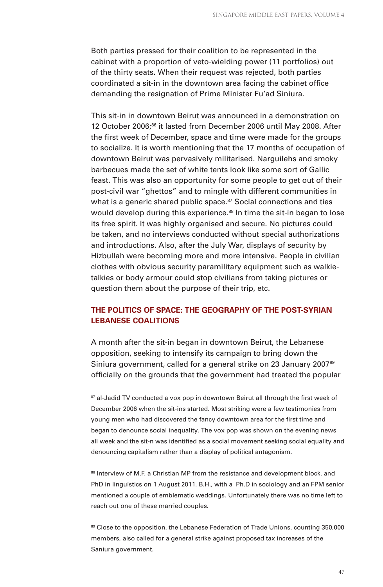Both parties pressed for their coalition to be represented in the cabinet with a proportion of veto-wielding power (11 portfolios) out of the thirty seats. When their request was rejected, both parties coordinated a sit-in in the downtown area facing the cabinet office demanding the resignation of Prime Minister Fu'ad Siniura.

This sit-in in downtown Beirut was announced in a demonstration on 12 October 2006;<sup>86</sup> it lasted from December 2006 until May 2008. After the first week of December, space and time were made for the groups to socialize. It is worth mentioning that the 17 months of occupation of downtown Beirut was pervasively militarised. Narguilehs and smoky barbecues made the set of white tents look like some sort of Gallic feast. This was also an opportunity for some people to get out of their post-civil war "ghettos" and to mingle with different communities in what is a generic shared public space.<sup>87</sup> Social connections and ties would develop during this experience.<sup>88</sup> In time the sit-in began to lose its free spirit. It was highly organised and secure. No pictures could be taken, and no interviews conducted without special authorizations and introductions. Also, after the July War, displays of security by Hizbullah were becoming more and more intensive. People in civilian clothes with obvious security paramilitary equipment such as walkietalkies or body armour could stop civilians from taking pictures or question them about the purpose of their trip, etc.

## **THE POLITICS OF SPACE: THE GEOGRAPHY OF THE POST-SYRIAN LEBANESE COALITIONS**

A month after the sit-in began in downtown Beirut, the Lebanese opposition, seeking to intensify its campaign to bring down the Siniura government, called for a general strike on 23 January 2007<sup>89</sup> officially on the grounds that the government had treated the popular

87 al-Jadid TV conducted a vox pop in downtown Beirut all through the first week of December 2006 when the sit-ins started. Most striking were a few testimonies from young men who had discovered the fancy downtown area for the first time and began to denounce social inequality. The vox pop was shown on the evening news all week and the sit-n was identified as a social movement seeking social equality and denouncing capitalism rather than a display of political antagonism.

88 Interview of M.F. a Christian MP from the resistance and development block, and PhD in linguistics on 1 August 2011. B.H., with a Ph.D in sociology and an FPM senior mentioned a couple of emblematic weddings. Unfortunately there was no time left to reach out one of these married couples.

89 Close to the opposition, the Lebanese Federation of Trade Unions, counting 350,000 members, also called for a general strike against proposed tax increases of the Saniura government.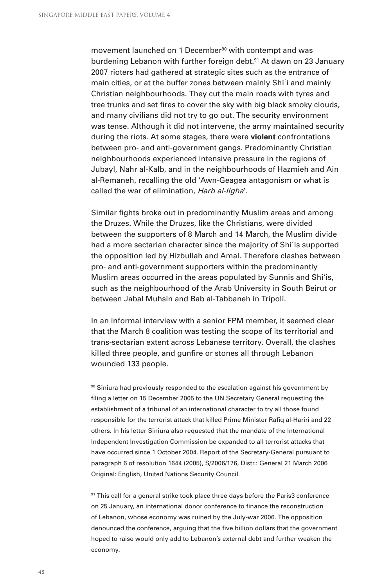movement launched on 1 December<sup>90</sup> with contempt and was burdening Lebanon with further foreign debt.<sup>91</sup> At dawn on 23 January 2007 rioters had gathered at strategic sites such as the entrance of main cities, or at the buffer zones between mainly Shiʾi and mainly Christian neighbourhoods. They cut the main roads with tyres and tree trunks and set fires to cover the sky with big black smoky clouds, and many civilians did not try to go out. The security environment was tense. Although it did not intervene, the army maintained security during the riots. At some stages, there were **violent** confrontations between pro- and anti-government gangs. Predominantly Christian neighbourhoods experienced intensive pressure in the regions of Jubayl, Nahr al-Kalb, and in the neighbourhoods of Hazmieh and Ain al-Remaneh, recalling the old 'Awn-Geagea antagonism or what is called the war of elimination, Harb al-Ilgha'.

Similar fights broke out in predominantly Muslim areas and among the Druzes. While the Druzes, like the Christians, were divided between the supporters of 8 March and 14 March, the Muslim divide had a more sectarian character since the majority of Shiʾis supported the opposition led by Hizbullah and Amal. Therefore clashes between pro- and anti-government supporters within the predominantly Muslim areas occurred in the areas populated by Sunnis and Shi'is, such as the neighbourhood of the Arab University in South Beirut or between Jabal Muhsin and Bab al-Tabbaneh in Tripoli.

In an informal interview with a senior FPM member, it seemed clear that the March 8 coalition was testing the scope of its territorial and trans-sectarian extent across Lebanese territory. Overall, the clashes killed three people, and gunfire or stones all through Lebanon wounded 133 people.

90 Siniura had previously responded to the escalation against his government by filing a letter on 15 December 2005 to the UN Secretary General requesting the establishment of a tribunal of an international character to try all those found responsible for the terrorist attack that killed Prime Minister Rafiq al-Hariri and 22 others. In his letter Siniura also requested that the mandate of the International Independent Investigation Commission be expanded to all terrorist attacks that have occurred since 1 October 2004. Report of the Secretary-General pursuant to paragraph 6 of resolution 1644 (2005), S/2006/176, Distr.: General 21 March 2006 Original: English, United Nations Security Council.

<sup>91</sup> This call for a general strike took place three days before the Paris3 conference on 25 January, an international donor conference to finance the reconstruction of Lebanon, whose economy was ruined by the July-war 2006. The opposition denounced the conference, arguing that the five billion dollars that the government hoped to raise would only add to Lebanon's external debt and further weaken the economy.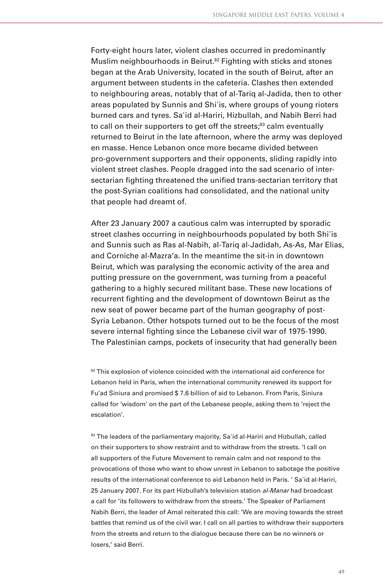Forty-eight hours later, violent clashes occurred in predominantly Muslim neighbourhoods in Beirut.<sup>92</sup> Fighting with sticks and stones began at the Arab University, located in the south of Beirut, after an argument between students in the cafeteria. Clashes then extended to neighbouring areas, notably that of al-Tariq al-Jadida, then to other areas populated by Sunnis and Shiʾis, where groups of young rioters burned cars and tyres. Saʾid al-Hariri, Hizbullah, and Nabih Berri had to call on their supporters to get off the streets;<sup>93</sup> calm eventually returned to Beirut in the late afternoon, where the army was deployed en masse. Hence Lebanon once more became divided between pro-government supporters and their opponents, sliding rapidly into violent street clashes. People dragged into the sad scenario of intersectarian fighting threatened the unified trans-sectarian territory that the post-Syrian coalitions had consolidated, and the national unity that people had dreamt of.

After 23 January 2007 a cautious calm was interrupted by sporadic street clashes occurring in neighbourhoods populated by both Shiʾis and Sunnis such as Ras al-Nabih, al-Tariq al-Jadidah, As-As, Mar Elias, and Corniche al-Mazra'a. In the meantime the sit-in in downtown Beirut, which was paralysing the economic activity of the area and putting pressure on the government, was turning from a peaceful gathering to a highly secured militant base. These new locations of recurrent fighting and the development of downtown Beirut as the new seat of power became part of the human geography of post-Syria Lebanon. Other hotspots turned out to be the focus of the most severe internal fighting since the Lebanese civil war of 1975-1990. The Palestinian camps, pockets of insecurity that had generally been

<sup>92</sup> This explosion of violence coincided with the international aid conference for Lebanon held in Paris, when the international community renewed its support for Fu'ad Siniura and promised \$ 7.6 billion of aid to Lebanon. From Paris, Siniura called for 'wisdom' on the part of the Lebanese people, asking them to 'reject the escalation'.

93 The leaders of the parliamentary majority, Sa'id al-Hariri and Hizbullah, called on their supporters to show restraint and to withdraw from the streets. 'I call on all supporters of the Future Movement to remain calm and not respond to the provocations of those who want to show unrest in Lebanon to sabotage the positive results of the international conference to aid Lebanon held in Paris. ' Saʾid al-Hariri, 25 January 2007. For its part Hizbullah's television station al-Manar had broadcast a call for 'its followers to withdraw from the streets.' The Speaker of Parliament Nabih Berri, the leader of Amal reiterated this call: 'We are moving towards the street battles that remind us of the civil war. I call on all parties to withdraw their supporters from the streets and return to the dialogue because there can be no winners or losers,' said Berri.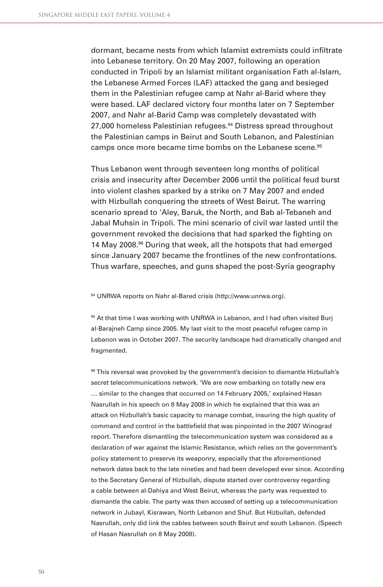dormant, became nests from which Islamist extremists could infiltrate into Lebanese territory. On 20 May 2007, following an operation conducted in Tripoli by an Islamist militant organisation Fath al-Islam, the Lebanese Armed Forces (LAF) attacked the gang and besieged them in the Palestinian refugee camp at Nahr al-Barid where they were based. LAF declared victory four months later on 7 September 2007, and Nahr al-Barid Camp was completely devastated with 27,000 homeless Palestinian refugees.<sup>94</sup> Distress spread throughout the Palestinian camps in Beirut and South Lebanon, and Palestinian camps once more became time bombs on the Lebanese scene.<sup>95</sup>

Thus Lebanon went through seventeen long months of political crisis and insecurity after December 2006 until the political feud burst into violent clashes sparked by a strike on 7 May 2007 and ended with Hizbullah conquering the streets of West Beirut. The warring scenario spread to 'Aley, Baruk, the North, and Bab al-Tebaneh and Jabal Muhsin in Tripoli. The mini scenario of civil war lasted until the government revoked the decisions that had sparked the fighting on 14 May 2008.<sup>96</sup> During that week, all the hotspots that had emerged since January 2007 became the frontlines of the new confrontations. Thus warfare, speeches, and guns shaped the post-Syria geography

94 UNRWA reports on Nahr al-Bared crisis (http://www.unrwa.org).

<sup>95</sup> At that time I was working with UNRWA in Lebanon, and I had often visited Burj al-Barajneh Camp since 2005. My last visit to the most peaceful refugee camp in Lebanon was in October 2007. The security landscape had dramatically changed and fragmented.

96 This reversal was provoked by the government's decision to dismantle Hizbullah's secret telecommunications network. 'We are now embarking on totally new era … similar to the changes that occurred on 14 February 2005,' explained Hasan Nasrullah in his speech on 8 May 2008 in which he explained that this was an attack on Hizbullah's basic capacity to manage combat, insuring the high quality of command and control in the battlefield that was pinpointed in the 2007 Winograd report. Therefore dismantling the telecommunication system was considered as a declaration of war against the Islamic Resistance, which relies on the government's policy statement to preserve its weaponry, especially that the aforementioned network dates back to the late nineties and had been developed ever since. According to the Secretary General of Hizbullah, dispute started over controversy regarding a cable between al-Dahiya and West Beirut, whereas the party was requested to dismantle the cable. The party was then accused of setting up a telecommunication network in Jubayl, Kisrawan, North Lebanon and Shuf. But Hizbullah, defended Nasrullah, only did link the cables between south Beirut and south Lebanon. (Speech of Hasan Nasrullah on 8 May 2008).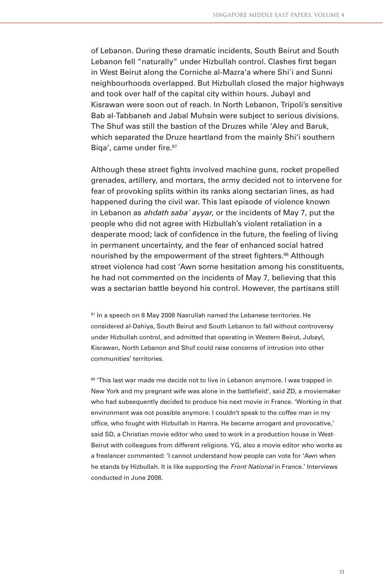of Lebanon. During these dramatic incidents, South Beirut and South Lebanon fell "naturally" under Hizbullah control. Clashes first began in West Beirut along the Corniche al-Mazra'a where Shiʾi and Sunni neighbourhoods overlapped. But Hizbullah closed the major highways and took over half of the capital city within hours. Jubayl and Kisrawan were soon out of reach. In North Lebanon, Tripoli's sensitive Bab al-Tabbaneh and Jabal Muhsin were subject to serious divisions. The Shuf was still the bastion of the Druzes while 'Aley and Baruk, which separated the Druze heartland from the mainly Shi'i southern Biga', came under fire.<sup>97</sup>

Although these street fights involved machine guns, rocket propelled grenades, artillery, and mortars, the army decided not to intervene for fear of provoking splits within its ranks along sectarian lines, as had happened during the civil war. This last episode of violence known in Lebanon as *ahdath saba' ayyar*, or the incidents of May 7, put the people who did not agree with Hizbullah's violent retaliation in a desperate mood; lack of confidence in the future, the feeling of living in permanent uncertainty, and the fear of enhanced social hatred nourished by the empowerment of the street fighters.<sup>98</sup> Although street violence had cost 'Awn some hesitation among his constituents, he had not commented on the incidents of May 7, believing that this was a sectarian battle beyond his control. However, the partisans still

<sup>97</sup> In a speech on 8 May 2008 Nasrullah named the Lebanese territories. He considered al-Dahiya, South Beirut and South Lebanon to fall without controversy under Hizbullah control, and admitted that operating in Western Beirut, Jubayl, Kisrawan, North Lebanon and Shuf could raise concerns of intrusion into other communities' territories.

98 'This last war made me decide not to live in Lebanon anymore. I was trapped in New York and my pregnant wife was alone in the battlefield', said ZD, a moviemaker who had subsequently decided to produce his next movie in France. 'Working in that environment was not possible anymore. I couldn't speak to the coffee man in my office, who fought with Hizbullah in Hamra. He became arrogant and provocative,' said SD, a Christian movie editor who used to work in a production house in West-Beirut with colleagues from different religions. YG, also a movie editor who works as a freelancer commented: 'I cannot understand how people can vote for 'Awn when he stands by Hizbullah. It is like supporting the Front National in France.' Interviews conducted in June 2008.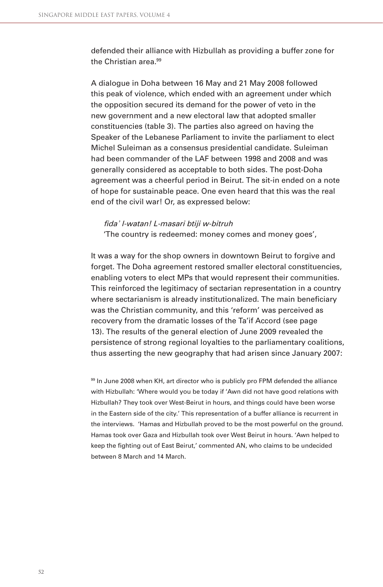defended their alliance with Hizbullah as providing a buffer zone for the Christian area<sup>99</sup>

A dialogue in Doha between 16 May and 21 May 2008 followed this peak of violence, which ended with an agreement under which the opposition secured its demand for the power of veto in the new government and a new electoral law that adopted smaller constituencies (table 3). The parties also agreed on having the Speaker of the Lebanese Parliament to invite the parliament to elect Michel Suleiman as a consensus presidential candidate. Suleiman had been commander of the LAF between 1998 and 2008 and was generally considered as acceptable to both sides. The post-Doha agreement was a cheerful period in Beirut. The sit-in ended on a note of hope for sustainable peace. One even heard that this was the real end of the civil war! Or, as expressed below:

fida' l-watan! L-masari btiji w-bitruh 'The country is redeemed: money comes and money goes',

It was a way for the shop owners in downtown Beirut to forgive and forget. The Doha agreement restored smaller electoral constituencies, enabling voters to elect MPs that would represent their communities. This reinforced the legitimacy of sectarian representation in a country where sectarianism is already institutionalized. The main beneficiary was the Christian community, and this 'reform' was perceived as recovery from the dramatic losses of the Ta'if Accord (see page 13). The results of the general election of June 2009 revealed the persistence of strong regional loyalties to the parliamentary coalitions, thus asserting the new geography that had arisen since January 2007:

99 In June 2008 when KH, art director who is publicly pro FPM defended the alliance with Hizbullah: 'Where would you be today if 'Awn did not have good relations with Hizbullah? They took over West-Beirut in hours, and things could have been worse in the Eastern side of the city.' This representation of a buffer alliance is recurrent in the interviews. 'Hamas and Hizbullah proved to be the most powerful on the ground. Hamas took over Gaza and Hizbullah took over West Beirut in hours. 'Awn helped to keep the fighting out of East Beirut,' commented AN, who claims to be undecided between 8 March and 14 March.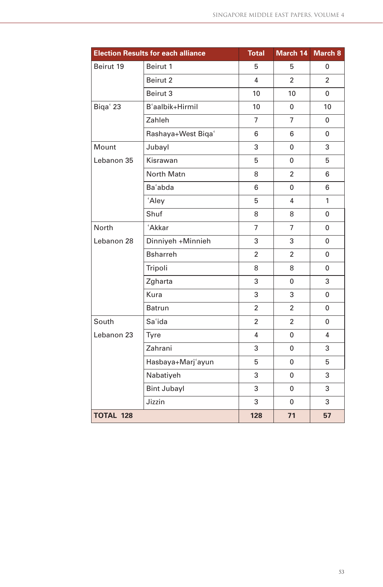|                  | <b>Election Results for each alliance</b> | <b>Total</b>   | March 14       | March 8        |
|------------------|-------------------------------------------|----------------|----------------|----------------|
| Beirut 19        | Beirut 1                                  | 5              | 5              | 0              |
|                  | Beirut 2                                  | 4              | $\overline{2}$ | $\overline{2}$ |
|                  | Beirut 3                                  | 10             | 10             | 0              |
| Biqa' 23         | B'aalbik+Hirmil                           | 10             | 0              | 10             |
|                  | Zahleh                                    | $\overline{7}$ | $\overline{7}$ | 0              |
|                  | Rashaya+West Biqa'                        | 6              | 6              | 0              |
| Mount            | Jubayl                                    | 3              | 0              | 3              |
| Lebanon 35       | Kisrawan                                  | 5              | 0              | 5              |
|                  | North Matn                                | 8              | $\overline{2}$ | 6              |
|                  | Ba'abda                                   | 6              | 0              | 6              |
|                  | 'Aley                                     | 5              | 4              | 1              |
|                  | Shuf                                      | 8              | 8              | 0              |
| North            | 'Akkar                                    | $\overline{7}$ | $\overline{7}$ | 0              |
| Lebanon 28       | Dinniyeh +Minnieh                         | 3              | 3              | 0              |
|                  | <b>Bsharreh</b>                           | $\overline{2}$ | $\overline{2}$ | 0              |
|                  | Tripoli                                   | 8              | 8              | 0              |
|                  | Zgharta                                   | 3              | 0              | 3              |
|                  | Kura                                      | 3              | 3              | 0              |
|                  | <b>Batrun</b>                             | $\overline{2}$ | 2              | 0              |
| South            | Sa'ida                                    | $\overline{2}$ | $\overline{2}$ | 0              |
| Lebanon 23       | Tyre                                      | 4              | 0              | 4              |
|                  | Zahrani                                   | 3              | 0              | 3              |
|                  | Hasbaya+Marj'ayun                         | 5              | 0              | 5              |
|                  | Nabatiyeh                                 | 3              | $\mathbf{0}$   | 3              |
|                  | <b>Bint Jubayl</b>                        | 3              | 0              | 3              |
|                  | Jizzin                                    | 3              | 0              | 3              |
| <b>TOTAL 128</b> |                                           | 128            | 71             | 57             |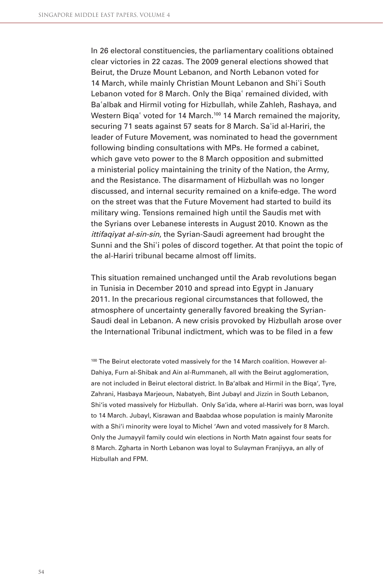In 26 electoral constituencies, the parliamentary coalitions obtained clear victories in 22 cazas. The 2009 general elections showed that Beirut, the Druze Mount Lebanon, and North Lebanon voted for 14 March, while mainly Christian Mount Lebanon and Shi'i South Lebanon voted for 8 March. Only the Biga' remained divided, with Baʾalbak and Hirmil voting for Hizbullah, while Zahleh, Rashaya, and Western Biga<sup>'</sup> voted for 14 March.<sup>100</sup> 14 March remained the majority, securing 71 seats against 57 seats for 8 March. Sa'id al-Hariri, the leader of Future Movement, was nominated to head the government following binding consultations with MPs. He formed a cabinet, which gave veto power to the 8 March opposition and submitted a ministerial policy maintaining the trinity of the Nation, the Army, and the Resistance. The disarmament of Hizbullah was no longer discussed, and internal security remained on a knife-edge. The word on the street was that the Future Movement had started to build its military wing. Tensions remained high until the Saudis met with the Syrians over Lebanese interests in August 2010. Known as the ittifaqiyat al-sin-sin, the Syrian-Saudi agreement had brought the Sunni and the Shi'i poles of discord together. At that point the topic of the al-Hariri tribunal became almost off limits.

This situation remained unchanged until the Arab revolutions began in Tunisia in December 2010 and spread into Egypt in January 2011. In the precarious regional circumstances that followed, the atmosphere of uncertainty generally favored breaking the Syrian-Saudi deal in Lebanon. A new crisis provoked by Hizbullah arose over the International Tribunal indictment, which was to be filed in a few

100 The Beirut electorate voted massively for the 14 March coalition. However al-Dahiya, Furn al-Shibak and Ain al-Rummaneh, all with the Beirut agglomeration, are not included in Beirut electoral district. In Ba'albak and Hirmil in the Biqa', Tyre, Zahrani, Hasbaya Marjeoun, Nabatyeh, Bint Jubayl and Jizzin in South Lebanon, Shi'is voted massively for Hizbullah. Only Sa'ida, where al-Hariri was born, was loyal to 14 March. Jubayl, Kisrawan and Baabdaa whose population is mainly Maronite with a Shi'i minority were loyal to Michel 'Awn and voted massively for 8 March. Only the Jumayyil family could win elections in North Matn against four seats for 8 March. Zgharta in North Lebanon was loyal to Sulayman Franjiyya, an ally of Hizbullah and FPM.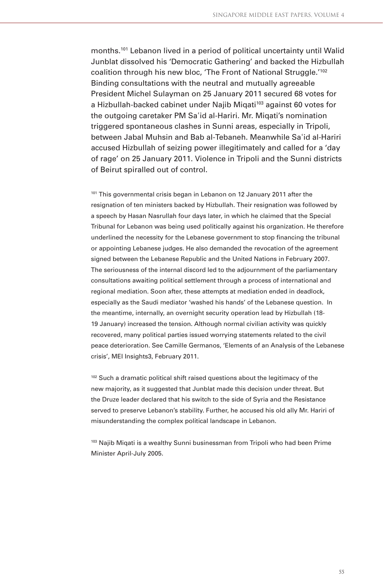months.101 Lebanon lived in a period of political uncertainty until Walid Junblat dissolved his 'Democratic Gathering' and backed the Hizbullah coalition through his new bloc, 'The Front of National Struggle.'102 Binding consultations with the neutral and mutually agreeable President Michel Sulayman on 25 January 2011 secured 68 votes for a Hizbullah-backed cabinet under Najib Migati<sup>103</sup> against 60 votes for the outgoing caretaker PM Saʾid al-Hariri. Mr. Miqati's nomination triggered spontaneous clashes in Sunni areas, especially in Tripoli, between Jabal Muhsin and Bab al-Tebaneh. Meanwhile Saʾid al-Hariri accused Hizbullah of seizing power illegitimately and called for a 'day of rage' on 25 January 2011. Violence in Tripoli and the Sunni districts of Beirut spiralled out of control.

<sup>101</sup> This governmental crisis began in Lebanon on 12 January 2011 after the resignation of ten ministers backed by Hizbullah. Their resignation was followed by a speech by Hasan Nasrullah four days later, in which he claimed that the Special Tribunal for Lebanon was being used politically against his organization. He therefore underlined the necessity for the Lebanese government to stop financing the tribunal or appointing Lebanese judges. He also demanded the revocation of the agreement signed between the Lebanese Republic and the United Nations in February 2007. The seriousness of the internal discord led to the adjournment of the parliamentary consultations awaiting political settlement through a process of international and regional mediation. Soon after, these attempts at mediation ended in deadlock, especially as the Saudi mediator 'washed his hands' of the Lebanese question. In the meantime, internally, an overnight security operation lead by Hizbullah (18- 19 January) increased the tension. Although normal civilian activity was quickly recovered, many political parties issued worrying statements related to the civil peace deterioration. See Camille Germanos, 'Elements of an Analysis of the Lebanese crisis', MEI Insights3, February 2011.

<sup>102</sup> Such a dramatic political shift raised questions about the legitimacy of the new majority, as it suggested that Junblat made this decision under threat. But the Druze leader declared that his switch to the side of Syria and the Resistance served to preserve Lebanon's stability. Further, he accused his old ally Mr. Hariri of misunderstanding the complex political landscape in Lebanon.

<sup>103</sup> Najib Miqati is a wealthy Sunni businessman from Tripoli who had been Prime Minister April-July 2005.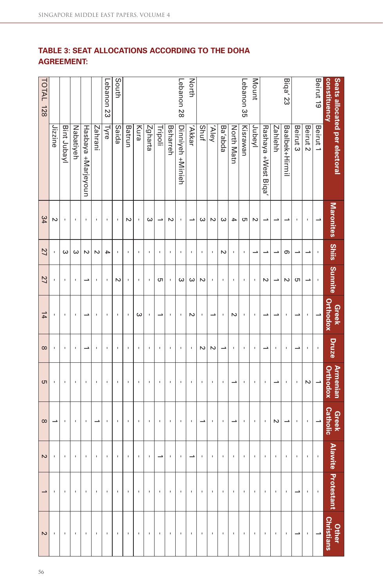## **TABLE 3: SEAT ALLOCATIONS ACCORDING TO THE DOHA AGREEMENT:**

| constituency | Seats allocated per electoral | Maronites Shiis Sunnite  |                                       |        | <b>Greek</b><br>Orthodox | Druze          | <b>Armenian</b><br>Orthodox | <b>Greek</b><br>Catholic |                | Alawite Protestant Christians<br>Alawite Protestant Christians |                |
|--------------|-------------------------------|--------------------------|---------------------------------------|--------|--------------------------|----------------|-----------------------------|--------------------------|----------------|----------------------------------------------------------------|----------------|
| Beirut 19    | Beirut 1                      | $\overline{\phantom{a}}$ | ï                                     | ï      |                          | ı              | $\overline{\phantom{a}}$    | ∸                        | $\mathbf{I}$   |                                                                |                |
|              | Beirut 2                      | $\mathbf{I}$             |                                       |        | J,                       | J.             | Z                           | J.                       | ı              |                                                                | J.             |
|              | Beirut 3                      | I.                       | ∸                                     | G      |                          |                | ı                           | f,                       | ı              |                                                                | ∸              |
| Biqa' 23     | Baalbek+Hirmil                |                          | တ                                     | $\sim$ | ı                        | $\blacksquare$ | I,                          |                          | ı              | $\blacksquare$                                                 | ı              |
|              | <b>Zahlehh</b>                |                          |                                       | د      |                          | ı              | د                           | N                        | ı              |                                                                | ı              |
|              | Rashaya +West Biqa            |                          |                                       | $\sim$ |                          |                | J.                          | J.                       | ı              | ı                                                              | ı              |
| Mount        | Jubeyl                        | N                        |                                       |        |                          | $\blacksquare$ | $\blacksquare$              | J.                       | J.             |                                                                | J.             |
| Lebanon 35   | Kisrawan                      | c                        | $\mathsf{I}\hspace{-1.5pt}\mathsf{I}$ | ı      | ı                        | ı              | $\blacksquare$              | I,                       | ı              |                                                                | $\blacksquare$ |
|              | North Matn                    | →                        | I,                                    | ı      | Z                        | J.             | →                           |                          | ı              |                                                                | ı              |
|              | Ba'abda                       | ω                        | N                                     | f,     | ı                        | ∸              | J.                          | f,                       | f,             |                                                                | ı              |
|              | Vley                          | Z                        | ı                                     | ı      |                          | Z              | I.                          | I.                       | ı              |                                                                | J.             |
|              | <b>Shuf</b>                   | ω                        | I.                                    | Z      | ı                        | Z              | J.                          | د                        | ı              | 1                                                              | ı              |
| North        | 'Akkar                        | ┘                        | $\mathbf{I}$                          | ω      | N                        | $\blacksquare$ | J.                          | $\mathbf{I}$             | ┙              | $\blacksquare$                                                 | $\blacksquare$ |
| Lebanon 28   | Dinniyeh +Minieh              | J.                       | J.                                    | ω      |                          | ×              | J.                          | J.                       | J.             | J.                                                             | J.             |
|              | Bsharreh                      | Z                        | $\mathbf{I}$                          | ı      | ı                        | $\mathbf{I}$   | I.                          | I.                       | $\blacksquare$ | J.                                                             | $\blacksquare$ |
|              | Tripoli                       |                          | $\overline{\phantom{a}}$              | CΠ     |                          | J.             | J.                          | J.                       |                |                                                                | $\,$ I         |
|              | Zgharta                       | ω                        | $\mathbf{I}$                          | I,     | ı                        | $\mathbf{I}$   | $\mathbf{I}$                | I.                       | ı              | ı                                                              | ı              |
|              | Kura                          | J.                       | J.                                    | f,     | ω                        | J.             | J.                          | J.                       | ı              |                                                                | ı              |
|              | Batrun                        | $\sim$                   | I.                                    | ı      |                          | ı              | f,                          | f,                       | ı              |                                                                | ı              |
| South        | Saida                         | ı                        | ı                                     | Z      |                          | J.             | J.                          | J.                       | ı              | ı                                                              | ı              |
| Lebanon 23   | Туге                          | J.                       | 4                                     |        |                          | $\mathbf{I}$   | J.                          | J.                       | $\mathbf{I}$   |                                                                | ı              |
|              | Zahrani                       | J.                       | Z                                     | ı      | ı                        | J.             | J.                          |                          | J.             |                                                                | ı              |
|              | Hasbaya +Marjeyoun            | J.                       | Z                                     |        |                          |                | ı                           | ı                        | ı              |                                                                | ı              |
|              | Nabatiyeh                     | J.                       | ω                                     | ı      | ı                        | $\mathbf{I}$   | ı                           | ı                        | ı              | ı                                                              | ı              |
|              | Bint Jubay                    | $\blacksquare$           | ω                                     | I,     | I,                       | $\mathbf{I}$   | $\mathbf{I}$                | $\mathbf{I}$             | $\blacksquare$ |                                                                | ı              |
|              | Jizzine                       | Z                        | J.                                    | ı      | ı                        | J.             | f,                          | د                        | J.             |                                                                |                |
| TOTAL 128    |                               | $\frac{8}{4}$            | 27                                    | 27     | $\frac{1}{4}$            | $\infty$       | <b>σ</b>                    | $\infty$                 | $\sim$         |                                                                | N              |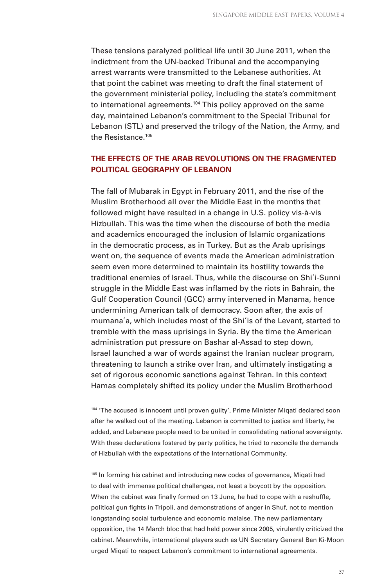These tensions paralyzed political life until 30 June 2011, when the indictment from the UN-backed Tribunal and the accompanying arrest warrants were transmitted to the Lebanese authorities. At that point the cabinet was meeting to draft the final statement of the government ministerial policy, including the state's commitment to international agreements.104 This policy approved on the same day, maintained Lebanon's commitment to the Special Tribunal for Lebanon (STL) and preserved the trilogy of the Nation, the Army, and the Resistance.<sup>105</sup>

### **THE EFFECTS OF THE ARAB REVOLUTIONS ON THE FRAGMENTED POLITICAL GEOGRAPHY OF LEBANON**

The fall of Mubarak in Egypt in February 2011, and the rise of the Muslim Brotherhood all over the Middle East in the months that followed might have resulted in a change in U.S. policy vis-à-vis Hizbullah. This was the time when the discourse of both the media and academics encouraged the inclusion of Islamic organizations in the democratic process, as in Turkey. But as the Arab uprisings went on, the sequence of events made the American administration seem even more determined to maintain its hostility towards the traditional enemies of Israel. Thus, while the discourse on Shiʾi-Sunni struggle in the Middle East was inflamed by the riots in Bahrain, the Gulf Cooperation Council (GCC) army intervened in Manama, hence undermining American talk of democracy. Soon after, the axis of mumanaʾa, which includes most of the Shiʾis of the Levant, started to tremble with the mass uprisings in Syria. By the time the American administration put pressure on Bashar al-Assad to step down, Israel launched a war of words against the Iranian nuclear program, threatening to launch a strike over Iran, and ultimately instigating a set of rigorous economic sanctions against Tehran. In this context Hamas completely shifted its policy under the Muslim Brotherhood

104 'The accused is innocent until proven guilty', Prime Minister Miqati declared soon after he walked out of the meeting. Lebanon is committed to justice and liberty, he added, and Lebanese people need to be united in consolidating national sovereignty. With these declarations fostered by party politics, he tried to reconcile the demands of Hizbullah with the expectations of the International Community.

105 In forming his cabinet and introducing new codes of governance, Miqati had to deal with immense political challenges, not least a boycott by the opposition. When the cabinet was finally formed on 13 June, he had to cope with a reshuffle, political gun fights in Tripoli, and demonstrations of anger in Shuf, not to mention longstanding social turbulence and economic malaise. The new parliamentary opposition, the 14 March bloc that had held power since 2005, virulently criticized the cabinet. Meanwhile, international players such as UN Secretary General Ban Ki-Moon urged Miqati to respect Lebanon's commitment to international agreements.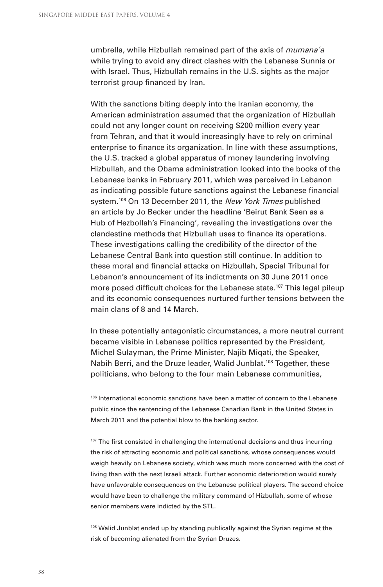umbrella, while Hizbullah remained part of the axis of *mumana'a* while trying to avoid any direct clashes with the Lebanese Sunnis or with Israel. Thus, Hizbullah remains in the U.S. sights as the major terrorist group financed by Iran.

With the sanctions biting deeply into the Iranian economy, the American administration assumed that the organization of Hizbullah could not any longer count on receiving \$200 million every year from Tehran, and that it would increasingly have to rely on criminal enterprise to finance its organization. In line with these assumptions, the U.S. tracked a global apparatus of money laundering involving Hizbullah, and the Obama administration looked into the books of the Lebanese banks in February 2011, which was perceived in Lebanon as indicating possible future sanctions against the Lebanese financial system.<sup>106</sup> On 13 December 2011, the New York Times published an article by Jo Becker under the headline 'Beirut Bank Seen as a Hub of Hezbollah's Financing', revealing the investigations over the clandestine methods that Hizbullah uses to finance its operations. These investigations calling the credibility of the director of the Lebanese Central Bank into question still continue. In addition to these moral and financial attacks on Hizbullah, Special Tribunal for Lebanon's announcement of its indictments on 30 June 2011 once more posed difficult choices for the Lebanese state.<sup>107</sup> This legal pileup and its economic consequences nurtured further tensions between the main clans of 8 and 14 March.

In these potentially antagonistic circumstances, a more neutral current became visible in Lebanese politics represented by the President, Michel Sulayman, the Prime Minister, Najib Miqati, the Speaker, Nabih Berri, and the Druze leader, Walid Junblat.<sup>108</sup> Together, these politicians, who belong to the four main Lebanese communities,

106 International economic sanctions have been a matter of concern to the Lebanese public since the sentencing of the Lebanese Canadian Bank in the United States in March 2011 and the potential blow to the banking sector.

 $107$  The first consisted in challenging the international decisions and thus incurring the risk of attracting economic and political sanctions, whose consequences would weigh heavily on Lebanese society, which was much more concerned with the cost of living than with the next Israeli attack. Further economic deterioration would surely have unfavorable consequences on the Lebanese political players. The second choice would have been to challenge the military command of Hizbullah, some of whose senior members were indicted by the STL.

<sup>108</sup> Walid Junblat ended up by standing publically against the Syrian regime at the risk of becoming alienated from the Syrian Druzes.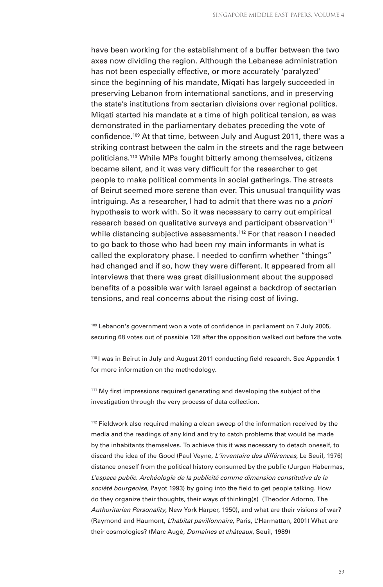have been working for the establishment of a buffer between the two axes now dividing the region. Although the Lebanese administration has not been especially effective, or more accurately 'paralyzed' since the beginning of his mandate, Miqati has largely succeeded in preserving Lebanon from international sanctions, and in preserving the state's institutions from sectarian divisions over regional politics. Miqati started his mandate at a time of high political tension, as was demonstrated in the parliamentary debates preceding the vote of confidence.<sup>109</sup> At that time, between July and August 2011, there was a striking contrast between the calm in the streets and the rage between politicians.110 While MPs fought bitterly among themselves, citizens became silent, and it was very difficult for the researcher to get people to make political comments in social gatherings. The streets of Beirut seemed more serene than ever. This unusual tranquility was intriguing. As a researcher, I had to admit that there was no a priori hypothesis to work with. So it was necessary to carry out empirical research based on qualitative surveys and participant observation<sup>111</sup> while distancing subjective assessments.<sup>112</sup> For that reason I needed to go back to those who had been my main informants in what is called the exploratory phase. I needed to confirm whether "things" had changed and if so, how they were different. It appeared from all interviews that there was great disillusionment about the supposed benefits of a possible war with Israel against a backdrop of sectarian tensions, and real concerns about the rising cost of living.

<sup>109</sup> Lebanon's government won a vote of confidence in parliament on 7 July 2005, securing 68 votes out of possible 128 after the opposition walked out before the vote.

110 I was in Beirut in July and August 2011 conducting field research. See Appendix 1 for more information on the methodology.

<sup>111</sup> My first impressions required generating and developing the subject of the investigation through the very process of data collection.

<sup>112</sup> Fieldwork also required making a clean sweep of the information received by the media and the readings of any kind and try to catch problems that would be made by the inhabitants themselves. To achieve this it was necessary to detach oneself, to discard the idea of the Good (Paul Veyne, L'inventaire des différences, Le Seuil, 1976) distance oneself from the political history consumed by the public (Jurgen Habermas, L'espace public. Archéologie de la publicité comme dimension constitutive de la société bourgeoise, Payot 1993) by going into the field to get people talking. How do they organize their thoughts, their ways of thinking(s) (Theodor Adorno, The Authoritarian Personality, New York Harper, 1950), and what are their visions of war? (Raymond and Haumont, L'habitat pavillonnaire, Paris, L'Harmattan, 2001) What are their cosmologies? (Marc Augé, *Domaines et châteaux*, Seuil, 1989)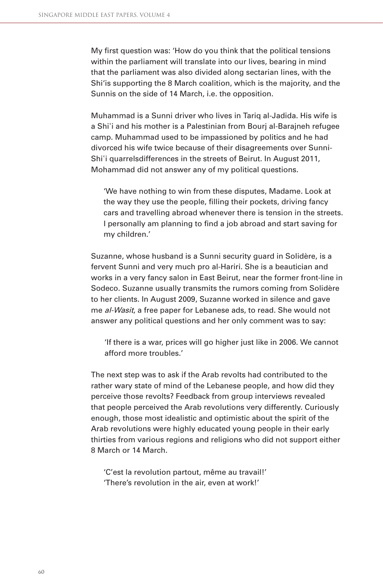My first question was: 'How do you think that the political tensions within the parliament will translate into our lives, bearing in mind that the parliament was also divided along sectarian lines, with the Shi'is supporting the 8 March coalition, which is the majority, and the Sunnis on the side of 14 March, i.e. the opposition.

Muhammad is a Sunni driver who lives in Tariq al-Jadida. His wife is a Shiʾi and his mother is a Palestinian from Bourj al-Barajneh refugee camp. Muhammad used to be impassioned by politics and he had divorced his wife twice because of their disagreements over Sunni-Shi'i quarrelsdifferences in the streets of Beirut. In August 2011, Mohammad did not answer any of my political questions.

'We have nothing to win from these disputes, Madame. Look at the way they use the people, filling their pockets, driving fancy cars and travelling abroad whenever there is tension in the streets. I personally am planning to find a job abroad and start saving for my children.'

Suzanne, whose husband is a Sunni security guard in Solidère, is a fervent Sunni and very much pro al-Hariri. She is a beautician and works in a very fancy salon in East Beirut, near the former front-line in Sodeco. Suzanne usually transmits the rumors coming from Solidère to her clients. In August 2009, Suzanne worked in silence and gave me al-Wasit, a free paper for Lebanese ads, to read. She would not answer any political questions and her only comment was to say:

'If there is a war, prices will go higher just like in 2006. We cannot afford more troubles.'

The next step was to ask if the Arab revolts had contributed to the rather wary state of mind of the Lebanese people, and how did they perceive those revolts? Feedback from group interviews revealed that people perceived the Arab revolutions very differently. Curiously enough, those most idealistic and optimistic about the spirit of the Arab revolutions were highly educated young people in their early thirties from various regions and religions who did not support either 8 March or 14 March.

'C'est la revolution partout, même au travail!' 'There's revolution in the air, even at work!'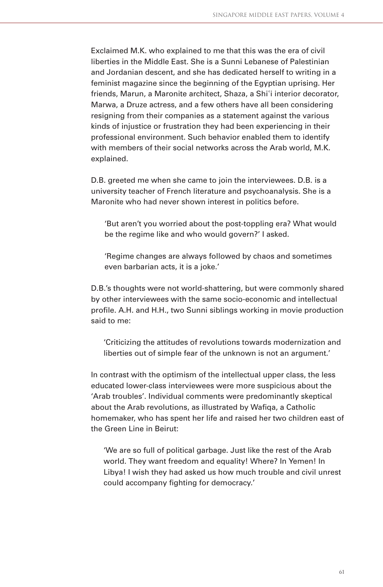Exclaimed M.K. who explained to me that this was the era of civil liberties in the Middle East. She is a Sunni Lebanese of Palestinian and Jordanian descent, and she has dedicated herself to writing in a feminist magazine since the beginning of the Egyptian uprising. Her friends, Marun, a Maronite architect, Shaza, a Shiʾi interior decorator, Marwa, a Druze actress, and a few others have all been considering resigning from their companies as a statement against the various kinds of injustice or frustration they had been experiencing in their professional environment. Such behavior enabled them to identify with members of their social networks across the Arab world, M.K. explained.

D.B. greeted me when she came to join the interviewees. D.B. is a university teacher of French literature and psychoanalysis. She is a Maronite who had never shown interest in politics before.

'But aren't you worried about the post-toppling era? What would be the regime like and who would govern?' I asked.

'Regime changes are always followed by chaos and sometimes even barbarian acts, it is a joke.'

D.B.'s thoughts were not world-shattering, but were commonly shared by other interviewees with the same socio-economic and intellectual profile. A.H. and H.H., two Sunni siblings working in movie production said to me:

'Criticizing the attitudes of revolutions towards modernization and liberties out of simple fear of the unknown is not an argument.'

In contrast with the optimism of the intellectual upper class, the less educated lower-class interviewees were more suspicious about the 'Arab troubles'. Individual comments were predominantly skeptical about the Arab revolutions, as illustrated by Wafiqa, a Catholic homemaker, who has spent her life and raised her two children east of the Green Line in Beirut:

'We are so full of political garbage. Just like the rest of the Arab world. They want freedom and equality! Where? In Yemen! In Libya! I wish they had asked us how much trouble and civil unrest could accompany fighting for democracy.'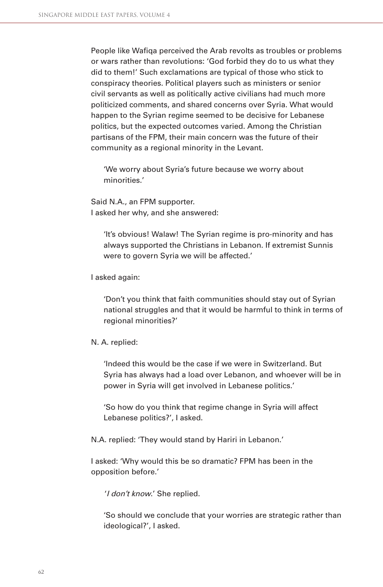People like Wafiga perceived the Arab revolts as troubles or problems or wars rather than revolutions: 'God forbid they do to us what they did to them!' Such exclamations are typical of those who stick to conspiracy theories. Political players such as ministers or senior civil servants as well as politically active civilians had much more politicized comments, and shared concerns over Syria. What would happen to the Syrian regime seemed to be decisive for Lebanese politics, but the expected outcomes varied. Among the Christian partisans of the FPM, their main concern was the future of their community as a regional minority in the Levant.

'We worry about Syria's future because we worry about minorities.'

Said N.A., an FPM supporter. I asked her why, and she answered:

> 'It's obvious! Walaw! The Syrian regime is pro-minority and has always supported the Christians in Lebanon. If extremist Sunnis were to govern Syria we will be affected.'

#### I asked again:

'Don't you think that faith communities should stay out of Syrian national struggles and that it would be harmful to think in terms of regional minorities?'

#### N. A. replied:

'Indeed this would be the case if we were in Switzerland. But Syria has always had a load over Lebanon, and whoever will be in power in Syria will get involved in Lebanese politics.'

'So how do you think that regime change in Syria will affect Lebanese politics?', I asked.

N.A. replied: 'They would stand by Hariri in Lebanon.'

I asked: 'Why would this be so dramatic? FPM has been in the opposition before.'

'I don't know.' She replied.

'So should we conclude that your worries are strategic rather than ideological?', I asked.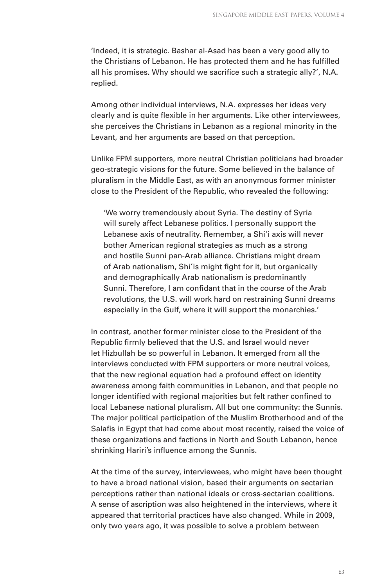'Indeed, it is strategic. Bashar al-Asad has been a very good ally to the Christians of Lebanon. He has protected them and he has fulfilled all his promises. Why should we sacrifice such a strategic ally?', N.A. replied.

Among other individual interviews, N.A. expresses her ideas very clearly and is quite flexible in her arguments. Like other interviewees, she perceives the Christians in Lebanon as a regional minority in the Levant, and her arguments are based on that perception.

Unlike FPM supporters, more neutral Christian politicians had broader geo-strategic visions for the future. Some believed in the balance of pluralism in the Middle East, as with an anonymous former minister close to the President of the Republic, who revealed the following:

'We worry tremendously about Syria. The destiny of Syria will surely affect Lebanese politics. I personally support the Lebanese axis of neutrality. Remember, a Shiʾi axis will never bother American regional strategies as much as a strong and hostile Sunni pan-Arab alliance. Christians might dream of Arab nationalism, Shi'is might fight for it, but organically and demographically Arab nationalism is predominantly Sunni. Therefore, I am confidant that in the course of the Arab revolutions, the U.S. will work hard on restraining Sunni dreams especially in the Gulf, where it will support the monarchies.'

In contrast, another former minister close to the President of the Republic firmly believed that the U.S. and Israel would never let Hizbullah be so powerful in Lebanon. It emerged from all the interviews conducted with FPM supporters or more neutral voices, that the new regional equation had a profound effect on identity awareness among faith communities in Lebanon, and that people no longer identified with regional majorities but felt rather confined to local Lebanese national pluralism. All but one community: the Sunnis. The major political participation of the Muslim Brotherhood and of the Salafis in Egypt that had come about most recently, raised the voice of these organizations and factions in North and South Lebanon, hence shrinking Hariri's influence among the Sunnis.

At the time of the survey, interviewees, who might have been thought to have a broad national vision, based their arguments on sectarian perceptions rather than national ideals or cross-sectarian coalitions. A sense of ascription was also heightened in the interviews, where it appeared that territorial practices have also changed. While in 2009, only two years ago, it was possible to solve a problem between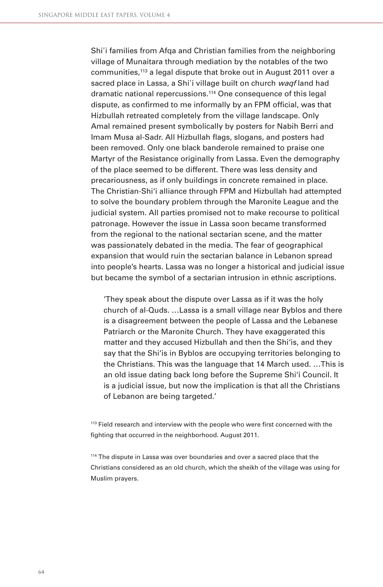Shi'i families from Afga and Christian families from the neighboring village of Munaitara through mediation by the notables of the two communities,113 a legal dispute that broke out in August 2011 over a sacred place in Lassa, a Shi'i village built on church waqf land had dramatic national repercussions.114 One consequence of this legal dispute, as confirmed to me informally by an FPM official, was that Hizbullah retreated completely from the village landscape. Only Amal remained present symbolically by posters for Nabih Berri and Imam Musa al-Sadr. All Hizbullah flags, slogans, and posters had been removed. Only one black banderole remained to praise one Martyr of the Resistance originally from Lassa. Even the demography of the place seemed to be different. There was less density and precariousness, as if only buildings in concrete remained in place. The Christian-Shi'i alliance through FPM and Hizbullah had attempted to solve the boundary problem through the Maronite League and the judicial system. All parties promised not to make recourse to political patronage. However the issue in Lassa soon became transformed from the regional to the national sectarian scene, and the matter was passionately debated in the media. The fear of geographical expansion that would ruin the sectarian balance in Lebanon spread into people's hearts. Lassa was no longer a historical and judicial issue but became the symbol of a sectarian intrusion in ethnic ascriptions.

'They speak about the dispute over Lassa as if it was the holy church of al-Quds. …Lassa is a small village near Byblos and there is a disagreement between the people of Lassa and the Lebanese Patriarch or the Maronite Church. They have exaggerated this matter and they accused Hizbullah and then the Shi'is, and they say that the Shi'is in Byblos are occupying territories belonging to the Christians. This was the language that 14 March used. …This is an old issue dating back long before the Supreme Shi'i Council. It is a judicial issue, but now the implication is that all the Christians of Lebanon are being targeted.'

<sup>113</sup> Field research and interview with the people who were first concerned with the fighting that occurred in the neighborhood. August 2011.

114 The dispute in Lassa was over boundaries and over a sacred place that the Christians considered as an old church, which the sheikh of the village was using for Muslim prayers.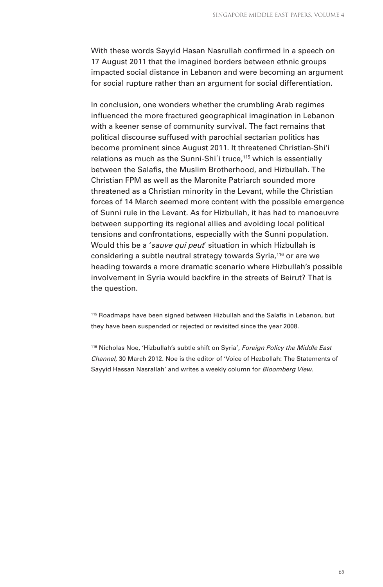With these words Sayyid Hasan Nasrullah confirmed in a speech on 17 August 2011 that the imagined borders between ethnic groups impacted social distance in Lebanon and were becoming an argument for social rupture rather than an argument for social differentiation.

In conclusion, one wonders whether the crumbling Arab regimes influenced the more fractured geographical imagination in Lebanon with a keener sense of community survival. The fact remains that political discourse suffused with parochial sectarian politics has become prominent since August 2011. It threatened Christian-Shi'i relations as much as the Sunni-Shi'i truce,<sup>115</sup> which is essentially between the Salafis, the Muslim Brotherhood, and Hizbullah. The Christian FPM as well as the Maronite Patriarch sounded more threatened as a Christian minority in the Levant, while the Christian forces of 14 March seemed more content with the possible emergence of Sunni rule in the Levant. As for Hizbullah, it has had to manoeuvre between supporting its regional allies and avoiding local political tensions and confrontations, especially with the Sunni population. Would this be a 'sauve qui peut' situation in which Hizbullah is considering a subtle neutral strategy towards Syria,116 or are we heading towards a more dramatic scenario where Hizbullah's possible involvement in Syria would backfire in the streets of Beirut? That is the question.

<sup>115</sup> Roadmaps have been signed between Hizbullah and the Salafis in Lebanon, but they have been suspended or rejected or revisited since the year 2008.

<sup>116</sup> Nicholas Noe, 'Hizbullah's subtle shift on Syria', Foreign Policy the Middle East Channel, 30 March 2012. Noe is the editor of 'Voice of Hezbollah: The Statements of Sayyid Hassan Nasrallah' and writes a weekly column for Bloomberg View.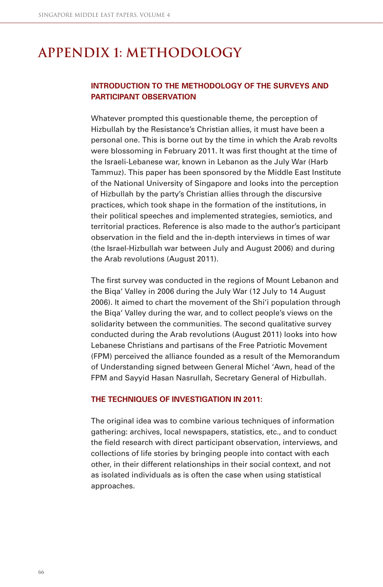## **Appendix 1: methodology**

## **INTRODUCTION TO THE METHODOLOGY OF THE SURVEYS AND PARTICIPANT OBSERVATION**

Whatever prompted this questionable theme, the perception of Hizbullah by the Resistance's Christian allies, it must have been a personal one. This is borne out by the time in which the Arab revolts were blossoming in February 2011. It was first thought at the time of the Israeli-Lebanese war, known in Lebanon as the July War (Harb Tammuz). This paper has been sponsored by the Middle East Institute of the National University of Singapore and looks into the perception of Hizbullah by the party's Christian allies through the discursive practices, which took shape in the formation of the institutions, in their political speeches and implemented strategies, semiotics, and territorial practices. Reference is also made to the author's participant observation in the field and the in-depth interviews in times of war (the Israel-Hizbullah war between July and August 2006) and during the Arab revolutions (August 2011).

The first survey was conducted in the regions of Mount Lebanon and the Biqa' Valley in 2006 during the July War (12 July to 14 August 2006). It aimed to chart the movement of the Shi'i population through the Biqa' Valley during the war, and to collect people's views on the solidarity between the communities. The second qualitative survey conducted during the Arab revolutions (August 2011) looks into how Lebanese Christians and partisans of the Free Patriotic Movement (FPM) perceived the alliance founded as a result of the Memorandum of Understanding signed between General Michel 'Awn, head of the FPM and Sayyid Hasan Nasrullah, Secretary General of Hizbullah.

#### **THE TECHNIQUES OF INVESTIGATION IN 2011:**

The original idea was to combine various techniques of information gathering: archives, local newspapers, statistics, etc., and to conduct the field research with direct participant observation, interviews, and collections of life stories by bringing people into contact with each other, in their different relationships in their social context, and not as isolated individuals as is often the case when using statistical approaches.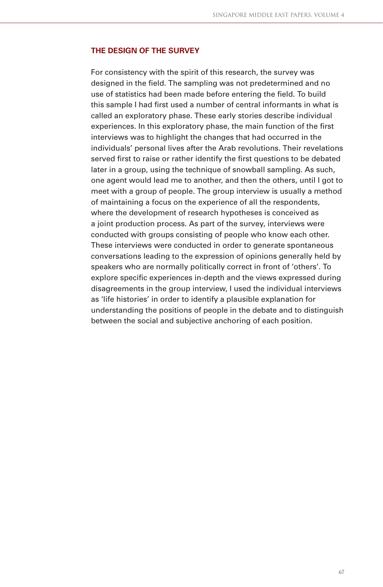#### **THE DESIGN OF THE SURVEY**

For consistency with the spirit of this research, the survey was designed in the field. The sampling was not predetermined and no use of statistics had been made before entering the field. To build this sample I had first used a number of central informants in what is called an exploratory phase. These early stories describe individual experiences. In this exploratory phase, the main function of the first interviews was to highlight the changes that had occurred in the individuals' personal lives after the Arab revolutions. Their revelations served first to raise or rather identify the first questions to be debated later in a group, using the technique of snowball sampling. As such, one agent would lead me to another, and then the others, until I got to meet with a group of people. The group interview is usually a method of maintaining a focus on the experience of all the respondents, where the development of research hypotheses is conceived as a joint production process. As part of the survey, interviews were conducted with groups consisting of people who know each other. These interviews were conducted in order to generate spontaneous conversations leading to the expression of opinions generally held by speakers who are normally politically correct in front of 'others'. To explore specific experiences in-depth and the views expressed during disagreements in the group interview, I used the individual interviews as 'life histories' in order to identify a plausible explanation for understanding the positions of people in the debate and to distinguish between the social and subjective anchoring of each position.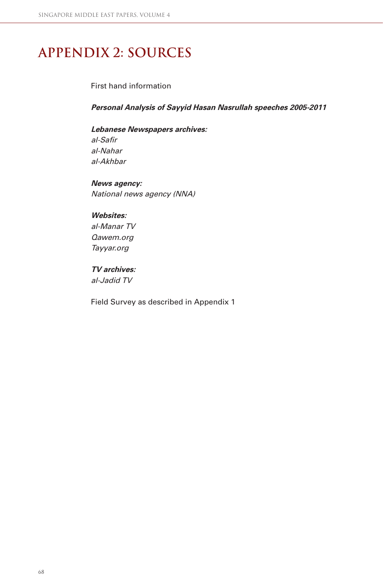## **Appendix 2: Sources**

First hand information

**Personal Analysis of Sayyid Hasan Nasrullah speeches 2005-2011**

**Lebanese Newspapers archives:** al-Safir al-Nahar al-Akhbar

**News agency:**  National news agency (NNA)

### **Websites:**

al-Manar TV Qawem.org Tayyar.org

**TV archives:** al-Jadid TV

Field Survey as described in Appendix 1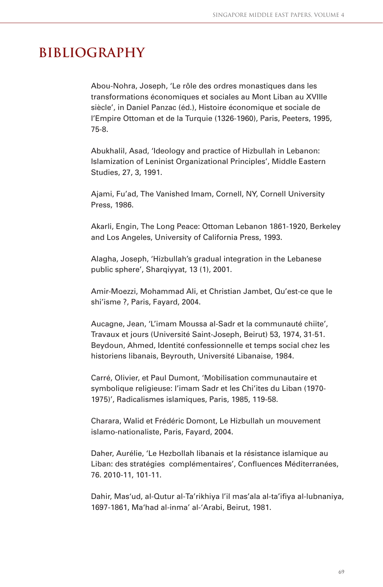## **Bibliography**

Abou-Nohra, Joseph, 'Le rôle des ordres monastiques dans les transformations économiques et sociales au Mont Liban au XVIIIe siècle', in Daniel Panzac (éd.), Histoire économique et sociale de l'Empire Ottoman et de la Turquie (1326-1960), Paris, Peeters, 1995, 75-8.

Abukhalil, Asad, 'Ideology and practice of Hizbullah in Lebanon: Islamization of Leninist Organizational Principles', Middle Eastern Studies, 27, 3, 1991.

Ajami, Fu'ad, The Vanished Imam, Cornell, NY, Cornell University Press, 1986.

Akarli, Engin, The Long Peace: Ottoman Lebanon 1861-1920, Berkeley and Los Angeles, University of California Press, 1993.

Alagha, Joseph, 'Hizbullah's gradual integration in the Lebanese public sphere', Sharqiyyat, 13 (1), 2001.

Amir-Moezzi, Mohammad Ali, et Christian Jambet, Qu'est-ce que le shi'isme ?, Paris, Fayard, 2004.

Aucagne, Jean, 'L'imam Moussa al-Sadr et la communauté chiite', Travaux et jours (Université Saint-Joseph, Beirut) 53, 1974, 31-51. Beydoun, Ahmed, Identité confessionnelle et temps social chez les historiens libanais, Beyrouth, Université Libanaise, 1984.

Carré, Olivier, et Paul Dumont, 'Mobilisation communautaire et symbolique religieuse: l'imam Sadr et les Chi'ites du Liban (1970- 1975)', Radicalismes islamiques, Paris, 1985, 119-58.

Charara, Walid et Frédéric Domont, Le Hizbullah un mouvement islamo-nationaliste, Paris, Fayard, 2004.

Daher, Aurélie, 'Le Hezbollah libanais et la résistance islamique au Liban: des stratégies complémentaires', Confluences Méditerranées, 76. 2010-11, 101-11.

Dahir, Mas'ud, al-Qutur al-Ta'rikhiya l'il mas'ala al-ta'ifiya al-lubnaniya, 1697-1861, Ma'had al-inma' al-'Arabi, Beirut, 1981.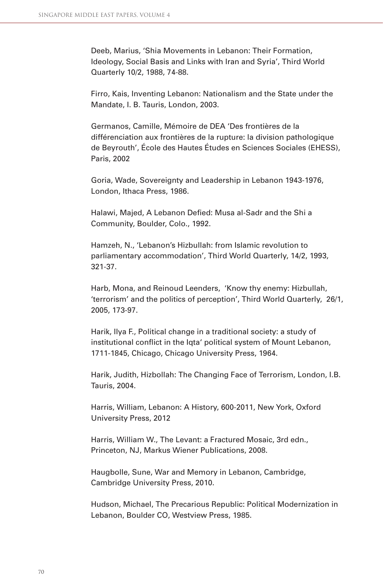Deeb, Marius, 'Shia Movements in Lebanon: Their Formation, Ideology, Social Basis and Links with Iran and Syria', Third World Quarterly 10/2, 1988, 74-88.

Firro, Kais, Inventing Lebanon: Nationalism and the State under the Mandate, I. B. Tauris, London, 2003.

Germanos, Camille, Mémoire de DEA 'Des frontières de la différenciation aux frontières de la rupture: la division pathologique de Beyrouth', École des Hautes Études en Sciences Sociales (EHESS), Paris, 2002

Goria, Wade, Sovereignty and Leadership in Lebanon 1943-1976, London, Ithaca Press, 1986.

Halawi, Majed, A Lebanon Defied: Musa al-Sadr and the Shi a Community, Boulder, Colo., 1992.

Hamzeh, N., 'Lebanon's Hizbullah: from Islamic revolution to parliamentary accommodation', Third World Quarterly, 14/2, 1993, 321-37.

Harb, Mona, and Reinoud Leenders, 'Know thy enemy: Hizbullah, 'terrorism' and the politics of perception', Third World Quarterly, 26/1, 2005, 173-97.

Harik, Ilya F., Political change in a traditional society: a study of institutional conflict in the Iqta' political system of Mount Lebanon, 1711-1845, Chicago, Chicago University Press, 1964.

Harik, Judith, Hizbollah: The Changing Face of Terrorism, London, I.B. Tauris, 2004.

Harris, William, Lebanon: A History, 600-2011, New York, Oxford University Press, 2012

Harris, William W., The Levant: a Fractured Mosaic, 3rd edn., Princeton, NJ, Markus Wiener Publications, 2008.

Haugbolle, Sune, War and Memory in Lebanon, Cambridge, Cambridge University Press, 2010.

Hudson, Michael, The Precarious Republic: Political Modernization in Lebanon, Boulder CO, Westview Press, 1985.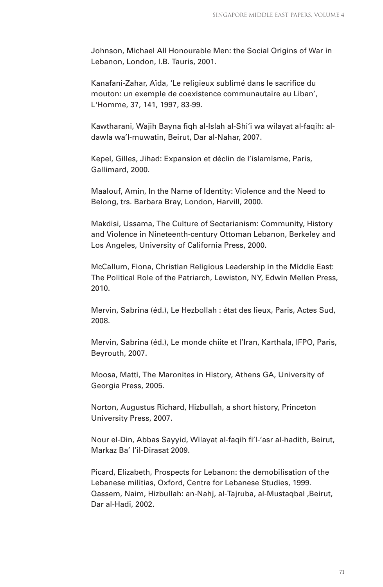Johnson, Michael All Honourable Men: the Social Origins of War in Lebanon, London, I.B. Tauris, 2001.

Kanafani-Zahar, Aïda, 'Le religieux sublimé dans le sacrifice du mouton: un exemple de coexistence communautaire au Liban', L'Homme, 37, 141, 1997, 83-99.

Kawtharani, Wajih Bayna figh al-Islah al-Shi'i wa wilayat al-fagih: aldawla wa'l-muwatin, Beirut, Dar al-Nahar, 2007.

Kepel, Gilles, Jihad: Expansion et déclin de l'islamisme, Paris, Gallimard, 2000.

Maalouf, Amin, In the Name of Identity: Violence and the Need to Belong, trs. Barbara Bray, London, Harvill, 2000.

Makdisi, Ussama, The Culture of Sectarianism: Community, History and Violence in Nineteenth-century Ottoman Lebanon, Berkeley and Los Angeles, University of California Press, 2000.

McCallum, Fiona, Christian Religious Leadership in the Middle East: The Political Role of the Patriarch, Lewiston, NY, Edwin Mellen Press, 2010.

Mervin, Sabrina (éd.), Le Hezbollah : état des lieux, Paris, Actes Sud, 2008.

Mervin, Sabrina (éd.), Le monde chiite et l'Iran, Karthala, IFPO, Paris, Beyrouth, 2007.

Moosa, Matti, The Maronites in History, Athens GA, University of Georgia Press, 2005.

Norton, Augustus Richard, Hizbullah, a short history, Princeton University Press, 2007.

Nour el-Din, Abbas Sayyid, Wilayat al-faqih fi 'l-'asr al-hadith, Beirut, Markaz Ba' l'il-Dirasat 2009.

Picard, Elizabeth, Prospects for Lebanon: the demobilisation of the Lebanese militias, Oxford, Centre for Lebanese Studies, 1999. Qassem, Naim, Hizbullah: an-Nahj, al-Tajruba, al-Mustaqbal ,Beirut, Dar al-Hadi, 2002.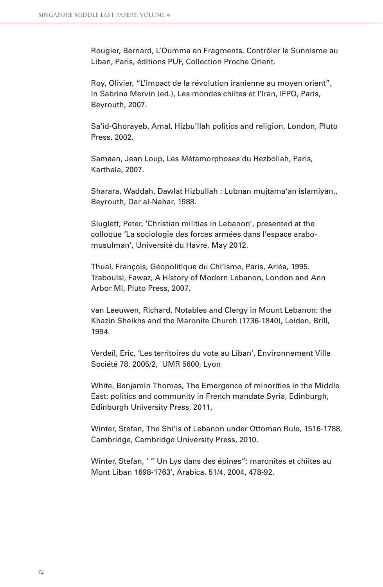Rougier, Bernard, L'Oumma en Fragments. Contrôler le Sunnisme au Liban, Paris, éditions PUF, Collection Proche Orient.

Roy, Olivier, "L'impact de la révolution iranienne au moyen orient", in Sabrina Mervin (ed.), Les mondes chiites et l'Iran, IFPO, Paris, Beyrouth, 2007.

Sa'id-Ghorayeb, Amal, Hizbu'llah politics and religion, London, Pluto Press, 2002.

Samaan, Jean Loup, Les Métamorphoses du Hezbollah, Paris, Karthala, 2007.

Sharara, Waddah, Dawlat Hizbullah : Lubnan mujtama'an islamiyan,, Beyrouth, Dar al-Nahar, 1988.

Sluglett, Peter, 'Christian militias in Lebanon', presented at the colloque 'La sociologie des forces armées dans l'espace arabomusulman', Université du Havre, May 2012.

Thual, François, Géopolitique du Chi'isme, Paris, Arléa, 1995. Traboulsi, Fawaz, A History of Modern Lebanon, London and Ann Arbor MI, Pluto Press, 2007.

van Leeuwen, Richard, Notables and Clergy in Mount Lebanon: the Khazin Sheikhs and the Maronite Church (1736-1840), Leiden, Brill, 1994.

Verdeil, Eric, 'Les territoires du vote au Liban', Environnement Ville Société 78, 2005/2, UMR 5600, Lyon

White, Benjamin Thomas, The Emergence of minorities in the Middle East: politics and community in French mandate Syria, Edinburgh, Edinburgh University Press, 2011,

Winter, Stefan, The Shi'is of Lebanon under Ottoman Rule, 1516-1788, Cambridge, Cambridge University Press, 2010.

Winter, Stefan, ' " Un Lys dans des épines": maronites et chiites au Mont Liban 1698-1763', Arabica, 51/4, 2004, 478-92.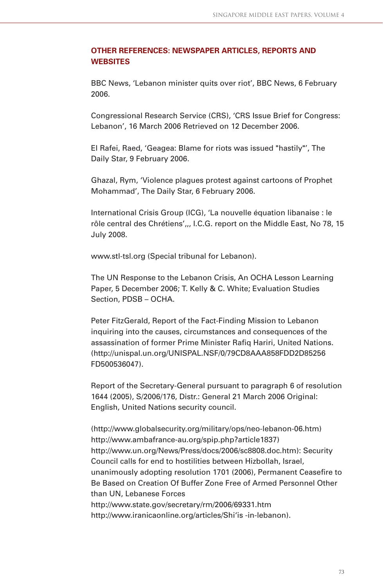## **OTHER REFERENCES: NEWSPAPER ARTICLES, REPORTS AND WEBSITES**

BBC News, 'Lebanon minister quits over riot', BBC News, 6 February 2006.

Congressional Research Service (CRS), 'CRS Issue Brief for Congress: Lebanon', 16 March 2006 Retrieved on 12 December 2006.

El Rafei, Raed, 'Geagea: Blame for riots was issued "hastily"', The Daily Star, 9 February 2006.

Ghazal, Rym, 'Violence plagues protest against cartoons of Prophet Mohammad', The Daily Star, 6 February 2006.

International Crisis Group (ICG), 'La nouvelle équation libanaise : le rôle central des Chrétiens',,, I.C.G. report on the Middle East, No 78, 15 July 2008.

www.stl-tsl.org (Special tribunal for Lebanon).

The UN Response to the Lebanon Crisis, An OCHA Lesson Learning Paper, 5 December 2006; T. Kelly & C. White; Evaluation Studies Section, PDSB – OCHA.

Peter FitzGerald, Report of the Fact-Finding Mission to Lebanon inquiring into the causes, circumstances and consequences of the assassination of former Prime Minister Rafiq Hariri, United Nations. (http://unispal.un.org/UNISPAL.NSF/0/79CD8AAA858FDD2D85256 FD500536047).

Report of the Secretary-General pursuant to paragraph 6 of resolution 1644 (2005), S/2006/176, Distr.: General 21 March 2006 Original: English, United Nations security council.

(http://www.globalsecurity.org/military/ops/neo-lebanon-06.htm) http://www.ambafrance-au.org/spip.php?article1837) http://www.un.org/News/Press/docs/2006/sc8808.doc.htm): Security Council calls for end to hostilities between Hizbollah, Israel, unanimously adopting resolution 1701 (2006), Permanent Ceasefire to Be Based on Creation Of Buffer Zone Free of Armed Personnel Other than UN, Lebanese Forces http://www.state.gov/secretary/rm/2006/69331.htm http://www.iranicaonline.org/articles/Shi'is -in-lebanon).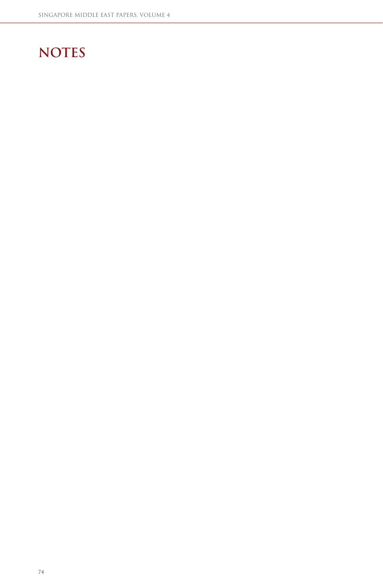## **NOTES**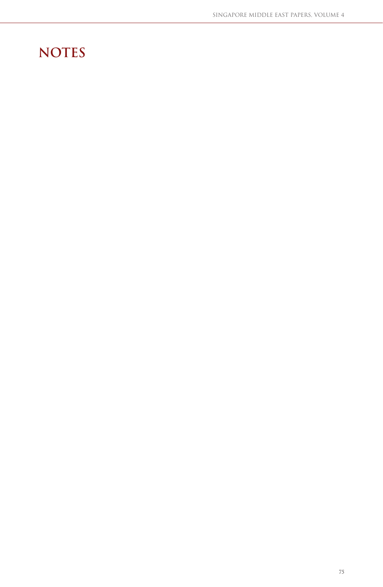## **NOTES**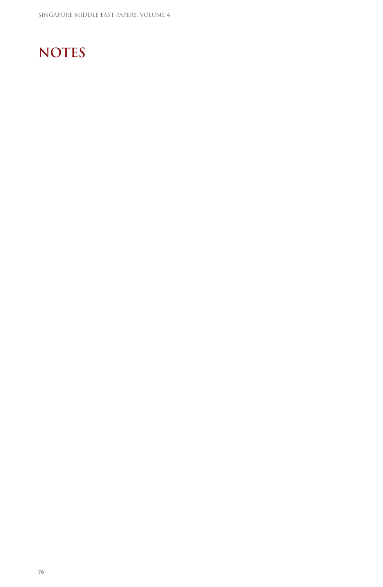## **NOTES**